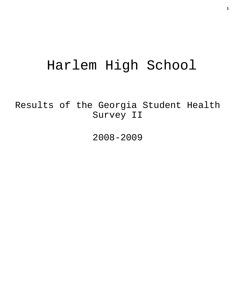# Harlem High School

Results of the Georgia Student Health Survey II

2008-2009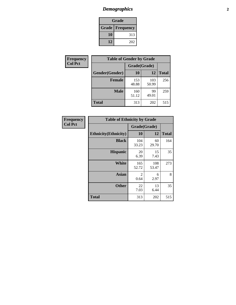# *Demographics* **2**

| Grade                    |     |  |  |  |
|--------------------------|-----|--|--|--|
| <b>Grade   Frequency</b> |     |  |  |  |
| 10                       | 313 |  |  |  |
| 12                       | 202 |  |  |  |

| Frequency      | <b>Table of Gender by Grade</b> |              |              |              |
|----------------|---------------------------------|--------------|--------------|--------------|
| <b>Col Pct</b> |                                 | Grade(Grade) |              |              |
|                | Gender(Gender)                  | 10           | 12           | <b>Total</b> |
|                | <b>Female</b>                   | 153<br>48.88 | 103<br>50.99 | 256          |
|                | <b>Male</b>                     | 160<br>51.12 | 99<br>49.01  | 259          |
|                | <b>Total</b>                    | 313          | 202          | 515          |

| Frequency<br>Col Pct |
|----------------------|
|                      |

| <b>Table of Ethnicity by Grade</b> |              |              |              |  |  |  |
|------------------------------------|--------------|--------------|--------------|--|--|--|
|                                    | Grade(Grade) |              |              |  |  |  |
| <b>Ethnicity</b> (Ethnicity)       | 10           | 12           | <b>Total</b> |  |  |  |
| <b>Black</b>                       | 104<br>33.23 | 60<br>29.70  | 164          |  |  |  |
| <b>Hispanic</b>                    | 20<br>6.39   | 15<br>7.43   | 35           |  |  |  |
| White                              | 165<br>52.72 | 108<br>53.47 | 273          |  |  |  |
| Asian                              | 2<br>0.64    | 6<br>2.97    | 8            |  |  |  |
| <b>Other</b>                       | 22<br>7.03   | 13<br>6.44   | 35           |  |  |  |
| <b>Total</b>                       | 313          | 202          | 515          |  |  |  |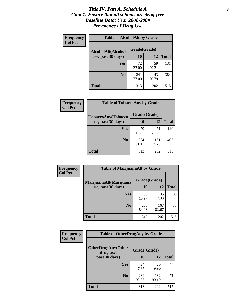#### *Title IV, Part A, Schedule A* **3** *Goal 1: Ensure that all schools are drug-free Baseline Data: Year 2008-2009 Prevalence of Drug Use*

| Frequency<br><b>Col Pct</b> | <b>Table of AlcoholAlt by Grade</b> |              |              |              |  |  |
|-----------------------------|-------------------------------------|--------------|--------------|--------------|--|--|
|                             | AlcoholAlt(Alcohol                  | Grade(Grade) |              |              |  |  |
|                             | use, past 30 days)                  | <b>10</b>    | 12           | <b>Total</b> |  |  |
|                             | Yes                                 | 72<br>23.00  | 59<br>29.21  | 131          |  |  |
|                             | N <sub>0</sub>                      | 241<br>77.00 | 143<br>70.79 | 384          |  |  |
|                             | Total                               | 313          | 202          | 515          |  |  |

| <b>Frequency</b> | <b>Table of TobaccoAny by Grade</b> |              |              |              |  |
|------------------|-------------------------------------|--------------|--------------|--------------|--|
| <b>Col Pct</b>   | TobaccoAny(Tobacco                  | Grade(Grade) |              |              |  |
|                  | use, past 30 days)                  | 10           | 12           | <b>Total</b> |  |
|                  | Yes                                 | 59<br>18.85  | 51<br>25.25  | 110          |  |
|                  | N <sub>0</sub>                      | 254<br>81.15 | 151<br>74.75 | 405          |  |
|                  | Total                               | 313          | 202          | 515          |  |

| Frequency<br><b>Col Pct</b> | <b>Table of MarijuanaAlt by Grade</b> |              |              |              |  |
|-----------------------------|---------------------------------------|--------------|--------------|--------------|--|
|                             | MarijuanaAlt(Marijuana                | Grade(Grade) |              |              |  |
|                             | use, past 30 days)                    | 10           | 12           | <b>Total</b> |  |
|                             | <b>Yes</b>                            | 50<br>15.97  | 35<br>17.33  | 85           |  |
|                             | N <sub>0</sub>                        | 263<br>84.03 | 167<br>82.67 | 430          |  |
|                             | <b>Total</b>                          | 313          | 202          | 515          |  |

| <b>Frequency</b> | <b>Table of OtherDrugAny by Grade</b>                  |              |              |              |  |
|------------------|--------------------------------------------------------|--------------|--------------|--------------|--|
| <b>Col Pct</b>   | <b>OtherDrugAny(Other</b><br>Grade(Grade)<br>drug use, |              |              |              |  |
|                  | past 30 days)                                          | 10           | 12           | <b>Total</b> |  |
|                  | <b>Yes</b>                                             | 24<br>7.67   | 20<br>9.90   | 44           |  |
|                  | N <sub>0</sub>                                         | 289<br>92.33 | 182<br>90.10 | 471          |  |
|                  | <b>Total</b>                                           | 313          | 202          | 515          |  |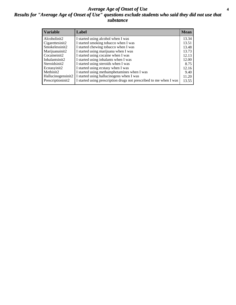#### *Average Age of Onset of Use* **4** *Results for "Average Age of Onset of Use" questions exclude students who said they did not use that substance*

| <b>Variable</b>    | Label                                                              | <b>Mean</b> |
|--------------------|--------------------------------------------------------------------|-------------|
| Alcoholinit2       | I started using alcohol when I was                                 | 13.34       |
| Cigarettesinit2    | I started smoking tobacco when I was                               | 13.51       |
| Smokelessinit2     | I started chewing tobacco when I was                               | 13.48       |
| Marijuanainit2     | I started using marijuana when I was                               | 13.73       |
| Cocaineinit2       | I started using cocaine when I was                                 | 12.13       |
| Inhalantsinit2     | I started using inhalants when I was                               | 12.00       |
| Steroidsinit2      | I started using steroids when I was                                | 8.75        |
| Ecstasyinit2       | I started using ecstasy when I was                                 | 12.16       |
| Methinit2          | I started using methamphetamines when I was                        | 9.40        |
| Hallucinogensinit2 | I started using hallucinogens when I was                           | 11.20       |
| Prescriptioninit2  | I started using prescription drugs not prescribed to me when I was | 13.55       |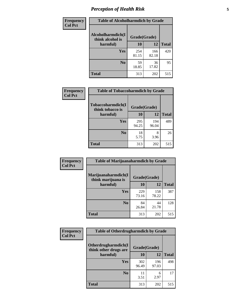# *Perception of Health Risk* **5**

| Frequency      | <b>Table of Alcoholharmdich by Grade</b> |              |              |              |  |
|----------------|------------------------------------------|--------------|--------------|--------------|--|
| <b>Col Pct</b> | Alcoholharmdich(I<br>think alcohol is    | Grade(Grade) |              |              |  |
|                | harmful)                                 | 10           | 12           | <b>Total</b> |  |
|                | Yes                                      | 254<br>81.15 | 166<br>82.18 | 420          |  |
|                | N <sub>0</sub>                           | 59<br>18.85  | 36<br>17.82  | 95           |  |
|                | <b>Total</b>                             | 313          | 202          | 515          |  |

| Frequency      | <b>Table of Tobaccoharmdich by Grade</b>          |              |              |              |  |
|----------------|---------------------------------------------------|--------------|--------------|--------------|--|
| <b>Col Pct</b> | Tobaccoharmdich(I<br>think tobacco is<br>harmful) | Grade(Grade) |              |              |  |
|                |                                                   | 10           | 12           | <b>Total</b> |  |
|                | <b>Yes</b>                                        | 295<br>94.25 | 194<br>96.04 | 489          |  |
|                | N <sub>0</sub>                                    | 18<br>5.75   | 8<br>3.96    | 26           |  |
|                | Total                                             | 313          | 202          | 515          |  |

| Frequency      | <b>Table of Marijuanaharmdich by Grade</b>                |              |              |              |  |  |
|----------------|-----------------------------------------------------------|--------------|--------------|--------------|--|--|
| <b>Col Pct</b> | Marijuanaharmdich(I<br>Grade(Grade)<br>think marijuana is |              |              |              |  |  |
|                | harmful)                                                  | <b>10</b>    | 12           | <b>Total</b> |  |  |
|                | Yes                                                       | 229<br>73.16 | 158<br>78.22 | 387          |  |  |
|                | N <sub>0</sub>                                            | 84<br>26.84  | 44<br>21.78  | 128          |  |  |
|                | <b>Total</b>                                              | 313          | 202          | 515          |  |  |

| <b>Frequency</b> | <b>Table of Otherdrugharmdich by Grade</b>                   |              |              |              |  |  |  |  |
|------------------|--------------------------------------------------------------|--------------|--------------|--------------|--|--|--|--|
| <b>Col Pct</b>   | Otherdrugharmdich(I<br>Grade(Grade)<br>think other drugs are |              |              |              |  |  |  |  |
|                  | harmful)                                                     | <b>10</b>    | 12           | <b>Total</b> |  |  |  |  |
|                  | <b>Yes</b>                                                   | 302<br>96.49 | 196<br>97.03 | 498          |  |  |  |  |
|                  | N <sub>0</sub>                                               | 11<br>3.51   | 6<br>2.97    | 17           |  |  |  |  |
|                  | <b>Total</b>                                                 | 313          | 202          | 515          |  |  |  |  |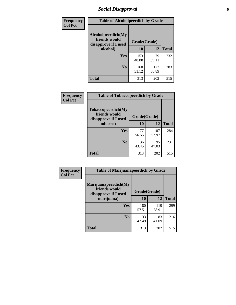# *Social Disapproval* **6**

| Frequency      | <b>Table of Alcoholpeerdich by Grade</b>                    |              |              |     |
|----------------|-------------------------------------------------------------|--------------|--------------|-----|
| <b>Col Pct</b> | Alcoholpeerdich(My<br>friends would<br>disapprove if I used | Grade(Grade) |              |     |
|                | alcohol)                                                    | 10           | <b>Total</b> |     |
|                | Yes                                                         | 153<br>48.88 | 79<br>39.11  | 232 |
|                | No                                                          | 160<br>51.12 | 123<br>60.89 | 283 |
|                | Total                                                       | 313          | 202          | 515 |

| <b>Frequency</b> |
|------------------|
| <b>Col Pct</b>   |

| <b>Table of Tobaccopeerdich by Grade</b>                    |              |              |              |  |  |  |  |
|-------------------------------------------------------------|--------------|--------------|--------------|--|--|--|--|
| Tobaccopeerdich(My<br>friends would<br>disapprove if I used | Grade(Grade) |              |              |  |  |  |  |
| tobacco)                                                    | 10           | 12           | <b>Total</b> |  |  |  |  |
| Yes                                                         | 177<br>56.55 | 107<br>52.97 | 284          |  |  |  |  |
| N <sub>0</sub>                                              | 136<br>43.45 | 95<br>47.03  | 231          |  |  |  |  |
| <b>Total</b>                                                | 313          | 202          | 515          |  |  |  |  |

| <b>Frequency</b> | <b>Table of Marijuanapeerdich by Grade</b>                    |              |              |              |  |  |  |  |
|------------------|---------------------------------------------------------------|--------------|--------------|--------------|--|--|--|--|
| <b>Col Pct</b>   | Marijuanapeerdich(My<br>friends would<br>disapprove if I used | Grade(Grade) |              |              |  |  |  |  |
|                  | marijuana)                                                    | 10           | 12           | <b>Total</b> |  |  |  |  |
|                  | <b>Yes</b>                                                    | 180<br>57.51 | 119<br>58.91 | 299          |  |  |  |  |
|                  | N <sub>0</sub>                                                | 133<br>42.49 | 83<br>41.09  | 216          |  |  |  |  |
|                  | <b>Total</b>                                                  | 313          | 202          | 515          |  |  |  |  |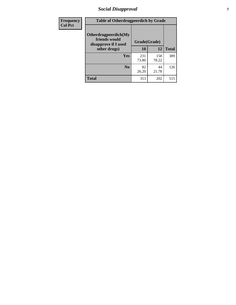# *Social Disapproval* **7**

| Frequency      | <b>Table of Otherdrugpeerdich by Grade</b>                    |              |              |              |  |  |  |  |
|----------------|---------------------------------------------------------------|--------------|--------------|--------------|--|--|--|--|
| <b>Col Pct</b> | Otherdrugpeerdich(My<br>friends would<br>disapprove if I used | Grade(Grade) |              |              |  |  |  |  |
|                | other drugs)                                                  | 10           | 12           | <b>Total</b> |  |  |  |  |
|                | Yes                                                           | 231<br>73.80 | 158<br>78.22 | 389          |  |  |  |  |
|                | N <sub>0</sub>                                                | 82<br>26.20  | 44<br>21.78  | 126          |  |  |  |  |
|                | <b>Total</b>                                                  | 313          | 202          | 515          |  |  |  |  |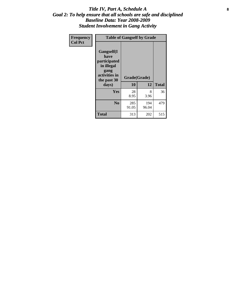### Title IV, Part A, Schedule A **8** *Goal 2: To help ensure that all schools are safe and disciplined Baseline Data: Year 2008-2009 Student Involvement in Gang Activity*

| Frequency      | <b>Table of Gangself by Grade</b>                                                                 |                    |              |              |  |  |
|----------------|---------------------------------------------------------------------------------------------------|--------------------|--------------|--------------|--|--|
| <b>Col Pct</b> | Gangself(I<br>have<br>participated<br>in illegal<br>gang<br>activities in<br>the past 30<br>days) | Grade(Grade)<br>10 | 12           | <b>Total</b> |  |  |
|                | Yes                                                                                               | 28<br>8.95         | 8<br>3.96    | 36           |  |  |
|                | N <sub>0</sub>                                                                                    | 285<br>91.05       | 194<br>96.04 | 479          |  |  |
|                | Total                                                                                             | 313                | 202          | 515          |  |  |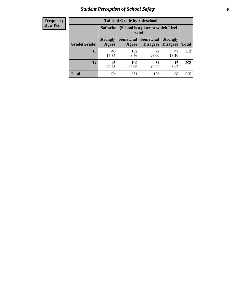# *Student Perception of School Safety* **9**

| <b>Frequency</b><br>Row Pct |
|-----------------------------|
|                             |

| <b>Table of Grade by Safeschool</b> |                                                                                                                                   |                                                        |             |             |     |  |  |  |
|-------------------------------------|-----------------------------------------------------------------------------------------------------------------------------------|--------------------------------------------------------|-------------|-------------|-----|--|--|--|
|                                     |                                                                                                                                   | Safeschool (School is a place at which I feel<br>safe) |             |             |     |  |  |  |
| Grade(Grade)                        | <b>Somewhat   Somewhat</b><br><b>Strongly</b><br><b>Strongly</b><br><b>Disagree</b><br>Agree<br>Disagree<br><b>Total</b><br>Agree |                                                        |             |             |     |  |  |  |
| 10                                  | 48<br>15.34                                                                                                                       | 152<br>48.56                                           | 72<br>23.00 | 41<br>13.10 | 313 |  |  |  |
| 12                                  | 45<br>22.28                                                                                                                       | 109<br>53.96                                           | 31<br>15.35 | 17<br>8.42  | 202 |  |  |  |
| <b>Total</b>                        | 93                                                                                                                                | 261                                                    | 103         | 58          | 515 |  |  |  |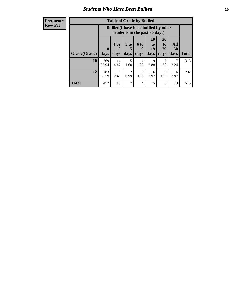### *Students Who Have Been Bullied* **10**

| <b>Frequency</b> |
|------------------|
| Row Pct          |

| <b>Table of Grade by Bullied</b> |                             |                                                                               |                              |                          |                        |                               |                          |              |
|----------------------------------|-----------------------------|-------------------------------------------------------------------------------|------------------------------|--------------------------|------------------------|-------------------------------|--------------------------|--------------|
|                                  |                             | <b>Bullied</b> (I have been bullied by other<br>students in the past 30 days) |                              |                          |                        |                               |                          |              |
| Grade(Grade)                     | $\mathbf{0}$<br><b>Days</b> | 1 or<br>2<br>days                                                             | 3 <sub>to</sub><br>5<br>days | <b>6 to</b><br>9<br>days | 10<br>to<br>19<br>days | <b>20</b><br>to<br>29<br>days | <b>All</b><br>30<br>days | <b>Total</b> |
| 10                               | 269<br>85.94                | 14<br>4.47                                                                    | 5<br>1.60                    | 4<br>1.28                | 9<br>2.88              | 5<br>1.60                     | 2.24                     | 313          |
| 12                               | 183<br>90.59                | 5<br>2.48                                                                     | 2<br>0.99                    | $\Omega$<br>0.00         | 6<br>2.97              | $\Omega$<br>0.00              | 6<br>2.97                | 202          |
| <b>Total</b>                     | 452                         | 19                                                                            | 7                            | 4                        | 15                     | 5                             | 13                       | 515          |

 $\blacksquare$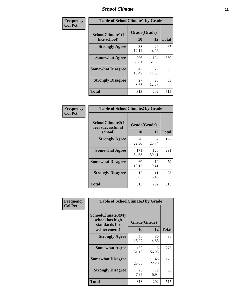### *School Climate* **11**

| Frequency      | <b>Table of SchoolClimate1 by Grade</b> |                    |              |              |  |  |  |
|----------------|-----------------------------------------|--------------------|--------------|--------------|--|--|--|
| <b>Col Pct</b> | SchoolClimate1(I<br>like school)        | Grade(Grade)<br>10 | 12           | <b>Total</b> |  |  |  |
|                | <b>Strongly Agree</b>                   | 38<br>12.14        | 29<br>14.36  | 67           |  |  |  |
|                | <b>Somewhat Agree</b>                   | 206<br>65.81       | 124<br>61.39 | 330          |  |  |  |
|                | <b>Somewhat Disagree</b>                | 42<br>13.42        | 23<br>11.39  | 65           |  |  |  |
|                | <b>Strongly Disagree</b>                | 27<br>8.63         | 26<br>12.87  | 53           |  |  |  |
|                | <b>Total</b>                            | 313                | 202          | 515          |  |  |  |

| Frequency      |  |
|----------------|--|
| <b>Col Pct</b> |  |

| <b>Table of SchoolClimate2 by Grade</b>           |                    |              |              |  |
|---------------------------------------------------|--------------------|--------------|--------------|--|
| SchoolClimate2(I<br>feel successful at<br>school) | Grade(Grade)<br>10 | 12           | <b>Total</b> |  |
| <b>Strongly Agree</b>                             | 70<br>22.36        | 52<br>25.74  | 122          |  |
| <b>Somewhat Agree</b>                             | 171<br>54.63       | 120<br>59.41 | 291          |  |
| <b>Somewhat Disagree</b>                          | 60<br>19.17        | 19<br>9.41   | 79           |  |
| <b>Strongly Disagree</b>                          | 12<br>3.83         | 11<br>5.45   | 23           |  |
| <b>Total</b>                                      | 313                | 202          | 515          |  |

| Frequency      | <b>Table of SchoolClimate3 by Grade</b>                               |                    |              |              |
|----------------|-----------------------------------------------------------------------|--------------------|--------------|--------------|
| <b>Col Pct</b> | SchoolClimate3(My<br>school has high<br>standards for<br>achievement) | Grade(Grade)<br>10 | 12           | <b>Total</b> |
|                | <b>Strongly Agree</b>                                                 | 50<br>15.97        | 30<br>14.85  | 80           |
|                | <b>Somewhat Agree</b>                                                 | 160<br>51.12       | 115<br>56.93 | 275          |
|                | <b>Somewhat Disagree</b>                                              | 80<br>25.56        | 45<br>22.28  | 125          |
|                | <b>Strongly Disagree</b>                                              | 23<br>7.35         | 12<br>5.94   | 35           |
|                | Total                                                                 | 313                | 202          | 515          |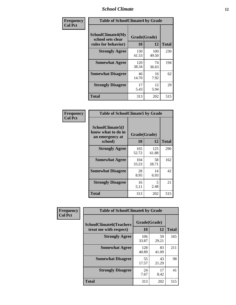### *School Climate* **12**

| Frequency      | <b>Table of SchoolClimate4 by Grade</b>                              |                    |              |              |
|----------------|----------------------------------------------------------------------|--------------------|--------------|--------------|
| <b>Col Pct</b> | <b>SchoolClimate4(My</b><br>school sets clear<br>rules for behavior) | Grade(Grade)<br>10 | 12           | <b>Total</b> |
|                | <b>Strongly Agree</b>                                                | 130<br>41.53       | 100<br>49.50 | 230          |
|                | <b>Somewhat Agree</b>                                                | 120<br>38.34       | 74<br>36.63  | 194          |
|                | <b>Somewhat Disagree</b>                                             | 46<br>14.70        | 16<br>7.92   | 62           |
|                | <b>Strongly Disagree</b>                                             | 17<br>5.43         | 12<br>5.94   | 29           |
|                | <b>Total</b>                                                         | 313                | 202          | 515          |

| <b>Table of SchoolClimate5 by Grade</b>                              |              |                    |              |  |
|----------------------------------------------------------------------|--------------|--------------------|--------------|--|
| SchoolClimate5(I<br>know what to do in<br>an emergency at<br>school) | 10           | Grade(Grade)<br>12 | <b>Total</b> |  |
| <b>Strongly Agree</b>                                                | 165          | 125                | 290          |  |
|                                                                      | 52.72        | 61.88              |              |  |
| <b>Somewhat Agree</b>                                                | 104<br>33.23 | 58<br>28.71        | 162          |  |
| <b>Somewhat Disagree</b>                                             | 28<br>8.95   | 14<br>6.93         | 42           |  |
| <b>Strongly Disagree</b>                                             | 16<br>5.11   | 5<br>2.48          | 21           |  |
| Total                                                                | 313          | 202                | 515          |  |

| Frequency      | <b>Table of SchoolClimate6 by Grade</b>                  |                    |             |              |  |  |
|----------------|----------------------------------------------------------|--------------------|-------------|--------------|--|--|
| <b>Col Pct</b> | <b>SchoolClimate6(Teachers</b><br>treat me with respect) | Grade(Grade)<br>10 | 12          | <b>Total</b> |  |  |
|                | <b>Strongly Agree</b>                                    | 106<br>33.87       | 59<br>29.21 | 165          |  |  |
|                | <b>Somewhat Agree</b>                                    | 128<br>40.89       | 83<br>41.09 | 211          |  |  |
|                | <b>Somewhat Disagree</b>                                 | 55<br>17.57        | 43<br>21.29 | 98           |  |  |
|                | <b>Strongly Disagree</b>                                 | 24<br>7.67         | 17<br>8.42  | 41           |  |  |
|                | <b>Total</b>                                             | 313                | 202         | 515          |  |  |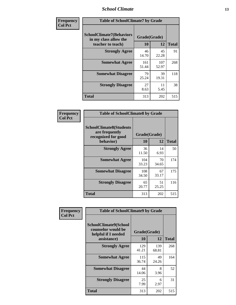### *School Climate* **13**

| Frequency      | <b>Table of SchoolClimate7 by Grade</b>                                       |                           |              |              |
|----------------|-------------------------------------------------------------------------------|---------------------------|--------------|--------------|
| <b>Col Pct</b> | <b>SchoolClimate7(Behaviors</b><br>in my class allow the<br>teacher to teach) | Grade(Grade)<br><b>10</b> | 12           | <b>Total</b> |
|                | <b>Strongly Agree</b>                                                         | 46<br>14.70               | 45<br>22.28  | 91           |
|                | <b>Somewhat Agree</b>                                                         | 161<br>51.44              | 107<br>52.97 | 268          |
|                | <b>Somewhat Disagree</b>                                                      | 79<br>25.24               | 39<br>19.31  | 118          |
|                | <b>Strongly Disagree</b>                                                      | 27<br>8.63                | 11<br>5.45   | 38           |
|                | <b>Total</b>                                                                  | 313                       | 202          | 515          |

| Frequency      | <b>Table of SchoolClimate8 by Grade</b>                                              |                    |             |              |  |
|----------------|--------------------------------------------------------------------------------------|--------------------|-------------|--------------|--|
| <b>Col Pct</b> | <b>SchoolClimate8(Students</b><br>are frequently<br>recognized for good<br>behavior) | Grade(Grade)<br>10 | 12          | <b>Total</b> |  |
|                | <b>Strongly Agree</b>                                                                | 36<br>11.50        | 14<br>6.93  | 50           |  |
|                | <b>Somewhat Agree</b>                                                                | 104<br>33.23       | 70<br>34.65 | 174          |  |
|                | <b>Somewhat Disagree</b>                                                             | 108<br>34.50       | 67<br>33.17 | 175          |  |
|                | <b>Strongly Disagree</b>                                                             | 65<br>20.77        | 51<br>25.25 | 116          |  |
|                | <b>Total</b>                                                                         | 313                | 202         | 515          |  |

| Frequency      | <b>Table of SchoolClimate9 by Grade</b>                                           |                    |              |              |  |
|----------------|-----------------------------------------------------------------------------------|--------------------|--------------|--------------|--|
| <b>Col Pct</b> | SchoolClimate9(School<br>counselor would be<br>helpful if I needed<br>assistance) | Grade(Grade)<br>10 | 12           | <b>Total</b> |  |
|                | <b>Strongly Agree</b>                                                             | 129<br>41.21       | 139<br>68.81 | 268          |  |
|                | <b>Somewhat Agree</b>                                                             | 115<br>36.74       | 49<br>24.26  | 164          |  |
|                | <b>Somewhat Disagree</b>                                                          | 44<br>14.06        | 8<br>3.96    | 52           |  |
|                | <b>Strongly Disagree</b>                                                          | 25<br>7.99         | 6<br>2.97    | 31           |  |
|                | Total                                                                             | 313                | 202          | 515          |  |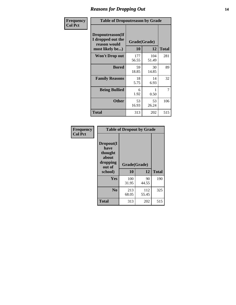### *Reasons for Dropping Out* **14**

| Frequency      | <b>Table of Dropoutreason by Grade</b>                                   |                    |              |              |
|----------------|--------------------------------------------------------------------------|--------------------|--------------|--------------|
| <b>Col Pct</b> | Dropoutreason(If<br>I dropped out the<br>reason would<br>most likely be) | Grade(Grade)<br>10 | 12           | <b>Total</b> |
|                | Won't Drop out                                                           | 177<br>56.55       | 104<br>51.49 | 281          |
|                | <b>Bored</b>                                                             | 59<br>18.85        | 30<br>14.85  | 89           |
|                | <b>Family Reasons</b>                                                    | 18<br>5.75         | 14<br>6.93   | 32           |
|                | <b>Being Bullied</b>                                                     | 6<br>1.92          | 0.50         | 7            |
|                | <b>Other</b>                                                             | 53<br>16.93        | 53<br>26.24  | 106          |
|                | <b>Total</b>                                                             | 313                | 202          | 515          |

| Frequency      | <b>Table of Dropout by Grade</b>                                       |                    |              |     |  |
|----------------|------------------------------------------------------------------------|--------------------|--------------|-----|--|
| <b>Col Pct</b> | Dropout(I<br>have<br>thought<br>about<br>dropping<br>out of<br>school) | Grade(Grade)<br>10 | <b>Total</b> |     |  |
|                | Yes                                                                    | 100<br>31.95       | 90<br>44.55  | 190 |  |
|                | N <sub>0</sub>                                                         | 213<br>68.05       | 112<br>55.45 | 325 |  |
|                | <b>Total</b>                                                           | 313                | 202          | 515 |  |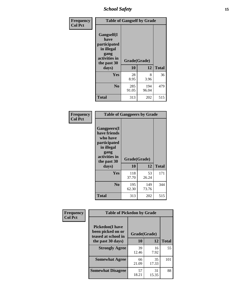*School Safety* **15**

| Frequency      | <b>Table of Gangself by Grade</b>                                                                 |                    |              |              |  |
|----------------|---------------------------------------------------------------------------------------------------|--------------------|--------------|--------------|--|
| <b>Col Pct</b> | Gangself(I<br>have<br>participated<br>in illegal<br>gang<br>activities in<br>the past 30<br>days) | Grade(Grade)<br>10 | 12           | <b>Total</b> |  |
|                | Yes                                                                                               | 28<br>8.95         | 8<br>3.96    | 36           |  |
|                | N <sub>0</sub>                                                                                    | 285<br>91.05       | 194<br>96.04 | 479          |  |
|                | <b>Total</b>                                                                                      | 313                | 202          | 515          |  |

| Frequency<br><b>Col Pct</b> | <b>Table of Gangpeers by Grade</b>                                                                                     |                    |              |              |  |  |  |  |  |
|-----------------------------|------------------------------------------------------------------------------------------------------------------------|--------------------|--------------|--------------|--|--|--|--|--|
|                             | Gangpeers(I<br>have friends<br>who have<br>participated<br>in illegal<br>gang<br>activities in<br>the past 30<br>days) | Grade(Grade)<br>10 | 12           | <b>Total</b> |  |  |  |  |  |
|                             | <b>Yes</b>                                                                                                             | 118<br>37.70       | 53<br>26.24  | 171          |  |  |  |  |  |
|                             | N <sub>0</sub>                                                                                                         | 195<br>62.30       | 149<br>73.76 | 344          |  |  |  |  |  |
|                             | <b>Total</b>                                                                                                           | 313                | 202          | 515          |  |  |  |  |  |

| Frequency      | <b>Table of Pickedon by Grade</b>                                  |              |             |              |
|----------------|--------------------------------------------------------------------|--------------|-------------|--------------|
| <b>Col Pct</b> | <b>Pickedon(I have</b><br>been picked on or<br>teased at school in | Grade(Grade) |             |              |
|                | the past 30 days)                                                  | 10           | 12          | <b>Total</b> |
|                | <b>Strongly Agree</b>                                              | 39<br>12.46  | 16<br>7.92  | 55           |
|                | <b>Somewhat Agree</b>                                              | 66<br>21.09  | 35<br>17.33 | 101          |
|                | <b>Somewhat Disagree</b>                                           | 57<br>18.21  | 31<br>15.35 | 88           |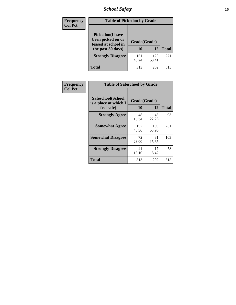# *School Safety* **16**

| <b>Frequency</b> | <b>Table of Pickedon by Grade</b>                                                       |                    |              |              |
|------------------|-----------------------------------------------------------------------------------------|--------------------|--------------|--------------|
| <b>Col Pct</b>   | <b>Pickedon(I have</b><br>been picked on or<br>teased at school in<br>the past 30 days) | Grade(Grade)<br>10 | 12           | <b>Total</b> |
|                  | <b>Strongly Disagree</b>                                                                | 151<br>48.24       | 120<br>59.41 | 271          |
|                  | Total                                                                                   | 313                | 202          | 515          |

| <b>Frequency</b> | <b>Table of Safeschool by Grade</b>        |              |              |              |  |  |  |  |  |  |
|------------------|--------------------------------------------|--------------|--------------|--------------|--|--|--|--|--|--|
| <b>Col Pct</b>   | Safeschool(School<br>is a place at which I | Grade(Grade) |              |              |  |  |  |  |  |  |
|                  | feel safe)                                 | 10           | 12           | <b>Total</b> |  |  |  |  |  |  |
|                  | <b>Strongly Agree</b>                      | 48<br>15.34  | 45<br>22.28  | 93           |  |  |  |  |  |  |
|                  | <b>Somewhat Agree</b>                      | 152<br>48.56 | 109<br>53.96 | 261          |  |  |  |  |  |  |
|                  | <b>Somewhat Disagree</b>                   | 72<br>23.00  | 31<br>15.35  | 103          |  |  |  |  |  |  |
|                  | <b>Strongly Disagree</b>                   | 41<br>13.10  | 17<br>8.42   | 58           |  |  |  |  |  |  |
|                  | <b>Total</b>                               | 313          | 202          | 515          |  |  |  |  |  |  |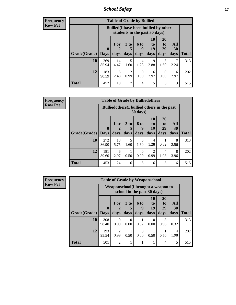*School Safety* **17**

| Frequency      |
|----------------|
| <b>Row Pct</b> |

| <b>Table of Grade by Bullied</b> |              |                                                                               |                      |                  |                |                  |           |              |  |  |  |  |
|----------------------------------|--------------|-------------------------------------------------------------------------------|----------------------|------------------|----------------|------------------|-----------|--------------|--|--|--|--|
|                                  |              | <b>Bullied</b> (I have been bullied by other<br>students in the past 30 days) |                      |                  |                |                  |           |              |  |  |  |  |
|                                  | $\bf{0}$     | $1$ or                                                                        | 3 <sub>to</sub><br>5 | <b>6 to</b><br>q | 10<br>to<br>19 | 20<br>to<br>29   | All<br>30 |              |  |  |  |  |
| Grade(Grade)                     | <b>Days</b>  | days                                                                          | days                 | days             | days           | days             | days      | <b>Total</b> |  |  |  |  |
| 10                               | 269<br>85.94 | 14<br>4.47                                                                    | 5<br>1.60            | 4<br>1.28        | 9<br>2.88      | 5<br>1.60        | 2.24      | 313          |  |  |  |  |
| 12                               | 183<br>90.59 | 5<br>2.48                                                                     | 2<br>0.99            | 0<br>0.00        | 6<br>2.97      | $\Omega$<br>0.00 | 6<br>2.97 | 202          |  |  |  |  |
| Total                            | 452          | 19                                                                            | 7                    | $\overline{4}$   | 15             | 5                | 13        | 515          |  |  |  |  |

| Frequency      |              |                             |                                                                         |                         |                   | <b>Table of Grade by Bulliedothers</b> |                               |                   |              |  |  |
|----------------|--------------|-----------------------------|-------------------------------------------------------------------------|-------------------------|-------------------|----------------------------------------|-------------------------------|-------------------|--------------|--|--|
| <b>Row Pct</b> |              |                             | <b>Bulliedothers</b> (I bullied others in the past<br>$30 \text{ days}$ |                         |                   |                                        |                               |                   |              |  |  |
|                | Grade(Grade) | $\mathbf{0}$<br><b>Days</b> | 1 or<br>days                                                            | 3 <sub>to</sub><br>days | 6 to<br>9<br>days | 10<br>to<br>19<br>days                 | <b>20</b><br>to<br>29<br>days | All<br>30<br>days | <b>Total</b> |  |  |
|                | 10           | 272<br>86.90                | 18<br>5.75                                                              | 5<br>1.60               | 5<br>1.60         | 4<br>1.28                              | 0.32                          | 8<br>2.56         | 313          |  |  |
|                | 12           | 181<br>89.60                | 6<br>2.97                                                               | 0.50                    | $\Omega$<br>0.00  | 2<br>0.99                              | 4<br>1.98                     | 8<br>3.96         | 202          |  |  |
|                | <b>Total</b> | 453                         | 24                                                                      | 6                       | 5                 | 6                                      | 5                             | 16                | 515          |  |  |

| Frequency      |                     |                                     |                                     | <b>Table of Grade by Weaponschool</b> |           |                  |                       |           |              |
|----------------|---------------------|-------------------------------------|-------------------------------------|---------------------------------------|-----------|------------------|-----------------------|-----------|--------------|
| <b>Row Pct</b> |                     | Weaponschool (I brought a weapon to |                                     |                                       |           |                  |                       |           |              |
|                |                     | $\mathbf{0}$                        | $1$ or                              | 3 <sub>to</sub>                       | 6 to<br>9 | 10<br>to<br>19   | <b>20</b><br>to<br>29 | All<br>30 |              |
|                | Grade(Grade)   Days |                                     | days                                | days                                  | days      | days             | days                  | days      | <b>Total</b> |
|                | 10                  | 308<br>98.40                        | $\Omega$<br>0.00                    | 0<br>0.00                             | 0.32      | $\Omega$<br>0.00 | 3<br>0.96             | 0.32      | 313          |
|                | 12                  | 193<br>95.54                        | $\mathcal{D}_{\mathcal{L}}$<br>0.99 | 0.50                                  | 0<br>0.00 | 0.50             | 0.50                  | 4<br>1.98 | 202          |
|                | <b>Total</b>        | 501                                 | $\mathfrak{D}$                      |                                       |           |                  | 4                     | 5         | 515          |

ï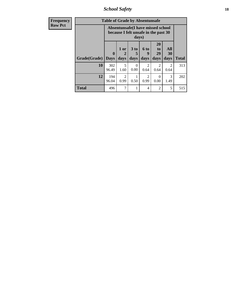*School Safety* **18**

| <b>Frequency</b> | <b>Table of Grade by Absentunsafe</b> |                                                                           |                                     |                         |                              |                                           |                   |              |  |  |
|------------------|---------------------------------------|---------------------------------------------------------------------------|-------------------------------------|-------------------------|------------------------------|-------------------------------------------|-------------------|--------------|--|--|
| <b>Row Pct</b>   |                                       | Absentunsafe(I have missed school<br>because I felt unsafe in the past 30 |                                     |                         |                              |                                           |                   |              |  |  |
|                  | Grade(Grade)                          | $\mathbf{0}$<br><b>Days</b>                                               | 1 or<br>$\mathbf 2$<br>days         | 3 <sub>to</sub><br>days | 6 <sub>to</sub><br>9<br>days | <b>20</b><br>t <sub>0</sub><br>29<br>days | All<br>30<br>days | <b>Total</b> |  |  |
|                  | 10                                    | 302<br>96.49                                                              | 5<br>1.60                           | ∩<br>0.00               | $\mathcal{D}$<br>0.64        | 0.64                                      | 2<br>0.64         | 313          |  |  |
|                  | 12                                    | 194<br>96.04                                                              | $\mathcal{D}_{\mathcal{A}}$<br>0.99 | 0.50                    | $\mathcal{D}$<br>0.99        | $\Omega$<br>0.00                          | 3<br>1.49         | 202          |  |  |
|                  | <b>Total</b>                          | 496                                                                       | 7                                   |                         | 4                            | 2                                         | 5                 | 515          |  |  |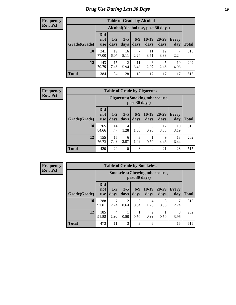# *Drug Use During Last 30 Days* **19**

#### **Frequency Row Pct**

| <b>Table of Grade by Alcohol</b> |                                 |                 |                 |                 |                                    |                   |              |              |  |  |  |  |
|----------------------------------|---------------------------------|-----------------|-----------------|-----------------|------------------------------------|-------------------|--------------|--------------|--|--|--|--|
|                                  |                                 |                 |                 |                 | Alcohol(Alcohol use, past 30 days) |                   |              |              |  |  |  |  |
| Grade(Grade)                     | <b>Did</b><br>not<br><b>use</b> | $1 - 2$<br>days | $3 - 5$<br>days | $6 - 9$<br>days | $10-19$<br>days                    | $20 - 29$<br>days | Every<br>day | <b>Total</b> |  |  |  |  |
| 10                               | 241<br>77.00                    | 19<br>6.07      | 16<br>5.11      | 7<br>2.24       | 11<br>3.51                         | 12<br>3.83        | 7<br>2.24    | 313          |  |  |  |  |
| 12                               | 143<br>70.79                    | 15<br>7.43      | 12<br>5.94      | 11<br>5.45      | 6<br>2.97                          | 5<br>2.48         | 10<br>4.95   | 202          |  |  |  |  |
| <b>Total</b>                     | 384                             | 34              | 28              | 18              | 17                                 | 17                | 17           | 515          |  |  |  |  |

#### **Frequency Row Pct**

| <b>Table of Grade by Cigarettes</b> |                                 |                                                          |                 |               |                 |                   |                     |              |  |  |  |  |
|-------------------------------------|---------------------------------|----------------------------------------------------------|-----------------|---------------|-----------------|-------------------|---------------------|--------------|--|--|--|--|
|                                     |                                 | <b>Cigarettes</b> (Smoking tobacco use,<br>past 30 days) |                 |               |                 |                   |                     |              |  |  |  |  |
| Grade(Grade)                        | <b>Did</b><br>not<br><b>use</b> | $1 - 2$<br>days                                          | $3 - 5$<br>days | $6-9$<br>days | $10-19$<br>days | $20 - 29$<br>days | <b>Every</b><br>day | <b>Total</b> |  |  |  |  |
| 10                                  | 265<br>84.66                    | 14<br>4.47                                               | 4<br>1.28       | 5<br>1.60     | 3<br>0.96       | 12<br>3.83        | 10<br>3.19          | 313          |  |  |  |  |
| 12                                  | 155<br>76.73                    | 15<br>7.43                                               | 6<br>2.97       | 3<br>1.49     | 0.50            | 9<br>4.46         | 13<br>6.44          | 202          |  |  |  |  |
| <b>Total</b>                        | 420                             | 29                                                       | 10              | 8             | 4               | 21                | 23                  | 515          |  |  |  |  |

**Frequency Row Pct**

| <b>Table of Grade by Smokeless</b> |                                 |                                                        |                        |                        |                 |                 |              |              |  |  |  |  |
|------------------------------------|---------------------------------|--------------------------------------------------------|------------------------|------------------------|-----------------|-----------------|--------------|--------------|--|--|--|--|
|                                    |                                 | <b>Smokeless</b> (Chewing tobaccouse,<br>past 30 days) |                        |                        |                 |                 |              |              |  |  |  |  |
| Grade(Grade)                       | <b>Did</b><br>not<br><b>use</b> | $1 - 2$<br>days                                        | $3 - 5$<br>days        | $6-9$<br>days          | $10-19$<br>days | $20-29$<br>days | Every<br>day | <b>Total</b> |  |  |  |  |
| 10                                 | 288<br>92.01                    | 2.24                                                   | $\overline{c}$<br>0.64 | $\overline{2}$<br>0.64 | 4<br>1.28       | 3<br>0.96       | 2.24         | 313          |  |  |  |  |
| 12                                 | 185<br>91.58                    | 4<br>1.98                                              | 0.50                   | 0.50                   | 2<br>0.99       | 0.50            | 8<br>3.96    | 202          |  |  |  |  |
| <b>Total</b>                       | 473                             | 11                                                     | 3                      | 3                      | 6               | 4               | 15           | 515          |  |  |  |  |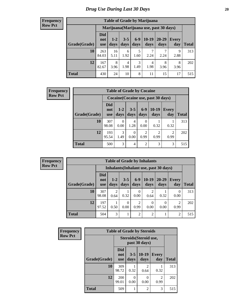#### **Frequency Row Pct**

| <b>Table of Grade by Marijuana</b>                                                                                                                                         |              |                                         |           |           |           |           |           |     |  |  |  |
|----------------------------------------------------------------------------------------------------------------------------------------------------------------------------|--------------|-----------------------------------------|-----------|-----------|-----------|-----------|-----------|-----|--|--|--|
|                                                                                                                                                                            |              | Marijuana (Marijuana use, past 30 days) |           |           |           |           |           |     |  |  |  |
| <b>Did</b><br>$10-19$<br>$6-9$<br>20-29<br>$3 - 5$<br>$1 - 2$<br>Every<br>not<br>Grade(Grade)<br><b>Total</b><br>days<br>days<br>days<br>days<br>days<br>day<br><b>use</b> |              |                                         |           |           |           |           |           |     |  |  |  |
| 10                                                                                                                                                                         | 263<br>84.03 | 16<br>5.11                              | 6<br>1.92 | 5<br>1.60 | 2.24      | 2.24      | 9<br>2.88 | 313 |  |  |  |
| 12                                                                                                                                                                         | 167<br>82.67 | 8<br>3.96                               | 4<br>1.98 | 3<br>1.49 | 4<br>1.98 | 8<br>3.96 | 8<br>3.96 | 202 |  |  |  |
| <b>Total</b>                                                                                                                                                               | 430          | 24                                      | 10        | 8         | 11        | 15        | 17        | 515 |  |  |  |

| <b>Frequency</b> | <b>Table of Grade by Cocaine</b><br>Cocaine (Cocaine use, past 30 days) |                                 |                  |                 |                        |                        |                     |              |
|------------------|-------------------------------------------------------------------------|---------------------------------|------------------|-----------------|------------------------|------------------------|---------------------|--------------|
| <b>Row Pct</b>   |                                                                         |                                 |                  |                 |                        |                        |                     |              |
|                  | Grade(Grade)                                                            | <b>Did</b><br>not<br><b>use</b> | $1-2$<br>days    | $3 - 5$<br>days | days                   | $6-9$   10-19<br>days  | <b>Every</b><br>day | <b>Total</b> |
|                  | 10                                                                      | 307<br>98.08                    | $\Omega$<br>0.00 | 4<br>1.28       | $\Omega$<br>0.00       | 0.32                   | 0.32                | 313          |
|                  | 12                                                                      | 193<br>95.54                    | 3<br>1.49        | 0<br>0.00       | $\overline{2}$<br>0.99 | $\overline{2}$<br>0.99 | 2<br>0.99           | 202          |
|                  | <b>Total</b>                                                            | 500                             | 3                | $\overline{4}$  | 2                      | 3                      | 3                   | 515          |

**Frequency Row Pct**

| <b>Table of Grade by Inhalants</b>                                                                                                                         |              |                                        |           |                        |                |           |                  |       |  |  |
|------------------------------------------------------------------------------------------------------------------------------------------------------------|--------------|----------------------------------------|-----------|------------------------|----------------|-----------|------------------|-------|--|--|
|                                                                                                                                                            |              | Inhalants (Inhalant use, past 30 days) |           |                        |                |           |                  |       |  |  |
| <b>Did</b><br>$10-19$<br>$6-9$<br>20-29<br>$3 - 5$<br>$1 - 2$<br>Every<br>not<br>Grade(Grade)<br>days<br>days<br>days<br>day<br>days<br>days<br><b>use</b> |              |                                        |           |                        |                |           |                  | Total |  |  |
| 10                                                                                                                                                         | 307<br>98.08 | $\overline{2}$<br>0.64                 | 0.32      | 0.00                   | 2<br>0.64      | 0.32      | $\theta$<br>0.00 | 313   |  |  |
| 12                                                                                                                                                         | 197<br>97.52 | 0.50                                   | 0<br>0.00 | $\overline{2}$<br>0.99 | 0<br>0.00      | 0<br>0.00 | 2<br>0.99        | 202   |  |  |
| <b>Total</b>                                                                                                                                               | 504          | 3                                      |           | $\overline{2}$         | $\overline{2}$ |           | 2                | 515   |  |  |

| <b>Frequency</b> | <b>Table of Grade by Steroids</b> |                                 |                           |                                         |                        |              |  |
|------------------|-----------------------------------|---------------------------------|---------------------------|-----------------------------------------|------------------------|--------------|--|
| <b>Row Pct</b>   |                                   |                                 |                           | Steroids (Steroid use,<br>past 30 days) |                        |              |  |
|                  | Grade(Grade)                      | <b>Did</b><br>not<br><b>use</b> | $3 - 5$<br>days           | $10-19$<br>days                         | Every<br>day           | <b>Total</b> |  |
|                  | 10                                | 309<br>98.72                    | 0.32                      | $\mathcal{D}_{\mathcal{A}}$<br>0.64     | 0.32                   | 313          |  |
|                  | 12                                | 200<br>99.01                    | $\mathbf{\Omega}$<br>0.00 | $\Omega$<br>0.00                        | $\mathfrak{D}$<br>0.99 | 202          |  |
|                  | <b>Total</b>                      | 509                             |                           | $\mathfrak{D}$                          | 3                      | 515          |  |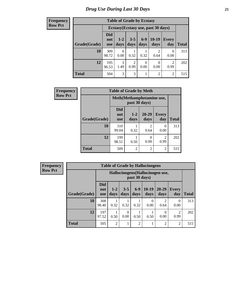**Frequency Row Pct**

| <b>Table of Grade by Ecstasy</b> |              |                                                                                                                                                      |           |      |           |                |     |  |  |  |
|----------------------------------|--------------|------------------------------------------------------------------------------------------------------------------------------------------------------|-----------|------|-----------|----------------|-----|--|--|--|
|                                  |              | Ecstasy (Ecstasy use, past 30 days)<br>$6 - 9$<br>$10-19$<br>$3 - 5$<br>$1 - 2$<br>Every<br>not<br>days<br>days<br>days<br>day<br>days<br><b>use</b> |           |      |           |                |     |  |  |  |
| Grade(Grade)                     | Did          |                                                                                                                                                      |           |      |           |                |     |  |  |  |
| 10                               | 309<br>98.72 | 0<br>0.00                                                                                                                                            | 0.32      | 0.32 | 2<br>0.64 | 0<br>0.00      | 313 |  |  |  |
| 12                               | 195<br>96.53 | 3<br>1.49                                                                                                                                            | 2<br>0.99 | 0.00 | 0.00      | 2<br>0.99      | 202 |  |  |  |
| <b>Total</b>                     | 504          | 3                                                                                                                                                    | 3         |      | 2         | $\overline{c}$ | 515 |  |  |  |

| Frequency      | <b>Table of Grade by Meth</b> |                                 |                                            |                        |                     |              |  |  |  |
|----------------|-------------------------------|---------------------------------|--------------------------------------------|------------------------|---------------------|--------------|--|--|--|
| <b>Row Pct</b> |                               |                                 | Meth(Methamphetamine use,<br>past 30 days) |                        |                     |              |  |  |  |
|                | Grade(Grade)                  | <b>Did</b><br>not<br><b>use</b> | $1-2$<br>days                              | 20-29<br>days          | <b>Every</b><br>day | <b>Total</b> |  |  |  |
|                | 10                            | 310<br>99.04                    | 0.32                                       | $\mathfrak{D}$<br>0.64 | 0<br>0.00           | 313          |  |  |  |
|                | 12                            | 199<br>98.51                    | 0.50                                       | 0<br>0.00              | 2<br>0.99           | 202          |  |  |  |
|                | <b>Total</b>                  | 509                             | $\overline{2}$                             | $\overline{2}$         | $\overline{c}$      | 515          |  |  |  |

| Frequency      | <b>Table of Grade by Hallucinogens</b> |                                 |                |                 |                |                 |                                  |                     |              |
|----------------|----------------------------------------|---------------------------------|----------------|-----------------|----------------|-----------------|----------------------------------|---------------------|--------------|
| <b>Row Pct</b> |                                        |                                 |                |                 | past 30 days)  |                 | Hallucinogens (Hallucinogen use, |                     |              |
|                | Grade(Grade)                           | <b>Did</b><br>not<br><b>use</b> | $1-2$<br>days  | $3 - 5$<br>days | $6-9$<br>days  | $10-19$<br>days | $20 - 29$<br>days                | <b>Every</b><br>day | <b>Total</b> |
|                | 10                                     | 308<br>98.40                    | 0.32           | 0.32            | 0.32           | 0<br>0.00       | $\mathfrak{D}$<br>0.64           | $\Omega$<br>0.00    | 313          |
|                | 12                                     | 197<br>97.52                    | 0.50           | 0<br>0.00       | 0.50           | 0.50            | $\Omega$<br>0.00                 | 2<br>0.99           | 202          |
|                | <b>Total</b>                           | 505                             | $\overline{2}$ | T               | $\overline{2}$ |                 | 2                                | $\overline{2}$      | 515          |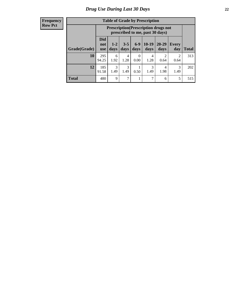| <b>Frequency</b> |
|------------------|
| <b>Row Pct</b>   |

| <b>Table of Grade by Prescription</b> |                          |                                                                                                                           |           |           |           |                       |                        |     |  |  |  |
|---------------------------------------|--------------------------|---------------------------------------------------------------------------------------------------------------------------|-----------|-----------|-----------|-----------------------|------------------------|-----|--|--|--|
|                                       |                          | <b>Prescription</b> (Prescription drugs not<br>prescribed to me, past 30 days)                                            |           |           |           |                       |                        |     |  |  |  |
| Grade(Grade)                          | Did<br>not<br><b>use</b> | $6 - 9$<br>$10-19$<br>$3 - 5$<br>20-29<br>$1 - 2$<br>Every<br>days<br>days<br><b>Total</b><br>days<br>days<br>day<br>days |           |           |           |                       |                        |     |  |  |  |
| 10                                    | 295<br>94.25             | 6<br>1.92                                                                                                                 | 4<br>1.28 | 0<br>0.00 | 4<br>1.28 | $\mathcal{D}$<br>0.64 | $\mathfrak{D}$<br>0.64 | 313 |  |  |  |
| 12                                    | 185<br>91.58             | 3<br>1.49                                                                                                                 | 3<br>1.49 | 0.50      | 3<br>1.49 | 4<br>1.98             | 3<br>1.49              | 202 |  |  |  |
| <b>Total</b>                          | 480                      | 9                                                                                                                         | 7         |           | 7         | 6                     | 5                      | 515 |  |  |  |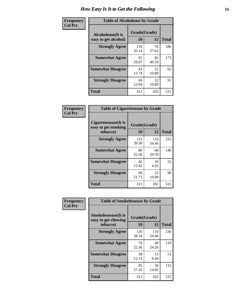| Frequency      | <b>Table of Alcoholease by Grade</b>              |                    |             |              |  |  |  |
|----------------|---------------------------------------------------|--------------------|-------------|--------------|--|--|--|
| <b>Col Pct</b> | <b>Alcoholease</b> (It is<br>easy to get alcohol) | Grade(Grade)<br>10 | 12          | <b>Total</b> |  |  |  |
|                | <b>Strongly Agree</b>                             | 110<br>35.14       | 76<br>37.62 | 186          |  |  |  |
|                | <b>Somewhat Agree</b>                             | 91<br>29.07        | 82<br>40.59 | 173          |  |  |  |
|                | <b>Somewhat Disagree</b>                          | 43<br>13.74        | 22<br>10.89 | 65           |  |  |  |
|                | <b>Strongly Disagree</b>                          | 69<br>22.04        | 22<br>10.89 | 91           |  |  |  |
|                | <b>Total</b>                                      | 313                | 202         | 515          |  |  |  |

| <b>Frequency</b> |  |
|------------------|--|
| <b>Col Pct</b>   |  |

| <b>Table of Cigarettesease by Grade</b>                 |                    |              |              |  |  |  |  |
|---------------------------------------------------------|--------------------|--------------|--------------|--|--|--|--|
| Cigarettesease(It is<br>easy to get smoking<br>tobacco) | Grade(Grade)<br>10 | 12           | <b>Total</b> |  |  |  |  |
| <b>Strongly Agree</b>                                   | 123<br>39.30       | 110<br>54.46 | 233          |  |  |  |  |
| <b>Somewhat Agree</b>                                   | 80<br>25.56        | 60<br>29.70  | 140          |  |  |  |  |
| <b>Somewhat Disagree</b>                                | 42<br>13.42        | 10<br>4.95   | 52           |  |  |  |  |
| <b>Strongly Disagree</b>                                | 68<br>21.73        | 22<br>10.89  | 90           |  |  |  |  |
| <b>Total</b>                                            | 313                | 202          | 515          |  |  |  |  |

| Frequency      | <b>Table of Smokelessease by Grade</b>                         |                    |                    |     |  |  |  |  |  |  |
|----------------|----------------------------------------------------------------|--------------------|--------------------|-----|--|--|--|--|--|--|
| <b>Col Pct</b> | <b>Smokelessease</b> (It is<br>easy to get chewing<br>tobacco) | Grade(Grade)<br>10 | <b>Total</b>       |     |  |  |  |  |  |  |
|                | <b>Strongly Agree</b>                                          | 120<br>38.34       | 12<br>110<br>54.46 | 230 |  |  |  |  |  |  |
|                | <b>Somewhat Agree</b>                                          | 70<br>22.36        | 49<br>24.26        | 119 |  |  |  |  |  |  |
|                | <b>Somewhat Disagree</b>                                       | 38<br>12.14        | 13<br>6.44         | 51  |  |  |  |  |  |  |
|                | <b>Strongly Disagree</b>                                       | 85<br>27.16        | 30<br>14.85        | 115 |  |  |  |  |  |  |
|                | <b>Total</b>                                                   | 313                | 202                | 515 |  |  |  |  |  |  |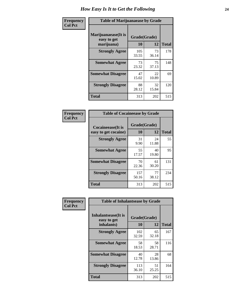| Frequency      | <b>Table of Marijuanaease by Grade</b>           |                    |              |     |  |  |  |  |  |
|----------------|--------------------------------------------------|--------------------|--------------|-----|--|--|--|--|--|
| <b>Col Pct</b> | Marijuanaease(It is<br>easy to get<br>marijuana) | Grade(Grade)<br>10 | <b>Total</b> |     |  |  |  |  |  |
|                | <b>Strongly Agree</b>                            | 105<br>33.55       | 73<br>36.14  | 178 |  |  |  |  |  |
|                | <b>Somewhat Agree</b>                            | 73<br>23.32        | 75<br>37.13  | 148 |  |  |  |  |  |
|                | <b>Somewhat Disagree</b>                         | 47<br>15.02        | 22<br>10.89  | 69  |  |  |  |  |  |
|                | <b>Strongly Disagree</b>                         | 88<br>28.12        | 32<br>15.84  | 120 |  |  |  |  |  |
|                | <b>Total</b>                                     | 313                | 202          | 515 |  |  |  |  |  |

| <b>Table of Cocaineease by Grade</b>              |                    |              |     |  |  |  |  |  |  |  |
|---------------------------------------------------|--------------------|--------------|-----|--|--|--|--|--|--|--|
| <b>Cocaineease</b> (It is<br>easy to get cocaine) | Grade(Grade)<br>10 | <b>Total</b> |     |  |  |  |  |  |  |  |
| <b>Strongly Agree</b>                             | 31<br>9.90         | 24<br>11.88  | 55  |  |  |  |  |  |  |  |
| <b>Somewhat Agree</b>                             | 55<br>17.57        | 40<br>19.80  | 95  |  |  |  |  |  |  |  |
| <b>Somewhat Disagree</b>                          | 70<br>22.36        | 61<br>30.20  | 131 |  |  |  |  |  |  |  |
| <b>Strongly Disagree</b>                          | 157<br>50.16       | 77<br>38.12  | 234 |  |  |  |  |  |  |  |
| <b>Total</b>                                      | 313                | 202          | 515 |  |  |  |  |  |  |  |

| Frequency      | <b>Table of Inhalantsease by Grade</b>           |                    |             |              |  |  |  |  |  |  |
|----------------|--------------------------------------------------|--------------------|-------------|--------------|--|--|--|--|--|--|
| <b>Col Pct</b> | Inhalantsease(It is<br>easy to get<br>inhalants) | Grade(Grade)<br>10 | 12          | <b>Total</b> |  |  |  |  |  |  |
|                | <b>Strongly Agree</b>                            | 102<br>32.59       | 65<br>32.18 | 167          |  |  |  |  |  |  |
|                | <b>Somewhat Agree</b>                            | 58<br>18.53        | 58<br>28.71 | 116          |  |  |  |  |  |  |
|                | <b>Somewhat Disagree</b>                         | 40<br>12.78        | 28<br>13.86 | 68           |  |  |  |  |  |  |
|                | <b>Strongly Disagree</b>                         | 113<br>36.10       | 51<br>25.25 | 164          |  |  |  |  |  |  |
|                | <b>Total</b>                                     | 313                | 202         | 515          |  |  |  |  |  |  |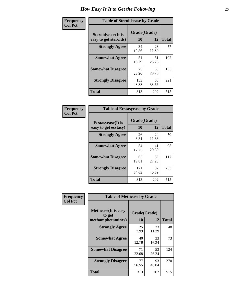| Frequency      | <b>Table of Steroidsease by Grade</b>               |              |                    |     |  |  |  |  |  |  |
|----------------|-----------------------------------------------------|--------------|--------------------|-----|--|--|--|--|--|--|
| <b>Col Pct</b> | <b>Steroidsease</b> (It is<br>easy to get steroids) | 10           | Grade(Grade)<br>12 |     |  |  |  |  |  |  |
|                | <b>Strongly Agree</b>                               | 34<br>10.86  | 23<br>11.39        | 57  |  |  |  |  |  |  |
|                | <b>Somewhat Agree</b>                               | 51<br>16.29  | 51<br>25.25        | 102 |  |  |  |  |  |  |
|                | <b>Somewhat Disagree</b>                            | 75<br>23.96  | 60<br>29.70        | 135 |  |  |  |  |  |  |
|                | <b>Strongly Disagree</b>                            | 153<br>48.88 | 68<br>33.66        | 221 |  |  |  |  |  |  |
|                | <b>Total</b>                                        | 313          | 202                | 515 |  |  |  |  |  |  |

| Frequency      | <b>Table of Ecstasyease by Grade</b>              |                    |              |     |  |  |  |  |  |  |
|----------------|---------------------------------------------------|--------------------|--------------|-----|--|--|--|--|--|--|
| <b>Col Pct</b> | <b>Ecstasyease</b> (It is<br>easy to get ecstasy) | Grade(Grade)<br>10 | <b>Total</b> |     |  |  |  |  |  |  |
|                | <b>Strongly Agree</b>                             | 26<br>8.31         | 24<br>11.88  | 50  |  |  |  |  |  |  |
|                | <b>Somewhat Agree</b>                             | 54<br>17.25        | 41<br>20.30  | 95  |  |  |  |  |  |  |
|                | <b>Somewhat Disagree</b>                          | 62<br>19.81        | 55<br>27.23  | 117 |  |  |  |  |  |  |
|                | <b>Strongly Disagree</b>                          | 171<br>54.63       | 82<br>40.59  | 253 |  |  |  |  |  |  |
|                | <b>Total</b>                                      | 313                | 202          | 515 |  |  |  |  |  |  |

| Frequency      | <b>Table of Methease by Grade</b>                          |                    |              |     |  |  |  |  |  |
|----------------|------------------------------------------------------------|--------------------|--------------|-----|--|--|--|--|--|
| <b>Col Pct</b> | <b>Methease</b> (It is easy<br>to get<br>methamphetamines) | Grade(Grade)<br>10 | <b>Total</b> |     |  |  |  |  |  |
|                | <b>Strongly Agree</b>                                      | 25<br>7.99         | 23<br>11.39  | 48  |  |  |  |  |  |
|                | <b>Somewhat Agree</b>                                      | 40<br>12.78        | 33<br>16.34  | 73  |  |  |  |  |  |
|                | <b>Somewhat Disagree</b>                                   | 71<br>22.68        | 53<br>26.24  | 124 |  |  |  |  |  |
|                | <b>Strongly Disagree</b>                                   | 177<br>56.55       | 93<br>46.04  | 270 |  |  |  |  |  |
|                | <b>Total</b>                                               | 313                | 202          | 515 |  |  |  |  |  |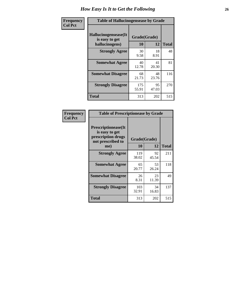| <b>Frequency</b> | <b>Table of Hallucinogensease by Grade</b>               |                    |             |              |  |  |  |  |  |  |
|------------------|----------------------------------------------------------|--------------------|-------------|--------------|--|--|--|--|--|--|
| <b>Col Pct</b>   | Hallucinogensease(It<br>is easy to get<br>hallucinogens) | Grade(Grade)<br>10 | 12          | <b>Total</b> |  |  |  |  |  |  |
|                  | <b>Strongly Agree</b>                                    | 30<br>9.58         | 18<br>8.91  | 48           |  |  |  |  |  |  |
|                  | <b>Somewhat Agree</b>                                    | 40<br>12.78        | 41<br>20.30 | 81           |  |  |  |  |  |  |
|                  | <b>Somewhat Disagree</b>                                 | 68<br>21.73        | 48<br>23.76 | 116          |  |  |  |  |  |  |
|                  | <b>Strongly Disagree</b>                                 | 175<br>55.91       | 95<br>47.03 | 270          |  |  |  |  |  |  |
|                  | <b>Total</b>                                             | 313                | 202         | 515          |  |  |  |  |  |  |

| Frequency<br>Col Pct |
|----------------------|
|                      |

| <b>Table of Prescriptionease by Grade</b>                                                |              |             |              |  |  |  |  |  |  |  |
|------------------------------------------------------------------------------------------|--------------|-------------|--------------|--|--|--|--|--|--|--|
| <b>Prescriptionease</b> (It<br>is easy to get<br>prescription drugs<br>not prescribed to | Grade(Grade) |             |              |  |  |  |  |  |  |  |
| me)                                                                                      | 10           | 12          | <b>Total</b> |  |  |  |  |  |  |  |
| <b>Strongly Agree</b>                                                                    | 119<br>38.02 | 92<br>45.54 | 211          |  |  |  |  |  |  |  |
| <b>Somewhat Agree</b>                                                                    | 65<br>20.77  | 53<br>26.24 | 118          |  |  |  |  |  |  |  |
| <b>Somewhat Disagree</b>                                                                 | 26<br>8.31   | 23<br>11.39 | 49           |  |  |  |  |  |  |  |
| <b>Strongly Disagree</b>                                                                 | 103<br>32.91 | 34<br>16.83 | 137          |  |  |  |  |  |  |  |
| <b>Total</b>                                                                             | 313          | 202         | 515          |  |  |  |  |  |  |  |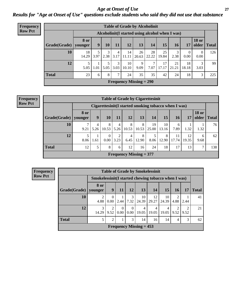*Age at Onset of Use* **27** *Results for "Age at Onset of Use" questions exclude students who said they did not use that substance*

| Frequency      | <b>Table of Grade by Alcoholinit</b> |                 |                                                  |           |           |             |                           |             |             |             |                  |                       |              |
|----------------|--------------------------------------|-----------------|--------------------------------------------------|-----------|-----------|-------------|---------------------------|-------------|-------------|-------------|------------------|-----------------------|--------------|
| <b>Row Pct</b> |                                      |                 | Alcoholinit (I started using alcohol when I was) |           |           |             |                           |             |             |             |                  |                       |              |
|                | Grade(Grade)                         | 8 or<br>younger | 9                                                | 10        | 11        | 12          | 13                        | 14          | 15          | <b>16</b>   | 17               | <b>18 or</b><br>older | <b>Total</b> |
|                | 10                                   | 18<br>14.29     | 3.97                                             | 3<br>2.38 | 4<br>3.17 | 14<br>11.11 | 26<br>20.63               | 28<br>22.22 | 25<br>19.84 | 3<br>2.38   | $\theta$<br>0.00 | $\theta$<br>0.00      | 126          |
|                | 12                                   | 5<br>5.05       | 1.01                                             | 5.05      | 3<br>3.03 | 10<br>10.10 | 9<br>9.09                 | 7<br>7.07   | 17<br>17.17 | 21<br>21.21 | 18<br>18.18      | 3<br>3.03             | 99           |
|                | <b>Total</b>                         | 23              | 6                                                | 8         | 7         | 24          | 35                        | 35          | 42          | 24          | 18               | 3                     | 225          |
|                |                                      |                 |                                                  |           |           |             | Frequency Missing $= 290$ |             |             |             |                  |                       |              |

| <b>Frequency</b> | <b>Table of Grade by Cigarettesinit</b> |                        |                                                      |                  |           |            |                                |             |             |             |             |                       |              |
|------------------|-----------------------------------------|------------------------|------------------------------------------------------|------------------|-----------|------------|--------------------------------|-------------|-------------|-------------|-------------|-----------------------|--------------|
| <b>Row Pct</b>   |                                         |                        | Cigarettesinit(I started smoking tobacco when I was) |                  |           |            |                                |             |             |             |             |                       |              |
|                  | Grade(Grade)                            | <b>8 or</b><br>younger | 9                                                    | 10               | 11        | 12         | 13                             | 14          | 15          | 16          | 17          | <b>18 or</b><br>older | <b>Total</b> |
|                  | 10                                      | 9.21                   | 4<br>5.26                                            | 8<br>10.53       | 4<br>5.26 | 8<br>10.53 | 8<br>10.53                     | 19<br>25.00 | 10<br>13.16 | 6<br>7.89   | 1.32        | 1.32                  | 76           |
|                  | 12                                      | 8.06                   | 1.61                                                 | $\Omega$<br>0.00 | 3.23      | 4<br>6.45  | 8<br>12.90                     | 8.06        | 8<br>12.90  | 11<br>17.74 | 12<br>19.35 | 6<br>9.68             | 62           |
|                  | <b>Total</b>                            | 12                     | 5                                                    | 8                | 6         | 12         | 16                             | 24          | 18          | 17          | 13          |                       | 138          |
|                  |                                         |                        |                                                      |                  |           |            | <b>Frequency Missing = 377</b> |             |             |             |             |                       |              |

| <b>Frequency</b> |                        |                                                     |                  |                          |                      |                           | <b>Table of Grade by Smokelessinit</b> |             |           |           |              |  |
|------------------|------------------------|-----------------------------------------------------|------------------|--------------------------|----------------------|---------------------------|----------------------------------------|-------------|-----------|-----------|--------------|--|
| <b>Row Pct</b>   |                        | Smokelessinit(I started chewing tobacco when I was) |                  |                          |                      |                           |                                        |             |           |           |              |  |
|                  | Grade(Grade)   younger | 8 or                                                | 9                | 11                       | <b>12</b>            | 13                        | <b>14</b>                              | 15          | 16        | 17        | <b>Total</b> |  |
|                  | 10                     | $\overline{2}$<br>4.88                              | $\left($<br>0.00 | 2.44                     | 3<br>7.32            | 10<br>24.39               | 12<br>29.27                            | 10<br>24.39 | 2<br>4.88 | 2.44      | 41           |  |
|                  | 12                     | 3<br>14.29                                          | 9.52             | $\boldsymbol{0}$<br>0.00 | $\Omega$<br>$0.00\,$ | 4<br>19.05                | 4<br>19.05                             | 4<br>19.05  | ∍<br>9.52 | ↑<br>9.52 | 21           |  |
|                  | <b>Total</b>           | 5                                                   | $\mathfrak{D}$   |                          | 3                    | 14                        | 16                                     | 14          | 4         | 3         | 62           |  |
|                  |                        |                                                     |                  |                          |                      | Frequency Missing $= 453$ |                                        |             |           |           |              |  |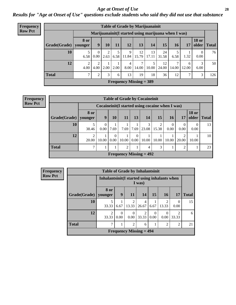#### *Age at Onset of Use* **28**

*Results for "Age at Onset of Use" questions exclude students who said they did not use that substance*

| <b>Frequency</b> |              | <b>Table of Grade by Marijuanainit</b> |                                                      |      |           |                      |                                |             |             |            |            |                       |              |
|------------------|--------------|----------------------------------------|------------------------------------------------------|------|-----------|----------------------|--------------------------------|-------------|-------------|------------|------------|-----------------------|--------------|
| <b>Row Pct</b>   |              |                                        | Marijuanainit (I started using marijuana when I was) |      |           |                      |                                |             |             |            |            |                       |              |
|                  | Grade(Grade) | <b>8 or</b><br>younger                 | 9                                                    | 10   | <b>11</b> | 12                   | 13                             | 14          | 15          | <b>16</b>  | 17         | <b>18 or</b><br>older | <b>Total</b> |
|                  | 10           | 6.58                                   | 0.00                                                 | 2.63 | 6.58      | $\mathbf Q$<br>11.84 | 12<br>15.79                    | 13<br>17.11 | 24<br>31.58 | 6.58       | 1.32       | $\theta$<br>0.00      | 76           |
|                  | 12           | $\overline{2}$<br>4.00                 | 4.00                                                 | 2.00 | 2.00      | 4<br>8.00            | 7<br>14.00                     | 10.00       | 12<br>24.00 | ⇁<br>14.00 | 6<br>12.00 | 3<br>6.00             | 50           |
|                  | <b>Total</b> | 7                                      | 2                                                    | 3    | 6         | 13                   | 19                             | 18          | 36          | 12         | 7          | 3                     | 126          |
|                  |              |                                        |                                                      |      |           |                      | <b>Frequency Missing = 389</b> |             |             |            |            |                       |              |

**Frequency Row Pct**

|                           | <b>Table of Grade by Cocaineinit</b> |                                                    |                      |                |                  |                |            |                  |                |                       |              |  |  |
|---------------------------|--------------------------------------|----------------------------------------------------|----------------------|----------------|------------------|----------------|------------|------------------|----------------|-----------------------|--------------|--|--|
|                           |                                      | Cocaine in it (I started using cocaine when I was) |                      |                |                  |                |            |                  |                |                       |              |  |  |
| Grade(Grade)   younger    | <b>8 or</b>                          | 9                                                  | 10                   | 11             | 13               | 14             | <b>15</b>  | <b>16</b>        | 17             | <b>18 or</b><br>older | <b>Total</b> |  |  |
| 10                        | 38.46                                | $\theta$<br>0.00                                   | 7.69                 | 7.69           | 7.69             | 3<br>23.08     | 2<br>15.38 | $\theta$<br>0.00 | 0<br>0.00      | 0.00                  | 13           |  |  |
| 12                        | 2<br>20.00                           | 10.00                                              | $\mathbf{0}$<br>0.00 | 10.00          | $\theta$<br>0.00 | 10.00          | 10.00      | 10.00            | ↑<br>20.00     | 10.00                 | 10           |  |  |
| <b>Total</b>              | ┑                                    |                                                    |                      | $\overline{2}$ | 1                | $\overline{4}$ | 3          |                  | $\overline{2}$ |                       | 23           |  |  |
| Frequency Missing $= 492$ |                                      |                                                    |                      |                |                  |                |            |                  |                |                       |              |  |  |

| <b>Frequency</b> | <b>Table of Grade by Inhalantsinit</b> |                                               |                  |                         |                           |           |                         |                         |              |
|------------------|----------------------------------------|-----------------------------------------------|------------------|-------------------------|---------------------------|-----------|-------------------------|-------------------------|--------------|
| <b>Row Pct</b>   |                                        | Inhalantsinit (I started using inhalants when |                  |                         | I was)                    |           |                         |                         |              |
|                  | Grade(Grade)                           | 8 or<br>vounger                               | 9                | 11                      | 14                        | 15        | <b>16</b>               | 17                      | <b>Total</b> |
|                  | 10                                     | 5<br>33.33                                    | 6.67             | $\overline{c}$<br>13.33 | 4<br>26.67                | 6.67      | $\mathfrak{D}$<br>13.33 | 0<br>0.00               | 15           |
|                  | 12                                     | $\overline{2}$<br>33.33                       | $\Omega$<br>0.00 | 0<br>0.00               | $\mathfrak{D}$<br>33.33   | 0<br>0.00 | $\Omega$<br>0.00        | $\mathfrak{D}$<br>33.33 | 6            |
|                  | <b>Total</b>                           | 7                                             |                  | $\overline{c}$          | 6                         |           | 2                       | 2                       | 21           |
|                  |                                        |                                               |                  |                         | Frequency Missing $= 494$ |           |                         |                         |              |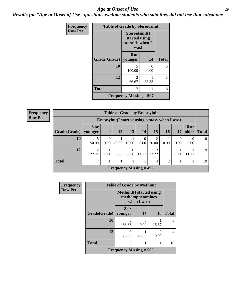#### *Age at Onset of Use* **29**

*Results for "Age at Onset of Use" questions exclude students who said they did not use that substance*

| Frequency      | <b>Table of Grade by Steroidsinit</b> |                                                            |       |              |
|----------------|---------------------------------------|------------------------------------------------------------|-------|--------------|
| <b>Row Pct</b> |                                       | Steroidsinit(I<br>started using<br>steroids when I<br>was) |       |              |
|                | Grade(Grade)                          | 8 or<br>younger                                            | 14    | <b>Total</b> |
|                | 10                                    | 5<br>100.00                                                | 0.00  | 5            |
|                | 12                                    | $\mathfrak{D}$<br>66.67                                    | 33.33 | 3            |
|                | <b>Total</b>                          |                                                            | 8     |              |
|                |                                       | Frequency Missing $= 507$                                  |       |              |

| <b>Frequency</b> |
|------------------|
| <b>Row Pct</b>   |

| <b>Table of Grade by Ecstasyinit</b> |            |                                                  |                  |                  |           |            |                |      |                       |              |  |
|--------------------------------------|------------|--------------------------------------------------|------------------|------------------|-----------|------------|----------------|------|-----------------------|--------------|--|
|                                      |            | Ecstasyinit (I started using ecstasy when I was) |                  |                  |           |            |                |      |                       |              |  |
| Grade(Grade)   younger               | 8 or       | 9                                                | <b>12</b>        | 13               | 14        | 15         | 16             | 17   | <b>18 or</b><br>older | <b>Total</b> |  |
| 10                                   | 50.00      | 0.00                                             | 10.00            | 10.00            | 0<br>0.00 | ◠<br>20.00 | 10.00          | 0.00 | $\Omega$<br>0.00      | 10           |  |
| 12                                   | ↑<br>22.22 | 11.11                                            | $\Omega$<br>0.00 | $\Omega$<br>0.00 | 11.11     | 22.22      | 11 11          |      |                       | 9            |  |
| <b>Total</b>                         | ┑          |                                                  |                  |                  |           | 4          | $\mathfrak{D}$ |      |                       | 19           |  |
| <b>Frequency Missing = 496</b>       |            |                                                  |                  |                  |           |            |                |      |                       |              |  |

| Frequency      | <b>Table of Grade by Methinit</b> |                                                                     |           |           |              |  |  |  |  |  |  |
|----------------|-----------------------------------|---------------------------------------------------------------------|-----------|-----------|--------------|--|--|--|--|--|--|
| <b>Row Pct</b> |                                   | <b>Methinit</b> (I started using<br>methamphetamines<br>when I was) |           |           |              |  |  |  |  |  |  |
|                | Grade(Grade)                      | 8 or<br>vounger                                                     | 14        | <b>16</b> | <b>Total</b> |  |  |  |  |  |  |
|                | 10                                | 5<br>83.33                                                          | 0<br>0.00 | 16.67     | 6            |  |  |  |  |  |  |
|                | 12                                | 3<br>75.00                                                          | 25.00     | 0<br>0.00 | 4            |  |  |  |  |  |  |
|                | <b>Total</b>                      | 8                                                                   |           |           | 10           |  |  |  |  |  |  |
|                |                                   | Frequency Missing $= 505$                                           |           |           |              |  |  |  |  |  |  |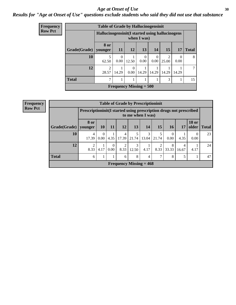#### Age at Onset of Use **30**

### *Results for "Age at Onset of Use" questions exclude students who said they did not use that substance*

| Frequency      |                        | <b>Table of Grade by Hallucinogensinit</b>       |                  |                           |             |                  |                         |                          |              |
|----------------|------------------------|--------------------------------------------------|------------------|---------------------------|-------------|------------------|-------------------------|--------------------------|--------------|
| <b>Row Pct</b> |                        | Hallucinogensinit (I started using hallucinogens |                  |                           | when I was) |                  |                         |                          |              |
|                | Grade(Grade)   younger | 8 or                                             | 11               | 12                        | 13          | 14               | 15                      | 17                       | <b>Total</b> |
|                | 10                     | 5<br>62.50                                       | $\Omega$<br>0.00 | 12.50                     | 0<br>0.00   | $\Omega$<br>0.00 | $\mathfrak{D}$<br>25.00 | $\left( \right)$<br>0.00 | 8            |
|                | 12                     | $\mathfrak{D}$<br>28.57                          | 14.29            | $\Omega$<br>0.00          | 14.29       | 14.29            | 14.29                   | 14.29                    | ℸ            |
|                | <b>Total</b>           | ⇁                                                |                  |                           |             |                  | 3                       |                          | 15           |
|                |                        |                                                  |                  | Frequency Missing $= 500$ |             |                  |                         |                          |              |

| <b>Frequency</b> |
|------------------|
| <b>Row Pct</b>   |

|                                | <b>Table of Grade by Prescriptioninit</b> |                                                                                         |                  |            |            |       |                        |                      |            |                       |              |  |  |
|--------------------------------|-------------------------------------------|-----------------------------------------------------------------------------------------|------------------|------------|------------|-------|------------------------|----------------------|------------|-----------------------|--------------|--|--|
|                                |                                           | Prescriptioninit(I started using prescription drugs not prescribed<br>to me when I was) |                  |            |            |       |                        |                      |            |                       |              |  |  |
| Grade(Grade)                   | 8 or<br>younger                           | <b>10</b>                                                                               | -11              | 12         | 13         | 14    | 15                     | <b>16</b>            | 17         | <b>18 or</b><br>older | <b>Total</b> |  |  |
| 10                             | 4<br>17.39                                | $\Omega$<br>0.00                                                                        | 4.35             | 4<br>17.39 | 5<br>21.74 | 13.04 | 21.74                  | $\mathbf{0}$<br>0.00 | 4.35       | $\theta$<br>0.00      | 23           |  |  |
| 12                             | 2<br>8.33                                 | 4.17                                                                                    | $\Omega$<br>0.00 | 2<br>8.33  | 3<br>12.50 | 4.17  | $\mathfrak{D}$<br>8.33 | 8<br>33.33           | 4<br>16.67 | 4.17                  | 24           |  |  |
| <b>Total</b>                   | 6                                         | 1.                                                                                      |                  | 6          | 8          | 4     | 7                      | 8                    | 5          |                       | 47           |  |  |
| <b>Frequency Missing = 468</b> |                                           |                                                                                         |                  |            |            |       |                        |                      |            |                       |              |  |  |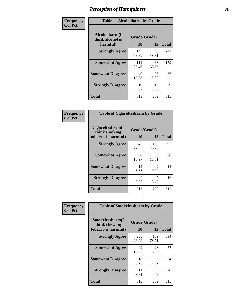| Frequency      | <b>Table of Alcoholharm by Grade</b>          |                    |             |              |  |  |  |  |  |  |  |  |
|----------------|-----------------------------------------------|--------------------|-------------|--------------|--|--|--|--|--|--|--|--|
| <b>Col Pct</b> | Alcoholharm(I<br>think alcohol is<br>harmful) | Grade(Grade)<br>10 | 12          | <b>Total</b> |  |  |  |  |  |  |  |  |
|                | <b>Strongly Agree</b>                         | 143<br>45.69       | 98<br>48.51 | 241          |  |  |  |  |  |  |  |  |
|                | <b>Somewhat Agree</b>                         | 111<br>35.46       | 68<br>33.66 | 179          |  |  |  |  |  |  |  |  |
|                | <b>Somewhat Disagree</b>                      | 40<br>12.78        | 26<br>12.87 | 66           |  |  |  |  |  |  |  |  |
|                | <b>Strongly Disagree</b>                      | 19<br>6.07         | 10<br>4.95  | 29           |  |  |  |  |  |  |  |  |
|                | <b>Total</b>                                  | 313                | 202         | 515          |  |  |  |  |  |  |  |  |

| <b>Table of Cigarettesharm by Grade</b>                  |                    |                        |              |  |  |
|----------------------------------------------------------|--------------------|------------------------|--------------|--|--|
| Cigarettesharm(I<br>think smoking<br>tobacco is harmful) | Grade(Grade)<br>10 | 12                     | <b>Total</b> |  |  |
| <b>Strongly Agree</b>                                    | 242<br>77.32       | 155<br>76.73           | 397          |  |  |
| <b>Somewhat Agree</b>                                    | 50<br>15.97        | 38<br>18.81            | 88           |  |  |
| <b>Somewhat Disagree</b>                                 | 12<br>3.83         | $\mathfrak{D}$<br>0.99 | 14           |  |  |
| <b>Strongly Disagree</b>                                 | 9<br>2.88          | 7<br>3.47              | 16           |  |  |
| <b>Total</b>                                             | 313                | 202                    | 515          |  |  |

| Frequency      | <b>Table of Smokelessharm by Grade</b>                  |                    |              |              |
|----------------|---------------------------------------------------------|--------------------|--------------|--------------|
| <b>Col Pct</b> | Smokelessharm(I<br>think chewing<br>tobacco is harmful) | Grade(Grade)<br>10 | 12           | <b>Total</b> |
|                | <b>Strongly Agree</b>                                   | 235<br>75.08       | 159<br>78.71 | 394          |
|                | <b>Somewhat Agree</b>                                   | 49<br>15.65        | 28<br>13.86  | 77           |
|                | <b>Somewhat Disagree</b>                                | 18<br>5.75         | 6<br>2.97    | 24           |
|                | <b>Strongly Disagree</b>                                | 11<br>3.51         | 9<br>4.46    | 20           |
|                | <b>Total</b>                                            | 313                | 202          | 515          |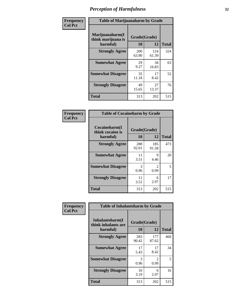| Frequency      | <b>Table of Marijuanaharm by Grade</b>            |                    |              |              |
|----------------|---------------------------------------------------|--------------------|--------------|--------------|
| <b>Col Pct</b> | Marijuanaharm(I<br>think marijuana is<br>harmful) | Grade(Grade)<br>10 | 12           | <b>Total</b> |
|                | <b>Strongly Agree</b>                             | 200<br>63.90       | 124<br>61.39 | 324          |
|                | <b>Somewhat Agree</b>                             | 29<br>9.27         | 34<br>16.83  | 63           |
|                | <b>Somewhat Disagree</b>                          | 35<br>11.18        | 17<br>8.42   | 52           |
|                | <b>Strongly Disagree</b>                          | 49<br>15.65        | 27<br>13.37  | 76           |
|                | <b>Total</b>                                      | 313                | 202          | 515          |

| <b>Table of Cocaineharm by Grade</b>          |                    |                        |              |  |  |
|-----------------------------------------------|--------------------|------------------------|--------------|--|--|
| Cocaineharm(I<br>think cocaine is<br>harmful) | Grade(Grade)<br>10 | 12                     | <b>Total</b> |  |  |
| <b>Strongly Agree</b>                         | 288<br>92.01       | 185<br>91.58           | 473          |  |  |
| <b>Somewhat Agree</b>                         | 11<br>3.51         | 9<br>4.46              | 20           |  |  |
| <b>Somewhat Disagree</b>                      | 3<br>0.96          | $\mathfrak{D}$<br>0.99 | 5            |  |  |
| <b>Strongly Disagree</b>                      | 11<br>3.51         | 6<br>2.97              | 17           |  |  |
| Total                                         | 313                | 202                    | 515          |  |  |

| Frequency      | <b>Table of Inhalantsharm by Grade</b>             |                    |                                     |              |
|----------------|----------------------------------------------------|--------------------|-------------------------------------|--------------|
| <b>Col Pct</b> | Inhalantsharm(I<br>think inhalants are<br>harmful) | Grade(Grade)<br>10 | 12                                  | <b>Total</b> |
|                | <b>Strongly Agree</b>                              | 283<br>90.42       | 177<br>87.62                        | 460          |
|                | <b>Somewhat Agree</b>                              | 17<br>5.43         | 17<br>8.42                          | 34           |
|                | <b>Somewhat Disagree</b>                           | 3<br>0.96          | $\mathcal{D}_{\mathcal{L}}$<br>0.99 | 5            |
|                | <b>Strongly Disagree</b>                           | 10<br>3.19         | 6<br>2.97                           | 16           |
|                | <b>Total</b>                                       | 313                | 202                                 | 515          |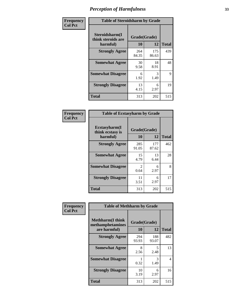| Frequency      | <b>Table of Steroidsharm by Grade</b>            |                    |              |              |
|----------------|--------------------------------------------------|--------------------|--------------|--------------|
| <b>Col Pct</b> | Steroidsharm(I<br>think steroids are<br>harmful) | Grade(Grade)<br>10 | 12           | <b>Total</b> |
|                | <b>Strongly Agree</b>                            | 264<br>84.35       | 175<br>86.63 | 439          |
|                | <b>Somewhat Agree</b>                            | 30<br>9.58         | 18<br>8.91   | 48           |
|                | <b>Somewhat Disagree</b>                         | 6<br>1.92          | 3<br>1.49    | 9            |
|                | <b>Strongly Disagree</b>                         | 13<br>4.15         | 6<br>2.97    | 19           |
|                | <b>Total</b>                                     | 313                | 202          | 515          |

| <b>Table of Ecstasyharm by Grade</b>          |              |              |     |  |  |
|-----------------------------------------------|--------------|--------------|-----|--|--|
| Ecstasyharm(I<br>think ecstasy is<br>harmful) | <b>Total</b> |              |     |  |  |
| <b>Strongly Agree</b>                         | 285<br>91.05 | 177<br>87.62 | 462 |  |  |
| <b>Somewhat Agree</b>                         | 15<br>4.79   | 13<br>6.44   | 28  |  |  |
| <b>Somewhat Disagree</b>                      | 2<br>0.64    | 6<br>2.97    | 8   |  |  |
| <b>Strongly Disagree</b>                      | 11<br>3.51   | 6<br>2.97    | 17  |  |  |
| <b>Total</b>                                  | 313          | 202          | 515 |  |  |

| Frequency      | <b>Table of Methharm by Grade</b>                           |                    |              |              |
|----------------|-------------------------------------------------------------|--------------------|--------------|--------------|
| <b>Col Pct</b> | <b>Methharm(I think</b><br>methamphetamines<br>are harmful) | Grade(Grade)<br>10 | 12           | <b>Total</b> |
|                | <b>Strongly Agree</b>                                       | 294<br>93.93       | 188<br>93.07 | 482          |
|                | <b>Somewhat Agree</b>                                       | 8<br>2.56          | 5<br>2.48    | 13           |
|                | <b>Somewhat Disagree</b>                                    | 0.32               | 3<br>1.49    | 4            |
|                | <b>Strongly Disagree</b>                                    | 10<br>3.19         | 6<br>2.97    | 16           |
|                | <b>Total</b>                                                | 313                | 202          | 515          |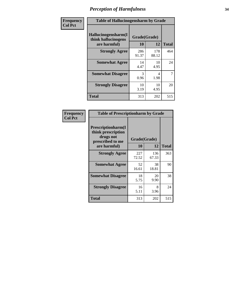| Frequency      | <b>Table of Hallucinogensharm by Grade</b>                 |                       |              |                |
|----------------|------------------------------------------------------------|-----------------------|--------------|----------------|
| <b>Col Pct</b> | Hallucinogensharm(I<br>think hallucinogens<br>are harmful) | Grade(Grade)<br>10    | 12           | <b>Total</b>   |
|                | <b>Strongly Agree</b>                                      | 286<br>91.37          | 178<br>88.12 | 464            |
|                | <b>Somewhat Agree</b>                                      | 14<br>4.47            | 10<br>4.95   | 24             |
|                | <b>Somewhat Disagree</b>                                   | $\mathcal{R}$<br>0.96 | 4<br>1.98    | $\overline{7}$ |
|                | <b>Strongly Disagree</b>                                   | 10<br>3.19            | 10<br>4.95   | 20             |
|                | <b>Total</b>                                               | 313                   | 202          | 515            |

| <b>Table of Prescriptionharm by Grade</b>                                 |              |              |              |  |
|---------------------------------------------------------------------------|--------------|--------------|--------------|--|
| Prescriptionharm(I<br>think prescription<br>drugs not<br>prescribed to me | Grade(Grade) |              |              |  |
| are harmful)                                                              | 10           | 12           | <b>Total</b> |  |
| <b>Strongly Agree</b>                                                     | 227<br>72.52 | 136<br>67.33 | 363          |  |
| <b>Somewhat Agree</b>                                                     | 52<br>16.61  | 38<br>18.81  | 90           |  |
| <b>Somewhat Disagree</b>                                                  | 18<br>5.75   | 20<br>9.90   | 38           |  |
| <b>Strongly Disagree</b>                                                  | 16<br>5.11   | 8<br>3.96    | 24           |  |
| Total                                                                     | 313          | 202          | 515          |  |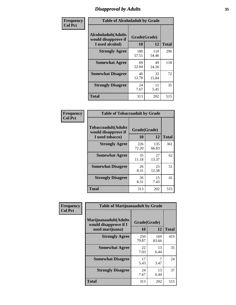# *Disapproval by Adults* **35**

| Frequency      | <b>Table of Alcoholadult by Grade</b>                                 |                    |              |              |
|----------------|-----------------------------------------------------------------------|--------------------|--------------|--------------|
| <b>Col Pct</b> | <b>Alcoholadult</b> (Adults<br>would disapprove if<br>I used alcohol) | Grade(Grade)<br>10 | 12           | <b>Total</b> |
|                | <b>Strongly Agree</b>                                                 | 180<br>57.51       | 110<br>54.46 | 290          |
|                | <b>Somewhat Agree</b>                                                 | 69<br>22.04        | 49<br>24.26  | 118          |
|                | <b>Somewhat Disagree</b>                                              | 40<br>12.78        | 32<br>15.84  | 72           |
|                | <b>Strongly Disagree</b>                                              | 24<br>7.67         | 11<br>5.45   | 35           |
|                | <b>Total</b>                                                          | 313                | 202          | 515          |

| <b>Table of Tobaccoadult by Grade</b>                                 |                    |              |              |  |  |
|-----------------------------------------------------------------------|--------------------|--------------|--------------|--|--|
| <b>Tobaccoadult</b> (Adults<br>would disapprove if<br>I used tobacco) | Grade(Grade)<br>10 | 12           | <b>Total</b> |  |  |
| <b>Strongly Agree</b>                                                 | 226<br>72.20       | 135<br>66.83 | 361          |  |  |
| <b>Somewhat Agree</b>                                                 | 35<br>11.18        | 27<br>13.37  | 62           |  |  |
| <b>Somewhat Disagree</b>                                              | 26<br>8.31         | 25<br>12.38  | 51           |  |  |
| <b>Strongly Disagree</b>                                              | 26<br>8.31         | 15<br>7.43   | 41           |  |  |
| <b>Total</b>                                                          | 313                | 202          | 515          |  |  |

| Frequency<br><b>Col Pct</b> | <b>Table of Marijuanaadult by Grade</b>                           |                    |              |              |  |
|-----------------------------|-------------------------------------------------------------------|--------------------|--------------|--------------|--|
|                             | Marijuanaadult(Adults<br>would disapprove if I<br>used marijuana) | Grade(Grade)<br>10 | 12           | <b>Total</b> |  |
|                             | <b>Strongly Agree</b>                                             | 250<br>79.87       | 169<br>83.66 | 419          |  |
|                             | <b>Somewhat Agree</b>                                             | 22<br>7.03         | 13<br>6.44   | 35           |  |
|                             | <b>Somewhat Disagree</b>                                          | 17<br>5.43         | 7<br>3.47    | 24           |  |
|                             | <b>Strongly Disagree</b>                                          | 24<br>7.67         | 13<br>6.44   | 37           |  |
|                             | <b>Total</b>                                                      | 313                | 202          | 515          |  |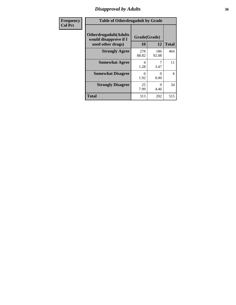# *Disapproval by Adults* **36**

| <b>Frequency</b> | <b>Table of Otherdrugadult by Grade</b>                                     |                    |                  |              |  |
|------------------|-----------------------------------------------------------------------------|--------------------|------------------|--------------|--|
| <b>Col Pct</b>   | <b>Otherdrugadult</b> (Adults<br>would disapprove if I<br>used other drugs) | Grade(Grade)<br>10 | 12               | <b>Total</b> |  |
|                  | <b>Strongly Agree</b>                                                       | 278<br>88.82       | 186<br>92.08     | 464          |  |
|                  | <b>Somewhat Agree</b>                                                       | 4<br>1.28          | 3.47             | 11           |  |
|                  | <b>Somewhat Disagree</b>                                                    | 6<br>1.92          | $\Omega$<br>0.00 | 6            |  |
|                  | <b>Strongly Disagree</b>                                                    | 25<br>7.99         | 9<br>4.46        | 34           |  |
|                  | <b>Total</b>                                                                | 313                | 202              | 515          |  |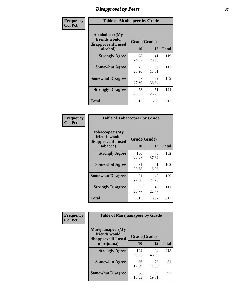# *Disapproval by Peers* **37**

| Frequency      | <b>Table of Alcoholpeer by Grade</b>                    |              |             |              |  |
|----------------|---------------------------------------------------------|--------------|-------------|--------------|--|
| <b>Col Pct</b> | Alcoholpeer(My<br>friends would<br>disapprove if I used | Grade(Grade) |             |              |  |
|                | alcohol)                                                | 10           | 12          | <b>Total</b> |  |
|                | <b>Strongly Agree</b>                                   | 78<br>24.92  | 41<br>20.30 | 119          |  |
|                | <b>Somewhat Agree</b>                                   | 75<br>23.96  | 38<br>18.81 | 113          |  |
|                | <b>Somewhat Disagree</b>                                | 87<br>27.80  | 72<br>35.64 | 159          |  |
|                | <b>Strongly Disagree</b>                                | 73<br>23.32  | 51<br>25.25 | 124          |  |
|                | Total                                                   | 313          | 202         | 515          |  |

| Frequency      | <b>Table of Tobaccopeer by Grade</b>                                |                    |             |              |
|----------------|---------------------------------------------------------------------|--------------------|-------------|--------------|
| <b>Col Pct</b> | Tobaccopeer(My<br>friends would<br>disapprove if I used<br>tobacco) | Grade(Grade)<br>10 | 12          | <b>Total</b> |
|                | <b>Strongly Agree</b>                                               | 106<br>33.87       | 76<br>37.62 | 182          |
|                | <b>Somewhat Agree</b>                                               | 71<br>22.68        | 31<br>15.35 | 102          |
|                | <b>Somewhat Disagree</b>                                            | 71<br>22.68        | 49<br>24.26 | 120          |
|                | <b>Strongly Disagree</b>                                            | 65<br>20.77        | 46<br>22.77 | 111          |
|                | Total                                                               | 313                | 202         | 515          |

| Frequency      | <b>Table of Marijuanapeer by Grade</b>                    |              |             |              |
|----------------|-----------------------------------------------------------|--------------|-------------|--------------|
| <b>Col Pct</b> | Marijuanapeer(My<br>friends would<br>disapprove if I used | Grade(Grade) |             |              |
|                | marijuana)                                                | 10           | 12          | <b>Total</b> |
|                | <b>Strongly Agree</b>                                     | 124<br>39.62 | 94<br>46.53 | 218          |
|                | <b>Somewhat Agree</b>                                     | 56<br>17.89  | 25<br>12.38 | 81           |
|                | <b>Somewhat Disagree</b>                                  | 58<br>18.53  | 39<br>19.31 | 97           |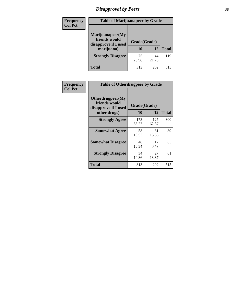# *Disapproval by Peers* **38**

| <b>Frequency</b> | <b>Table of Marijuanapeer by Grade</b>                                  |                    |             |              |  |
|------------------|-------------------------------------------------------------------------|--------------------|-------------|--------------|--|
| <b>Col Pct</b>   | Marijuanapeer(My<br>friends would<br>disapprove if I used<br>marijuana) | Grade(Grade)<br>10 | 12          | <b>Total</b> |  |
|                  | <b>Strongly Disagree</b>                                                | 75<br>23.96        | 44<br>21.78 | 119          |  |
|                  | <b>Total</b>                                                            | 313                | 202         | 515          |  |

| <b>Frequency</b> | <b>Table of Otherdrugpeer by Grade</b>                                    |                           |             |              |
|------------------|---------------------------------------------------------------------------|---------------------------|-------------|--------------|
| <b>Col Pct</b>   | Otherdrugpeer(My<br>friends would<br>disapprove if I used<br>other drugs) | Grade(Grade)<br><b>10</b> | 12          | <b>Total</b> |
|                  | <b>Strongly Agree</b>                                                     | 173                       | 127         | 300          |
|                  |                                                                           | 55.27                     | 62.87       |              |
|                  | <b>Somewhat Agree</b>                                                     | 58<br>18.53               | 31<br>15.35 | 89           |
|                  | <b>Somewhat Disagree</b>                                                  | 48<br>15.34               | 17<br>8.42  | 65           |
|                  | <b>Strongly Disagree</b>                                                  | 34<br>10.86               | 27<br>13.37 | 61           |
|                  | <b>Total</b>                                                              | 313                       | 202         | 515          |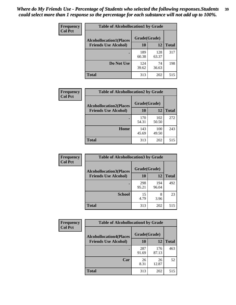| Frequency      | <b>Table of Alcohollocation1 by Grade</b> |              |              |              |
|----------------|-------------------------------------------|--------------|--------------|--------------|
| <b>Col Pct</b> | <b>Alcohollocation1(Places</b>            | Grade(Grade) |              |              |
|                | <b>Friends Use Alcohol)</b>               | 10           | 12           | <b>Total</b> |
|                |                                           | 189<br>60.38 | 128<br>63.37 | 317          |
|                | Do Not Use                                | 124<br>39.62 | 74<br>36.63  | 198          |
|                | <b>Total</b>                              | 313          | 202          | 515          |

| Frequency      | <b>Table of Alcohollocation2 by Grade</b>                     |                    |              |              |
|----------------|---------------------------------------------------------------|--------------------|--------------|--------------|
| <b>Col Pct</b> | <b>Alcohollocation2(Places</b><br><b>Friends Use Alcohol)</b> | Grade(Grade)<br>10 | 12           | <b>Total</b> |
|                |                                                               | 170<br>54.31       | 102<br>50.50 | 272          |
|                | Home                                                          | 143<br>45.69       | 100<br>49.50 | 243          |
|                | <b>Total</b>                                                  | 313                | 202          | 515          |

| Frequency      | <b>Table of Alcohollocation3 by Grade</b> |              |              |              |
|----------------|-------------------------------------------|--------------|--------------|--------------|
| <b>Col Pct</b> | <b>Alcohollocation3(Places</b>            | Grade(Grade) |              |              |
|                | <b>Friends Use Alcohol)</b>               | 10           | 12           | <b>Total</b> |
|                |                                           | 298<br>95.21 | 194<br>96.04 | 492          |
|                | <b>School</b>                             | 15<br>4.79   | 8<br>3.96    | 23           |
|                | <b>Total</b>                              | 313          | 202          | 515          |

| <b>Frequency</b> | <b>Table of Alcohollocation4 by Grade</b> |              |              |              |
|------------------|-------------------------------------------|--------------|--------------|--------------|
| <b>Col Pct</b>   | <b>Alcohollocation4(Places</b>            | Grade(Grade) |              |              |
|                  | <b>Friends Use Alcohol)</b>               | 10           | 12           | <b>Total</b> |
|                  |                                           | 287<br>91.69 | 176<br>87.13 | 463          |
|                  | Car                                       | 26<br>8.31   | 26<br>12.87  | 52           |
|                  | <b>Total</b>                              | 313          | 202          | 515          |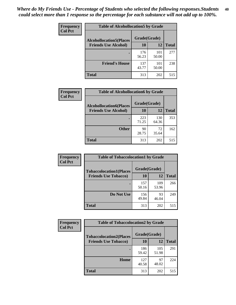| Frequency<br><b>Col Pct</b> | <b>Table of Alcohollocation5 by Grade</b><br>Grade(Grade)<br><b>Alcohollocation5(Places</b> |              |              |              |
|-----------------------------|---------------------------------------------------------------------------------------------|--------------|--------------|--------------|
|                             |                                                                                             |              |              |              |
|                             | <b>Friends Use Alcohol)</b>                                                                 | 10           | 12           | <b>Total</b> |
|                             |                                                                                             | 176<br>56.23 | 101<br>50.00 | 277          |
|                             | <b>Friend's House</b>                                                                       | 137<br>43.77 | 101<br>50.00 | 238          |
|                             | <b>Total</b>                                                                                | 313          | 202          | 515          |

| <b>Frequency</b> | <b>Table of Alcohollocation6 by Grade</b> |              |              |              |
|------------------|-------------------------------------------|--------------|--------------|--------------|
| <b>Col Pct</b>   | <b>Alcohollocation6(Places</b>            | Grade(Grade) |              |              |
|                  | <b>Friends Use Alcohol)</b>               | 10           | 12           | <b>Total</b> |
|                  |                                           | 223<br>71.25 | 130<br>64.36 | 353          |
|                  | <b>Other</b>                              | 90<br>28.75  | 72<br>35.64  | 162          |
|                  | <b>Total</b>                              | 313          | 202          | 515          |

| Frequency      | <b>Table of Tobaccolocation1 by Grade</b>                     |                    |              |              |
|----------------|---------------------------------------------------------------|--------------------|--------------|--------------|
| <b>Col Pct</b> | <b>Tobaccolocation1(Places</b><br><b>Friends Use Tobacco)</b> | Grade(Grade)<br>10 | 12           | <b>Total</b> |
|                |                                                               | 157<br>50.16       | 109<br>53.96 | 266          |
|                | <b>Do Not Use</b>                                             | 156<br>49.84       | 93<br>46.04  | 249          |
|                | <b>Total</b>                                                  | 313                | 202          | 515          |

| <b>Frequency</b> | <b>Table of Tobaccolocation2 by Grade</b> |              |              |              |  |  |
|------------------|-------------------------------------------|--------------|--------------|--------------|--|--|
| <b>Col Pct</b>   | <b>Tobaccolocation2(Places</b>            | Grade(Grade) |              |              |  |  |
|                  | <b>Friends Use Tobacco)</b>               | 10           | 12           | <b>Total</b> |  |  |
|                  |                                           | 186<br>59.42 | 105<br>51.98 | 291          |  |  |
|                  | Home                                      | 127<br>40.58 | 97<br>48.02  | 224          |  |  |
|                  | <b>Total</b>                              | 313          | 202          | 515          |  |  |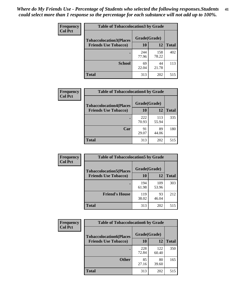| Frequency      | <b>Table of Tobaccolocation 3 by Grade</b> |              |              |              |  |
|----------------|--------------------------------------------|--------------|--------------|--------------|--|
| <b>Col Pct</b> | <b>Tobaccolocation3(Places</b>             | Grade(Grade) |              |              |  |
|                | <b>Friends Use Tobacco)</b>                | 10           | 12           | <b>Total</b> |  |
|                |                                            | 244<br>77.96 | 158<br>78.22 | 402          |  |
|                | <b>School</b>                              | 69<br>22.04  | 44<br>21.78  | 113          |  |
|                | <b>Total</b>                               | 313          | 202          | 515          |  |

| <b>Frequency</b> | <b>Table of Tobaccolocation4 by Grade</b> |              |              |              |
|------------------|-------------------------------------------|--------------|--------------|--------------|
| <b>Col Pct</b>   | <b>Tobaccolocation4(Places</b>            | Grade(Grade) |              |              |
|                  | <b>Friends Use Tobacco)</b>               | 10           | 12           | <b>Total</b> |
|                  |                                           | 222<br>70.93 | 113<br>55.94 | 335          |
|                  | Car                                       | 91<br>29.07  | 89<br>44.06  | 180          |
|                  | <b>Total</b>                              | 313          | 202          | 515          |

| Frequency      | <b>Table of Tobaccolocation5 by Grade</b> |              |              |              |
|----------------|-------------------------------------------|--------------|--------------|--------------|
| <b>Col Pct</b> | <b>Tobaccolocation5(Places</b>            | Grade(Grade) |              |              |
|                | <b>Friends Use Tobacco)</b>               | 10           | 12           | <b>Total</b> |
|                |                                           | 194<br>61.98 | 109<br>53.96 | 303          |
|                | <b>Friend's House</b>                     | 119<br>38.02 | 93<br>46.04  | 212          |
|                | <b>Total</b>                              | 313          | 202          | 515          |

| <b>Frequency</b> | <b>Table of Tobaccolocation6 by Grade</b> |              |              |              |  |
|------------------|-------------------------------------------|--------------|--------------|--------------|--|
| <b>Col Pct</b>   | <b>Tobaccolocation6(Places</b>            | Grade(Grade) |              |              |  |
|                  | <b>Friends Use Tobacco)</b>               | <b>10</b>    | 12           | <b>Total</b> |  |
|                  |                                           | 228<br>72.84 | 122<br>60.40 | 350          |  |
|                  | <b>Other</b>                              | 85<br>27.16  | 80<br>39.60  | 165          |  |
|                  | <b>Total</b>                              | 313          | 202          | 515          |  |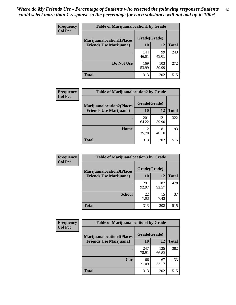| <b>Frequency</b> | <b>Table of Marijuanalocation1 by Grade</b> |              |              |              |
|------------------|---------------------------------------------|--------------|--------------|--------------|
| <b>Col Pct</b>   | <b>Marijuanalocation1(Places</b>            | Grade(Grade) |              |              |
|                  | <b>Friends Use Marijuana</b> )              | 10           | 12           | <b>Total</b> |
|                  |                                             | 144<br>46.01 | 99<br>49.01  | 243          |
|                  | Do Not Use                                  | 169<br>53.99 | 103<br>50.99 | 272          |
|                  | Total                                       | 313          | 202          | 515          |

| <b>Frequency</b> | <b>Table of Marijuanalocation2 by Grade</b>                        |                    |              |              |
|------------------|--------------------------------------------------------------------|--------------------|--------------|--------------|
| <b>Col Pct</b>   | <b>Marijuanalocation2(Places</b><br><b>Friends Use Marijuana</b> ) | Grade(Grade)<br>10 | 12           | <b>Total</b> |
|                  |                                                                    | 201<br>64.22       | 121<br>59.90 | 322          |
|                  | Home                                                               | 112<br>35.78       | 81<br>40.10  | 193          |
|                  | <b>Total</b>                                                       | 313                | 202          | 515          |

| <b>Frequency</b><br><b>Col Pct</b> | <b>Table of Marijuanalocation3 by Grade</b> |              |              |              |
|------------------------------------|---------------------------------------------|--------------|--------------|--------------|
|                                    | <b>Marijuanalocation3</b> (Places           | Grade(Grade) |              |              |
|                                    | <b>Friends Use Marijuana</b> )              | <b>10</b>    | 12           | <b>Total</b> |
|                                    |                                             | 291<br>92.97 | 187<br>92.57 | 478          |
|                                    | <b>School</b>                               | 22<br>7.03   | 15<br>7.43   | 37           |
|                                    | <b>Total</b>                                | 313          | 202          | 515          |

| <b>Frequency</b> | <b>Table of Marijuanalocation4 by Grade</b> |              |              |              |  |
|------------------|---------------------------------------------|--------------|--------------|--------------|--|
| <b>Col Pct</b>   | <b>Marijuanalocation4(Places</b>            | Grade(Grade) |              |              |  |
|                  | <b>Friends Use Marijuana</b> )              | <b>10</b>    | 12           | <b>Total</b> |  |
|                  |                                             | 247<br>78.91 | 135<br>66.83 | 382          |  |
|                  | Car                                         | 66<br>21.09  | 67<br>33.17  | 133          |  |
|                  | <b>Total</b>                                | 313          | 202          | 515          |  |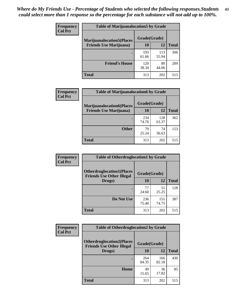| <b>Frequency</b> | <b>Table of Marijuanalocation5 by Grade</b> |              |              |              |
|------------------|---------------------------------------------|--------------|--------------|--------------|
| <b>Col Pct</b>   | <b>Marijuanalocation5</b> (Places           | Grade(Grade) |              |              |
|                  | <b>Friends Use Marijuana</b> )              | 10           | 12           | <b>Total</b> |
|                  |                                             | 193<br>61.66 | 113<br>55.94 | 306          |
|                  | <b>Friend's House</b>                       | 120<br>38.34 | 89<br>44.06  | 209          |
|                  | <b>Total</b>                                | 313          | 202          | 515          |

| <b>Frequency</b> | <b>Table of Marijuanalocation6 by Grade</b>                        |                    |              |              |
|------------------|--------------------------------------------------------------------|--------------------|--------------|--------------|
| <b>Col Pct</b>   | <b>Marijuanalocation6(Places</b><br><b>Friends Use Marijuana</b> ) | Grade(Grade)<br>10 | 12           | <b>Total</b> |
|                  |                                                                    | 234<br>74.76       | 128<br>63.37 | 362          |
|                  | <b>Other</b>                                                       | 79<br>25.24        | 74<br>36.63  | 153          |
|                  | <b>Total</b>                                                       | 313                | 202          | 515          |

| <b>Frequency</b> | <b>Table of Otherdruglocation1 by Grade</b>                          |              |              |              |
|------------------|----------------------------------------------------------------------|--------------|--------------|--------------|
| <b>Col Pct</b>   | <b>Otherdruglocation1(Places</b><br><b>Friends Use Other Illegal</b> | Grade(Grade) |              |              |
|                  | Drugs)                                                               | 10           | 12           | <b>Total</b> |
|                  |                                                                      | 77<br>24.60  | 51<br>25.25  | 128          |
|                  | Do Not Use                                                           | 236<br>75.40 | 151<br>74.75 | 387          |
|                  | <b>Total</b>                                                         | 313          | 202          | 515          |

| <b>Frequency</b> | <b>Table of Otherdruglocation2 by Grade</b>                           |              |              |              |
|------------------|-----------------------------------------------------------------------|--------------|--------------|--------------|
| <b>Col Pct</b>   | <b>Otherdruglocation2(Places)</b><br><b>Friends Use Other Illegal</b> | Grade(Grade) |              |              |
|                  | Drugs)                                                                | 10           | 12           | <b>Total</b> |
|                  |                                                                       | 264<br>84.35 | 166<br>82.18 | 430          |
|                  | Home                                                                  | 49<br>15.65  | 36<br>17.82  | 85           |
|                  | <b>Total</b>                                                          | 313          | 202          | 515          |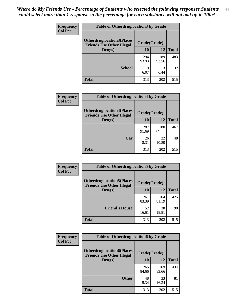| <b>Frequency</b> | <b>Table of Otherdruglocation 3 by Grade</b>                          |              |              |              |
|------------------|-----------------------------------------------------------------------|--------------|--------------|--------------|
| <b>Col Pct</b>   | <b>Otherdruglocation3(Places)</b><br><b>Friends Use Other Illegal</b> | Grade(Grade) |              |              |
|                  | Drugs)                                                                | 10           | 12           | <b>Total</b> |
|                  |                                                                       | 294<br>93.93 | 189<br>93.56 | 483          |
|                  | <b>School</b>                                                         | 19<br>6.07   | 13<br>6.44   | 32           |
|                  | <b>Total</b>                                                          | 313          | 202          | 515          |

| Frequency      | <b>Table of Otherdruglocation4 by Grade</b>                          |              |              |              |
|----------------|----------------------------------------------------------------------|--------------|--------------|--------------|
| <b>Col Pct</b> | <b>Otherdruglocation4(Places</b><br><b>Friends Use Other Illegal</b> | Grade(Grade) |              |              |
|                | Drugs)                                                               | 10           | 12           | <b>Total</b> |
|                |                                                                      | 287<br>91.69 | 180<br>89.11 | 467          |
|                | Car                                                                  | 26<br>8.31   | 22<br>10.89  | 48           |
|                | <b>Total</b>                                                         | 313          | 202          | 515          |

| Frequency      | <b>Table of Otherdruglocation5 by Grade</b>                          |              |              |              |
|----------------|----------------------------------------------------------------------|--------------|--------------|--------------|
| <b>Col Pct</b> | <b>Otherdruglocation5(Places</b><br><b>Friends Use Other Illegal</b> | Grade(Grade) |              |              |
|                | Drugs)                                                               | 10           | 12           | <b>Total</b> |
|                |                                                                      | 261<br>83.39 | 164<br>81.19 | 425          |
|                | <b>Friend's House</b>                                                | 52<br>16.61  | 38<br>18.81  | 90           |
|                | <b>Total</b>                                                         | 313          | 202          | 515          |

| Frequency      | <b>Table of Otherdruglocation6 by Grade</b>                           |              |              |              |
|----------------|-----------------------------------------------------------------------|--------------|--------------|--------------|
| <b>Col Pct</b> | <b>Otherdruglocation6(Places)</b><br><b>Friends Use Other Illegal</b> | Grade(Grade) |              |              |
|                | Drugs)                                                                | 10           | 12           | <b>Total</b> |
|                |                                                                       | 265<br>84.66 | 169<br>83.66 | 434          |
|                | <b>Other</b>                                                          | 48<br>15.34  | 33<br>16.34  | 81           |
|                | <b>Total</b>                                                          | 313          | 202          | 515          |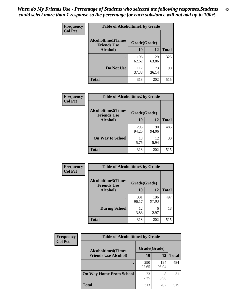| Frequency      | <b>Table of Alcoholtime1 by Grade</b>           |              |              |              |
|----------------|-------------------------------------------------|--------------|--------------|--------------|
| <b>Col Pct</b> | <b>Alcoholtime1(Times</b><br><b>Friends Use</b> | Grade(Grade) |              |              |
|                | Alcohol)                                        | 10           | 12           | <b>Total</b> |
|                |                                                 | 196<br>62.62 | 129<br>63.86 | 325          |
|                | Do Not Use                                      | 117<br>37.38 | 73<br>36.14  | 190          |
|                | <b>Total</b>                                    | 313          | 202          | 515          |

| Frequency      | <b>Table of Alcoholtime2 by Grade</b>           |              |              |              |
|----------------|-------------------------------------------------|--------------|--------------|--------------|
| <b>Col Pct</b> | <b>Alcoholtime2(Times</b><br><b>Friends Use</b> | Grade(Grade) |              |              |
|                | Alcohol)                                        | 10           | 12           | <b>Total</b> |
|                |                                                 | 295<br>94.25 | 190<br>94.06 | 485          |
|                | <b>On Way to School</b>                         | 18<br>5.75   | 12<br>5.94   | 30           |
|                | <b>Total</b>                                    | 313          | 202          | 515          |

| Frequency      | <b>Table of Alcoholtime3 by Grade</b>           |              |              |              |
|----------------|-------------------------------------------------|--------------|--------------|--------------|
| <b>Col Pct</b> | <b>Alcoholtime3(Times</b><br><b>Friends Use</b> | Grade(Grade) |              |              |
|                | Alcohol)                                        | 10           | 12           | <b>Total</b> |
|                |                                                 | 301<br>96.17 | 196<br>97.03 | 497          |
|                | <b>During School</b>                            | 12<br>3.83   | 6<br>2.97    | 18           |
|                | <b>Total</b>                                    | 313          | 202          | 515          |

| <b>Frequency</b> | <b>Table of Alcoholtime4 by Grade</b> |              |              |              |
|------------------|---------------------------------------|--------------|--------------|--------------|
| <b>Col Pct</b>   | <b>Alcoholtime4(Times</b>             | Grade(Grade) |              |              |
|                  | <b>Friends Use Alcohol)</b>           | 10           | 12           | <b>Total</b> |
|                  |                                       | 290<br>92.65 | 194<br>96.04 | 484          |
|                  | <b>On Way Home From School</b>        | 23<br>7.35   | 8<br>3.96    | 31           |
|                  | <b>Total</b>                          | 313          | 202          | 515          |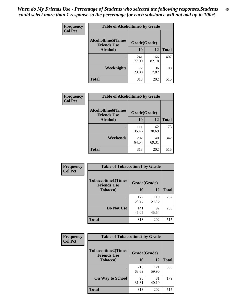*When do My Friends Use - Percentage of Students who selected the following responses.Students could select more than 1 response so the percentage for each substance will not add up to 100%.* **46**

| Frequency      | <b>Table of Alcoholtime5 by Grade</b>            |              |              |              |
|----------------|--------------------------------------------------|--------------|--------------|--------------|
| <b>Col Pct</b> | <b>Alcoholtime5</b> (Times<br><b>Friends Use</b> | Grade(Grade) |              |              |
|                | Alcohol)                                         | 10           | 12           | <b>Total</b> |
|                |                                                  | 241<br>77.00 | 166<br>82.18 | 407          |
|                | Weeknights                                       | 72<br>23.00  | 36<br>17.82  | 108          |
|                | <b>Total</b>                                     | 313          | 202          | 515          |

| Frequency      | <b>Table of Alcoholtime6 by Grade</b>           |              |              |              |
|----------------|-------------------------------------------------|--------------|--------------|--------------|
| <b>Col Pct</b> | <b>Alcoholtime6(Times</b><br><b>Friends Use</b> | Grade(Grade) |              |              |
|                | Alcohol)                                        | 10           | 12           | <b>Total</b> |
|                |                                                 | 111<br>35.46 | 62<br>30.69  | 173          |
|                | Weekends                                        | 202<br>64.54 | 140<br>69.31 | 342          |
|                | <b>Total</b>                                    | 313          | 202          | 515          |

| Frequency      | <b>Table of Tobaccotime1 by Grade</b>           |              |              |              |
|----------------|-------------------------------------------------|--------------|--------------|--------------|
| <b>Col Pct</b> | <b>Tobaccotime1(Times</b><br><b>Friends Use</b> | Grade(Grade) |              |              |
|                | <b>Tobacco</b> )                                | 10           | 12           | <b>Total</b> |
|                | ٠                                               | 172<br>54.95 | 110<br>54.46 | 282          |
|                | Do Not Use                                      | 141<br>45.05 | 92<br>45.54  | 233          |
|                | <b>Total</b>                                    | 313          | 202          | 515          |

| <b>Frequency</b> |                                                 | <b>Table of Tobaccotime2 by Grade</b> |              |              |  |  |
|------------------|-------------------------------------------------|---------------------------------------|--------------|--------------|--|--|
| <b>Col Pct</b>   | <b>Tobaccotime2(Times</b><br><b>Friends Use</b> | Grade(Grade)                          |              |              |  |  |
|                  | <b>Tobacco</b> )                                | 10                                    | 12           | <b>Total</b> |  |  |
|                  |                                                 | 215<br>68.69                          | 121<br>59.90 | 336          |  |  |
|                  | <b>On Way to School</b>                         | 98<br>31.31                           | 81<br>40.10  | 179          |  |  |
|                  | Total                                           | 313                                   | 202          | 515          |  |  |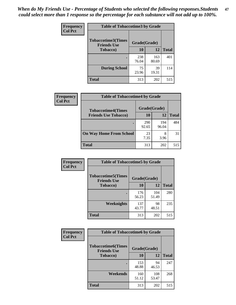*When do My Friends Use - Percentage of Students who selected the following responses.Students could select more than 1 response so the percentage for each substance will not add up to 100%.* **47**

| <b>Frequency</b> | <b>Table of Tobaccotime3 by Grade</b>           |              |              |              |  |
|------------------|-------------------------------------------------|--------------|--------------|--------------|--|
| <b>Col Pct</b>   | <b>Tobaccotime3(Times</b><br><b>Friends Use</b> | Grade(Grade) |              |              |  |
|                  | <b>Tobacco</b> )                                | 10           | 12           | <b>Total</b> |  |
|                  |                                                 | 238<br>76.04 | 163<br>80.69 | 401          |  |
|                  | <b>During School</b>                            | 75<br>23.96  | 39<br>19.31  | 114          |  |
|                  | <b>Total</b>                                    | 313          | 202          | 515          |  |

| Frequency<br><b>Col Pct</b> | <b>Table of Tobaccotime4 by Grade</b> |              |              |              |
|-----------------------------|---------------------------------------|--------------|--------------|--------------|
|                             | <b>Tobaccotime4(Times</b>             | Grade(Grade) |              |              |
|                             | <b>Friends Use Tobacco)</b>           | 10           | 12           | <b>Total</b> |
|                             |                                       | 290<br>92.65 | 194<br>96.04 | 484          |
|                             | <b>On Way Home From School</b>        | 23<br>7.35   | 8<br>3.96    | 31           |
|                             | <b>Total</b>                          | 313          | 202          | 515          |

| <b>Frequency</b> | <b>Table of Tobaccotime5 by Grade</b>            |              |              |              |
|------------------|--------------------------------------------------|--------------|--------------|--------------|
| <b>Col Pct</b>   | <b>Tobaccotime5</b> (Times<br><b>Friends Use</b> | Grade(Grade) |              |              |
|                  | <b>Tobacco</b> )                                 | 10           | 12           | <b>Total</b> |
|                  |                                                  | 176<br>56.23 | 104<br>51.49 | 280          |
|                  | Weeknights                                       | 137<br>43.77 | 98<br>48.51  | 235          |
|                  | <b>Total</b>                                     | 313          | 202          | 515          |

| Frequency<br><b>Col Pct</b> | <b>Table of Tobaccotime6 by Grade</b>                           |              |              |              |  |
|-----------------------------|-----------------------------------------------------------------|--------------|--------------|--------------|--|
|                             | <b>Tobaccotime6(Times</b><br>Grade(Grade)<br><b>Friends Use</b> |              |              |              |  |
|                             | <b>Tobacco</b> )                                                | 10           | 12           | <b>Total</b> |  |
|                             |                                                                 | 153<br>48.88 | 94<br>46.53  | 247          |  |
|                             | Weekends                                                        | 160<br>51.12 | 108<br>53.47 | 268          |  |
|                             | <b>Total</b>                                                    | 313          | 202          | 515          |  |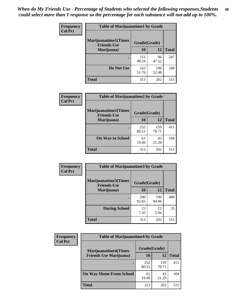| Frequency      | <b>Table of Marijuanatime1 by Grade</b>           |              |              |              |
|----------------|---------------------------------------------------|--------------|--------------|--------------|
| <b>Col Pct</b> | <b>Marijuanatime1(Times</b><br><b>Friends Use</b> | Grade(Grade) |              |              |
|                | Marijuana)                                        | 10           | 12           | <b>Total</b> |
|                |                                                   | 151<br>48.24 | 96<br>47.52  | 247          |
|                | Do Not Use                                        | 162<br>51.76 | 106<br>52.48 | 268          |
|                | <b>Total</b>                                      | 313          | 202          | 515          |

| Frequency      | <b>Table of Marijuanatime2 by Grade</b>    |              |              |              |
|----------------|--------------------------------------------|--------------|--------------|--------------|
| <b>Col Pct</b> | Marijuanatime2(Times<br><b>Friends Use</b> | Grade(Grade) |              |              |
|                | Marijuana)                                 | 10           | 12           | <b>Total</b> |
|                | ٠                                          | 252<br>80.51 | 159<br>78.71 | 411          |
|                | <b>On Way to School</b>                    | 61<br>19.49  | 43<br>21.29  | 104          |
|                | <b>Total</b>                               | 313          | 202          | 515          |

| Frequency<br><b>Col Pct</b> | <b>Table of Marijuanatime3 by Grade</b>    |              |              |              |  |
|-----------------------------|--------------------------------------------|--------------|--------------|--------------|--|
|                             | Marijuanatime3(Times<br><b>Friends Use</b> | Grade(Grade) |              |              |  |
|                             | Marijuana)                                 | 10           | 12           | <b>Total</b> |  |
|                             |                                            | 290<br>92.65 | 190<br>94.06 | 480          |  |
|                             | <b>During School</b>                       | 23<br>7.35   | 12<br>5.94   | 35           |  |
|                             | <b>Total</b>                               | 313          | 202          | 515          |  |

| <b>Frequency</b> | <b>Table of Marijuanatime4 by Grade</b> |              |              |              |
|------------------|-----------------------------------------|--------------|--------------|--------------|
| <b>Col Pct</b>   | <b>Marijuanatime4(Times</b>             | Grade(Grade) |              |              |
|                  | <b>Friends Use Marijuana</b> )          | 10           | 12           | <b>Total</b> |
|                  |                                         | 252<br>80.51 | 159<br>78.71 | 411          |
|                  | <b>On Way Home From School</b>          | 61<br>19.49  | 43<br>21.29  | 104          |
|                  | <b>Total</b>                            | 313          | 202          | 515          |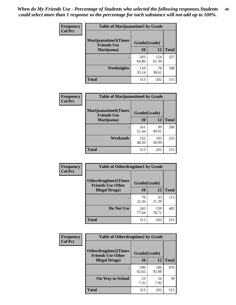| Frequency      | <b>Table of Marijuanatime5 by Grade</b>            |              |              |              |  |
|----------------|----------------------------------------------------|--------------|--------------|--------------|--|
| <b>Col Pct</b> | <b>Marijuanatime5</b> (Times<br><b>Friends Use</b> | Grade(Grade) |              |              |  |
|                | Marijuana)                                         | 10           | <b>12</b>    | <b>Total</b> |  |
|                |                                                    | 203<br>64.86 | 124<br>61.39 | 327          |  |
|                | Weeknights                                         | 110<br>35.14 | 78<br>38.61  | 188          |  |
|                | <b>Total</b>                                       | 313          | 202          | 515          |  |

| Frequency      | <b>Table of Marijuanatime6 by Grade</b>            |              |              |              |  |
|----------------|----------------------------------------------------|--------------|--------------|--------------|--|
| <b>Col Pct</b> | <b>Marijuanatime6</b> (Times<br><b>Friends Use</b> | Grade(Grade) |              |              |  |
|                | Marijuana)                                         | 10           | 12           | <b>Total</b> |  |
|                |                                                    | 161<br>51.44 | 99<br>49.01  | 260          |  |
|                | Weekends                                           | 152<br>48.56 | 103<br>50.99 | 255          |  |
|                | <b>Total</b>                                       | 313          | 202          | 515          |  |

| <b>Frequency</b> | <b>Table of Otherdrugtime1 by Grade</b>                 |              |              |              |  |
|------------------|---------------------------------------------------------|--------------|--------------|--------------|--|
| <b>Col Pct</b>   | <b>Otherdrugtime1(Times</b><br><b>Friends Use Other</b> | Grade(Grade) |              |              |  |
|                  | <b>Illegal Drugs</b> )                                  | 10           | 12           | <b>Total</b> |  |
|                  |                                                         | 70<br>22.36  | 43<br>21.29  | 113          |  |
|                  | Do Not Use                                              | 243<br>77.64 | 159<br>78.71 | 402          |  |
|                  | <b>Total</b>                                            | 313          | 202          | 515          |  |

| Frequency      | <b>Table of Otherdrugtime2 by Grade</b>                 |              |              |              |  |  |  |
|----------------|---------------------------------------------------------|--------------|--------------|--------------|--|--|--|
| <b>Col Pct</b> | <b>Otherdrugtime2(Times</b><br><b>Friends Use Other</b> | Grade(Grade) |              |              |  |  |  |
|                | <b>Illegal Drugs</b> )                                  | 10           | 12           | <b>Total</b> |  |  |  |
|                |                                                         | 290<br>92.65 | 186<br>92.08 | 476          |  |  |  |
|                | <b>On Way to School</b>                                 | 23<br>7.35   | 16<br>7.92   | 39           |  |  |  |
|                | Total                                                   | 313          | 202          | 515          |  |  |  |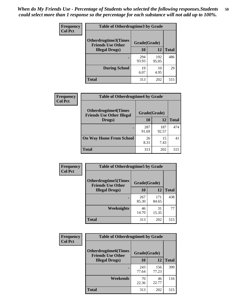| <b>Frequency</b> | <b>Table of Otherdrugtime3 by Grade</b>                 |              |              |              |  |  |  |
|------------------|---------------------------------------------------------|--------------|--------------|--------------|--|--|--|
| <b>Col Pct</b>   | <b>Otherdrugtime3(Times</b><br><b>Friends Use Other</b> | Grade(Grade) |              |              |  |  |  |
|                  | <b>Illegal Drugs</b> )                                  | 10           | 12           | <b>Total</b> |  |  |  |
|                  |                                                         | 294<br>93.93 | 192<br>95.05 | 486          |  |  |  |
|                  | <b>During School</b>                                    | 19<br>6.07   | 10<br>4.95   | 29           |  |  |  |
|                  | Total                                                   | 313          | 202          | 515          |  |  |  |

| Frequency      | <b>Table of Otherdrugtime4 by Grade</b>                         |              |              |              |  |  |  |
|----------------|-----------------------------------------------------------------|--------------|--------------|--------------|--|--|--|
| <b>Col Pct</b> | <b>Otherdrugtime4(Times</b><br><b>Friends Use Other Illegal</b> | Grade(Grade) |              |              |  |  |  |
|                | Drugs)                                                          | 10           | 12           | <b>Total</b> |  |  |  |
|                | ٠                                                               | 287<br>91.69 | 187<br>92.57 | 474          |  |  |  |
|                | <b>On Way Home From School</b>                                  | 26<br>8.31   | 15<br>7.43   | 41           |  |  |  |
|                | Total                                                           | 313          | 202          | 515          |  |  |  |

| Frequency      | <b>Table of Otherdrugtime5 by Grade</b>                  |              |              |              |  |  |  |
|----------------|----------------------------------------------------------|--------------|--------------|--------------|--|--|--|
| <b>Col Pct</b> | <b>Otherdrugtime5</b> (Times<br><b>Friends Use Other</b> | Grade(Grade) |              |              |  |  |  |
|                | <b>Illegal Drugs</b> )                                   | 10           | 12           | <b>Total</b> |  |  |  |
|                |                                                          | 267<br>85.30 | 171<br>84.65 | 438          |  |  |  |
|                | Weeknights                                               | 46<br>14.70  | 31<br>15.35  | 77           |  |  |  |
|                | Total                                                    | 313          | 202          | 515          |  |  |  |

| Frequency<br><b>Col Pct</b> | <b>Table of Otherdrugtime6 by Grade</b>                 |              |              |              |  |  |  |
|-----------------------------|---------------------------------------------------------|--------------|--------------|--------------|--|--|--|
|                             | <b>Otherdrugtime6(Times</b><br><b>Friends Use Other</b> | Grade(Grade) |              |              |  |  |  |
|                             | <b>Illegal Drugs</b> )                                  | 10           | 12           | <b>Total</b> |  |  |  |
|                             |                                                         | 243<br>77.64 | 156<br>77.23 | 399          |  |  |  |
|                             | Weekends                                                | 70<br>22.36  | 46<br>22.77  | 116          |  |  |  |
|                             | Total                                                   | 313          | 202          | 515          |  |  |  |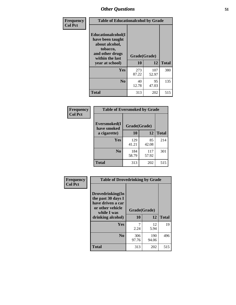| Frequency      | <b>Table of Educationalcohol by Grade</b>                                                                  |              |              |              |  |  |
|----------------|------------------------------------------------------------------------------------------------------------|--------------|--------------|--------------|--|--|
| <b>Col Pct</b> | Educationalcohol(I<br>have been taught<br>about alcohol,<br>tobacco,<br>and other drugs<br>within the last | Grade(Grade) |              |              |  |  |
|                | year at school)                                                                                            | 10           | 12           | <b>Total</b> |  |  |
|                | Yes                                                                                                        | 273<br>87.22 | 107<br>52.97 | 380          |  |  |
|                | N <sub>0</sub>                                                                                             | 40<br>12.78  | 95<br>47.03  | 135          |  |  |
|                | <b>Total</b>                                                                                               | 313          | 202          | 515          |  |  |

| Frequency      | <b>Table of Eversmoked by Grade</b> |              |              |              |  |  |
|----------------|-------------------------------------|--------------|--------------|--------------|--|--|
| <b>Col Pct</b> | Eversmoked(I<br>have smoked         | Grade(Grade) |              |              |  |  |
|                | a cigarette)                        | 10           | 12           | <b>Total</b> |  |  |
|                | Yes                                 | 129<br>41.21 | 85<br>42.08  | 214          |  |  |
|                | N <sub>0</sub>                      | 184<br>58.79 | 117<br>57.92 | 301          |  |  |
|                | <b>Total</b>                        | 313          | 202          | 515          |  |  |

| Frequency      | <b>Table of Drovedrinking by Grade</b>                                                         |              |              |              |  |  |
|----------------|------------------------------------------------------------------------------------------------|--------------|--------------|--------------|--|--|
| <b>Col Pct</b> | Drovedrinking(In<br>the past 30 days I<br>have driven a car<br>or other vehicle<br>while I was | Grade(Grade) |              |              |  |  |
|                | drinking alcohol)                                                                              | 10           | 12           | <b>Total</b> |  |  |
|                | Yes                                                                                            | 2.24         | 12<br>5.94   | 19           |  |  |
|                | N <sub>0</sub>                                                                                 | 306<br>97.76 | 190<br>94.06 | 496          |  |  |
|                | <b>Total</b>                                                                                   | 313          | 202          | 515          |  |  |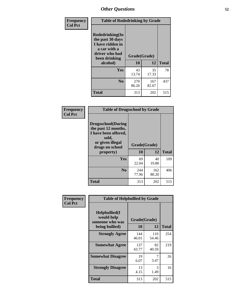| Frequency<br><b>Col Pct</b> | <b>Table of Rodedrinking by Grade</b>                                                                      |              |              |              |  |
|-----------------------------|------------------------------------------------------------------------------------------------------------|--------------|--------------|--------------|--|
|                             | Rodedrinking(In<br>the past 30 days<br>I have ridden in<br>a car with a<br>driver who had<br>been drinking | Grade(Grade) |              |              |  |
|                             | alcohol)                                                                                                   | 10           | 12           | <b>Total</b> |  |
|                             | <b>Yes</b>                                                                                                 | 43<br>13.74  | 35<br>17.33  | 78           |  |
|                             | N <sub>0</sub>                                                                                             | 270<br>86.26 | 167<br>82.67 | 437          |  |
|                             | <b>Total</b>                                                                                               | 313          | 202          | 515          |  |

#### **Frequency Col Pct**

| <b>Table of Drugsschool by Grade</b>                                                                                      |              |              |              |  |  |  |
|---------------------------------------------------------------------------------------------------------------------------|--------------|--------------|--------------|--|--|--|
| <b>Drugsschool</b> (During<br>the past 12 months,<br>I have been offered,<br>sold,<br>or given illegal<br>drugs on school | Grade(Grade) |              |              |  |  |  |
| property)                                                                                                                 | 10           | 12           | <b>Total</b> |  |  |  |
| Yes                                                                                                                       | 69<br>22.04  | 40<br>19.80  | 109          |  |  |  |
| N <sub>0</sub>                                                                                                            | 244<br>77.96 | 162<br>80.20 | 406          |  |  |  |
| <b>Total</b>                                                                                                              | 313          | 202          | 515          |  |  |  |

| Frequency      | <b>Table of Helpbullied by Grade</b>                                                         |              |              |              |  |  |  |
|----------------|----------------------------------------------------------------------------------------------|--------------|--------------|--------------|--|--|--|
| <b>Col Pct</b> | Helpbullied(I<br>would help<br>Grade(Grade)<br>someone who was<br>10<br>12<br>being bullied) |              |              |              |  |  |  |
|                |                                                                                              |              |              | <b>Total</b> |  |  |  |
|                | <b>Strongly Agree</b>                                                                        | 144<br>46.01 | 110<br>54.46 | 254          |  |  |  |
|                | <b>Somewhat Agree</b>                                                                        | 137<br>43.77 | 82<br>40.59  | 219          |  |  |  |
|                | <b>Somewhat Disagree</b>                                                                     | 19<br>6.07   | 7<br>3.47    | 26           |  |  |  |
|                | <b>Strongly Disagree</b>                                                                     | 13<br>4.15   | 3<br>1.49    | 16           |  |  |  |
|                | <b>Total</b>                                                                                 | 313          | 202          | 515          |  |  |  |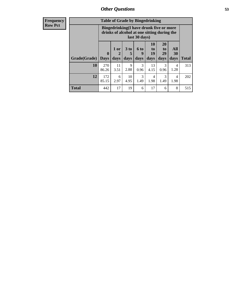6 2.97

10 4.95

**Total** 442 17 19 6 17 6 8 515

3 1.49

4 1.98

3 1.49

| <b>Frequency</b> | <b>Table of Grade by Bingedrinking</b> |                                                                                                         |            |                      |                  |                |                       |                  |
|------------------|----------------------------------------|---------------------------------------------------------------------------------------------------------|------------|----------------------|------------------|----------------|-----------------------|------------------|
| <b>Row Pct</b>   |                                        | Bingedrinking(I have drunk five or more<br>drinks of alcohol at one sitting during the<br>last 30 days) |            |                      |                  |                |                       |                  |
|                  |                                        | $\bf{0}$                                                                                                | 1 or<br>2  | 3 <sub>to</sub><br>5 | <b>6 to</b><br>9 | 10<br>to<br>19 | <b>20</b><br>to<br>29 | All<br><b>30</b> |
|                  | Grade(Grade)                           | <b>Days</b>                                                                                             | days       | days                 | days             | days           | days                  | days             |
|                  | 10                                     | 270<br>86.26                                                                                            | 11<br>3.51 | 9<br>2.88            | 3<br>0.96        | 13<br>4.15     | 0.96                  | 4<br>1.28        |

**12** 172 85.15 **Total**

313

202

4 1.98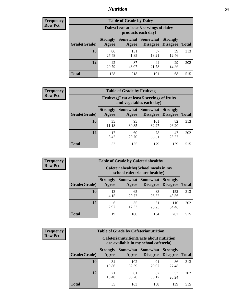## *Nutrition* **54**

| <b>Frequency</b><br>Row Pct |
|-----------------------------|
|                             |

| <b>Table of Grade by Dairy</b> |                          |                                                                 |                                    |                                    |              |
|--------------------------------|--------------------------|-----------------------------------------------------------------|------------------------------------|------------------------------------|--------------|
|                                |                          | Dairy (I eat at least 3 servings of dairy<br>products each day) |                                    |                                    |              |
| Grade(Grade)                   | <b>Strongly</b><br>Agree | <b>Somewhat</b><br>Agree                                        | <b>Somewhat</b><br><b>Disagree</b> | <b>Strongly</b><br><b>Disagree</b> | <b>Total</b> |
| 10                             | 86<br>27.48              | 131<br>41.85                                                    | 57<br>18.21                        | 39<br>12.46                        | 313          |
| 12                             | 42<br>20.79              | 87<br>43.07                                                     | 44<br>21.78                        | 29<br>14.36                        | 202          |
| <b>Total</b>                   | 128                      | 218                                                             | 101                                | 68                                 | 515          |

| <b>Frequency</b> |  |
|------------------|--|
| <b>Row Pct</b>   |  |

| <b>Table of Grade by Fruitveg</b> |                          |                                                                          |                               |                                    |              |
|-----------------------------------|--------------------------|--------------------------------------------------------------------------|-------------------------------|------------------------------------|--------------|
|                                   |                          | Fruitveg(I eat at least 5 servings of fruits<br>and vegetables each day) |                               |                                    |              |
| Grade(Grade)                      | <b>Strongly</b><br>Agree | Agree                                                                    | Somewhat Somewhat<br>Disagree | <b>Strongly</b><br><b>Disagree</b> | <b>Total</b> |
| 10                                | 35<br>11.18              | 95<br>30.35                                                              | 101<br>32.27                  | 82<br>26.20                        | 313          |
| 12                                | 17<br>8.42               | 60<br>29.70                                                              | 78<br>38.61                   | 47<br>23.27                        | 202          |
| <b>Total</b>                      | 52                       | 155                                                                      | 179                           | 129                                | 515          |

| <b>Frequency</b> |              | <b>Table of Grade by Cafeteriahealthy</b> |                                                                       |                 |                                    |              |
|------------------|--------------|-------------------------------------------|-----------------------------------------------------------------------|-----------------|------------------------------------|--------------|
| <b>Row Pct</b>   |              |                                           | Cafeteriahealthy (School meals in my<br>school cafeteria are healthy) |                 |                                    |              |
|                  | Grade(Grade) | <b>Strongly</b><br>Agree                  | Somewhat Somewhat<br>Agree                                            | <b>Disagree</b> | <b>Strongly</b><br><b>Disagree</b> | <b>Total</b> |
|                  | 10           | 13<br>4.15                                | 65<br>20.77                                                           | 83<br>26.52     | 152<br>48.56                       | 313          |
|                  | 12           | 6<br>2.97                                 | 35<br>17.33                                                           | 51<br>25.25     | 110<br>54.46                       | 202          |
|                  | <b>Total</b> | 19                                        | 100                                                                   | 134             | 262                                | 515          |

| <b>Frequency</b> |
|------------------|
| <b>Row Pct</b>   |

| <b>Table of Grade by Cafeterianutrition</b> |                                                                                           |              |                                        |                                    |              |
|---------------------------------------------|-------------------------------------------------------------------------------------------|--------------|----------------------------------------|------------------------------------|--------------|
|                                             | <b>Cafeterianutrition</b> (Facts about nutrition<br>are available in my school cafeteria) |              |                                        |                                    |              |
| Grade(Grade)                                | <b>Strongly</b><br>Agree                                                                  | Agree        | Somewhat   Somewhat<br><b>Disagree</b> | <b>Strongly</b><br><b>Disagree</b> | <b>Total</b> |
| 10                                          | 34<br>10.86                                                                               | 102<br>32.59 | 91<br>29.07                            | 86<br>27.48                        | 313          |
| 12                                          | 21<br>10.40                                                                               | 61<br>30.20  | 67<br>33.17                            | 53<br>26.24                        | 202          |
| <b>Total</b>                                | 55                                                                                        | 163          | 158                                    | 139                                | 515          |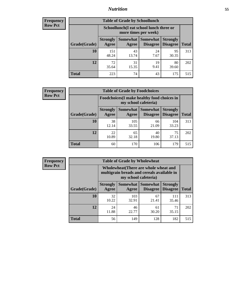## *Nutrition* **55**

| Frequency |
|-----------|
| Row Pct   |

| <b>Table of Grade by Schoollunch</b> |                          |                                                                 |                             |                                    |              |
|--------------------------------------|--------------------------|-----------------------------------------------------------------|-----------------------------|------------------------------------|--------------|
|                                      |                          | Schoollunch(I eat school lunch three or<br>more times per week) |                             |                                    |              |
| Grade(Grade)                         | <b>Strongly</b><br>Agree | Somewhat  <br>Agree                                             | <b>Somewhat</b><br>Disagree | <b>Strongly</b><br><b>Disagree</b> | <b>Total</b> |
| 10                                   | 151<br>48.24             | 43<br>13.74                                                     | 24<br>7.67                  | 95<br>30.35                        | 313          |
| 12                                   | 72<br>35.64              | 31<br>15.35                                                     | 19<br>9.41                  | 80<br>39.60                        | 202          |
| <b>Total</b>                         | 223                      | 74                                                              | 43                          | 175                                | 515          |

| <b>Frequency</b> |  |
|------------------|--|
| <b>Row Pct</b>   |  |

| <b>Table of Grade by Foodchoices</b> |                                                                     |              |                                   |                                    |              |
|--------------------------------------|---------------------------------------------------------------------|--------------|-----------------------------------|------------------------------------|--------------|
|                                      | Foodchoices (I make healthy food choices in<br>my school cafeteria) |              |                                   |                                    |              |
| Grade(Grade)                         | <b>Strongly</b><br>Agree                                            | Agree        | Somewhat   Somewhat  <br>Disagree | <b>Strongly</b><br><b>Disagree</b> | <b>Total</b> |
| 10                                   | 38<br>12.14                                                         | 105<br>33.55 | 66<br>21.09                       | 104<br>33.23                       | 313          |
| 12                                   | 22<br>10.89                                                         | 65<br>32.18  | 40<br>19.80                       | 75<br>37.13                        | 202          |
| <b>Total</b>                         | 60                                                                  | 170          | 106                               | 179                                | 515          |

| Frequency |
|-----------|
| Row Pct   |

Е

| $\overline{I}$ | <b>Table of Grade by Wholewheat</b> |                          |                                                                                                                    |                                        |                                    |              |  |
|----------------|-------------------------------------|--------------------------|--------------------------------------------------------------------------------------------------------------------|----------------------------------------|------------------------------------|--------------|--|
|                |                                     |                          | <b>Wholewheat</b> (There are whole wheat and<br>multigrain breads and cereals available in<br>my school cafeteria) |                                        |                                    |              |  |
|                | Grade(Grade)                        | <b>Strongly</b><br>Agree | Agree                                                                                                              | Somewhat   Somewhat<br><b>Disagree</b> | <b>Strongly</b><br><b>Disagree</b> | <b>Total</b> |  |
|                | 10                                  | 32<br>10.22              | 103<br>32.91                                                                                                       | 67<br>21.41                            | 111<br>35.46                       | 313          |  |
|                | 12                                  | 24<br>11.88              | 46<br>22.77                                                                                                        | 61<br>30.20                            | 71<br>35.15                        | 202          |  |
|                | <b>Total</b>                        | 56                       | 149                                                                                                                | 128                                    | 182                                | 515          |  |

۳,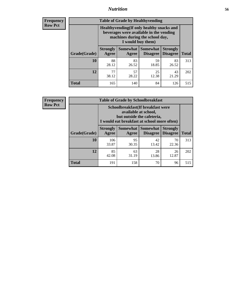## *Nutrition* **56**

**Frequency Row Pct**

| <b>Table of Grade by Healthyvending</b> |                                                                                                                                               |                          |                                    |                                    |              |  |
|-----------------------------------------|-----------------------------------------------------------------------------------------------------------------------------------------------|--------------------------|------------------------------------|------------------------------------|--------------|--|
|                                         | Healthyvending (If only healthy snacks and<br>beverages were available in the vending<br>machines during the school day,<br>I would buy them) |                          |                                    |                                    |              |  |
| Grade(Grade)                            | <b>Strongly</b><br>Agree                                                                                                                      | <b>Somewhat</b><br>Agree | <b>Somewhat</b><br><b>Disagree</b> | <b>Strongly</b><br><b>Disagree</b> | <b>Total</b> |  |
| 10                                      | 88<br>28.12                                                                                                                                   | 83<br>26.52              | 59<br>18.85                        | 83<br>26.52                        | 313          |  |
| 12                                      | 77<br>38.12                                                                                                                                   | 57<br>28.22              | 25<br>12.38                        | 43<br>21.29                        | 202          |  |
| <b>Total</b>                            | 165                                                                                                                                           | 140                      | 84                                 | 126                                | 515          |  |

**Frequency Row Pct**

| <b>Table of Grade by Schoolbreakfast</b> |                                                                                                                                         |             |             |             |              |  |
|------------------------------------------|-----------------------------------------------------------------------------------------------------------------------------------------|-------------|-------------|-------------|--------------|--|
|                                          | Schoolbreakfast (If breakfast were<br>available at school,<br>but outside the cafeteria,<br>I would eat breakfast at school more often) |             |             |             |              |  |
| Grade(Grade)                             | <b>Strongly</b><br>Somewhat   Somewhat<br><b>Strongly</b><br><b>Disagree</b><br>Agree<br><b>Disagree</b><br>Agree                       |             |             |             | <b>Total</b> |  |
| 10                                       | 106<br>33.87                                                                                                                            | 95<br>30.35 | 42<br>13.42 | 70<br>22.36 | 313          |  |
| 12                                       | 85<br>42.08                                                                                                                             | 63<br>31.19 | 28<br>13.86 | 26<br>12.87 | 202          |  |
| <b>Total</b>                             | 191                                                                                                                                     | 158         | 70          | 96          | 515          |  |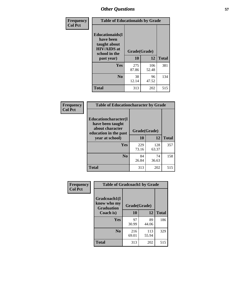| Frequency<br><b>Col Pct</b> | <b>Table of Educationaids by Grade</b>                                                                    |                    |              |              |
|-----------------------------|-----------------------------------------------------------------------------------------------------------|--------------------|--------------|--------------|
|                             | <b>Educationaids</b> (I<br>have been<br>taught about<br><b>HIV/AIDS</b> at<br>school in the<br>past year) | Grade(Grade)<br>10 | 12           | <b>Total</b> |
|                             | Yes                                                                                                       | 275<br>87.86       | 106<br>52.48 | 381          |
|                             | N <sub>0</sub>                                                                                            | 38<br>12.14        | 96<br>47.52  | 134          |
|                             | <b>Total</b>                                                                                              | 313                | 202          | 515          |

| <b>Frequency</b> | <b>Table of Educationcharacter by Grade</b>                                                             |              |              |              |
|------------------|---------------------------------------------------------------------------------------------------------|--------------|--------------|--------------|
| <b>Col Pct</b>   | Educationcharacter(I<br>have been taught<br>about character<br>education in the past<br>year at school) | Grade(Grade) |              |              |
|                  |                                                                                                         | 10           | 12           | <b>Total</b> |
|                  | <b>Yes</b>                                                                                              | 229<br>73.16 | 128<br>63.37 | 357          |
|                  | N <sub>0</sub>                                                                                          | 84<br>26.84  | 74<br>36.63  | 158          |
|                  | <b>Total</b>                                                                                            | 313          | 202          | 515          |

| Frequency      | <b>Table of Gradcoach1 by Grade</b>              |              |              |              |
|----------------|--------------------------------------------------|--------------|--------------|--------------|
| <b>Col Pct</b> | Gradcoach1(I<br>know who my<br><b>Graduation</b> | Grade(Grade) |              |              |
|                | Coach is)                                        | 10           | 12           | <b>Total</b> |
|                | Yes                                              | 97<br>30.99  | 89<br>44.06  | 186          |
|                | N <sub>0</sub>                                   | 216<br>69.01 | 113<br>55.94 | 329          |
|                | <b>Total</b>                                     | 313          | 202          | 515          |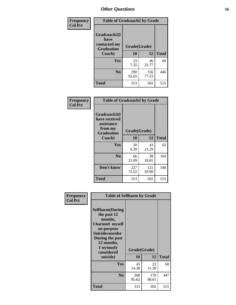| Frequency      | <b>Table of Gradcoach2 by Grade</b> |              |              |              |  |
|----------------|-------------------------------------|--------------|--------------|--------------|--|
| <b>Col Pct</b> |                                     |              |              |              |  |
|                | Gradcoach2(I<br>have                |              |              |              |  |
|                | contacted my<br><b>Graduation</b>   | Grade(Grade) |              |              |  |
|                | Coach)                              | 10           | 12           | <b>Total</b> |  |
|                | Yes                                 | 23<br>7.35   | 46<br>22.77  | 69           |  |
|                | N <sub>0</sub>                      | 290<br>92.65 | 156<br>77.23 | 446          |  |
|                | <b>Total</b>                        | 313          | 202          | 515          |  |

| <b>Frequency</b><br><b>Col Pct</b> | <b>Table of Gradcoach3 by Grade</b>                                         |              |              |              |
|------------------------------------|-----------------------------------------------------------------------------|--------------|--------------|--------------|
|                                    | Gradcoach3(I<br>have received<br>assistance<br>from my<br><b>Graduation</b> | Grade(Grade) |              |              |
|                                    | Coach)                                                                      | 10           | 12           | <b>Total</b> |
|                                    | Yes                                                                         | 20<br>6.39   | 43<br>21.29  | 63           |
|                                    | N <sub>0</sub>                                                              | 66<br>21.09  | 38<br>18.81  | 104          |
|                                    | Don't know                                                                  | 227<br>72.52 | 121<br>59.90 | 348          |
|                                    | <b>Total</b>                                                                | 313          | 202          | 515          |

| Frequency      | <b>Table of Selfharm by Grade</b>                                                                                                                                                      |                    |              |              |
|----------------|----------------------------------------------------------------------------------------------------------------------------------------------------------------------------------------|--------------------|--------------|--------------|
| <b>Col Pct</b> | <b>Selfharm</b> (During<br>the past 12<br>months,<br>I harmed myself<br>on purpose<br><b>Suicideconsider</b><br>During the past<br>12 months,<br>I seriously<br>considered<br>suicide) | Grade(Grade)<br>10 | 12           | <b>Total</b> |
|                | Yes                                                                                                                                                                                    | 45<br>14.38        | 23<br>11.39  | 68           |
|                | N <sub>0</sub>                                                                                                                                                                         | 268<br>85.62       | 179<br>88.61 | 447          |
|                | Total                                                                                                                                                                                  | 313                | 202          | 515          |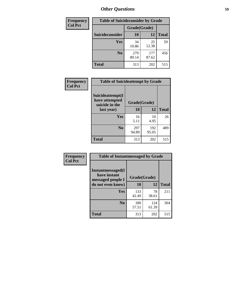| <b>Frequency</b> |                 | <b>Table of Suicideconsider by Grade</b> |              |              |
|------------------|-----------------|------------------------------------------|--------------|--------------|
| <b>Col Pct</b>   |                 | Grade(Grade)                             |              |              |
|                  | Suicideconsider | <b>10</b>                                | 12           | <b>Total</b> |
|                  | Yes             | 34<br>10.86                              | 25<br>12.38  | 59           |
|                  | N <sub>0</sub>  | 279<br>89.14                             | 177<br>87.62 | 456          |
|                  | Total           | 313                                      | 202          | 515          |

| Frequency      | <b>Table of Suicideattempt by Grade</b>              |              |              |              |
|----------------|------------------------------------------------------|--------------|--------------|--------------|
| <b>Col Pct</b> | Suicideattempt(I<br>have attempted<br>suicide in the | Grade(Grade) |              |              |
|                | last year)                                           | 10           | 12           | <b>Total</b> |
|                | Yes                                                  | 16<br>5.11   | 10<br>4.95   | 26           |
|                | $\bf No$                                             | 297<br>94.89 | 192<br>95.05 | 489          |
|                | <b>Total</b>                                         | 313          | 202          | 515          |

| Frequency      | <b>Table of Instantmessaged by Grade</b>               |              |              |              |
|----------------|--------------------------------------------------------|--------------|--------------|--------------|
| <b>Col Pct</b> | Instantmessaged(I<br>have instant<br>messaged people I | Grade(Grade) |              |              |
|                | do not even know)                                      | 10           | 12           | <b>Total</b> |
|                | Yes                                                    | 133<br>42.49 | 78<br>38.61  | 211          |
|                | N <sub>0</sub>                                         | 180<br>57.51 | 124<br>61.39 | 304          |
|                | <b>Total</b>                                           | 313          | 202          | 515          |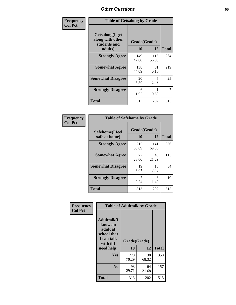| Frequency      | <b>Table of Getsalong by Grade</b>                          |              |              |              |  |  |  |
|----------------|-------------------------------------------------------------|--------------|--------------|--------------|--|--|--|
| <b>Col Pct</b> | <b>Getsalong</b> (I get<br>along with other<br>students and |              | Grade(Grade) |              |  |  |  |
|                | adults)                                                     | 10           | 12           | <b>Total</b> |  |  |  |
|                | <b>Strongly Agree</b>                                       | 149<br>47.60 | 115<br>56.93 | 264          |  |  |  |
|                | <b>Somewhat Agree</b>                                       | 138<br>44.09 | 81<br>40.10  | 219          |  |  |  |
|                | <b>Somewhat Disagree</b>                                    | 20<br>6.39   | 5<br>2.48    | 25           |  |  |  |
|                | <b>Strongly Disagree</b>                                    | 6<br>1.92    | 0.50         | 7            |  |  |  |
|                | Total                                                       | 313          | 202          | 515          |  |  |  |

| Frequency      | <b>Table of Safehome by Grade</b> |                    |              |              |
|----------------|-----------------------------------|--------------------|--------------|--------------|
| <b>Col Pct</b> | Safehome(I feel                   | Grade(Grade)<br>10 | 12           |              |
|                | safe at home)                     |                    |              | <b>Total</b> |
|                | <b>Strongly Agree</b>             | 215<br>68.69       | 141<br>69.80 | 356          |
|                | <b>Somewhat Agree</b>             | 72<br>23.00        | 43<br>21.29  | 115          |
|                | <b>Somewhat Disagree</b>          | 19<br>6.07         | 15<br>7.43   | 34           |
|                | <b>Strongly Disagree</b>          | 2.24               | 3<br>1.49    | 10           |
|                | <b>Total</b>                      | 313                | 202          | 515          |

| Frequency      |                                                                                      | <b>Table of Adulttalk by Grade</b> |              |              |
|----------------|--------------------------------------------------------------------------------------|------------------------------------|--------------|--------------|
| <b>Col Pct</b> | <b>Adulttalk</b> (I<br>know an<br>adult at<br>school that<br>I can talk<br>with if I | Grade(Grade)                       |              |              |
|                | need help)                                                                           | 10                                 | 12           | <b>Total</b> |
|                | <b>Yes</b>                                                                           | 220<br>70.29                       | 138<br>68.32 | 358          |
|                | N <sub>0</sub>                                                                       | 93<br>29.71                        | 64<br>31.68  | 157          |
|                | <b>Total</b>                                                                         | 313                                | 202          | 515          |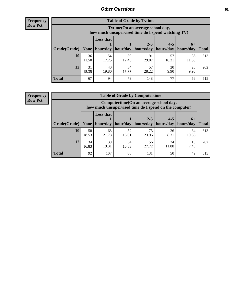**Frequency Row Pct**

| <b>Table of Grade by Tytime</b> |             |                                                                                         |             |                       |             |             |              |  |  |  |
|---------------------------------|-------------|-----------------------------------------------------------------------------------------|-------------|-----------------------|-------------|-------------|--------------|--|--|--|
|                                 |             | Tytime (On an average school day,<br>how much unsupervised time do I spend watching TV) |             |                       |             |             |              |  |  |  |
|                                 |             | <b>Less that</b>                                                                        |             | $2 - 3$               | $4 - 5$     | $6+$        |              |  |  |  |
| Grade(Grade)   None             |             | hour/day                                                                                | hour/day    | hours/day   hours/day |             | hours/day   | <b>Total</b> |  |  |  |
| 10                              | 36<br>11.50 | 54<br>17.25                                                                             | 39<br>12.46 | 91<br>29.07           | 57<br>18.21 | 36<br>11.50 | 313          |  |  |  |
| 12                              | 31<br>15.35 | 40<br>19.80                                                                             | 34<br>16.83 | 57<br>28.22           | 20<br>9.90  | 20<br>9.90  | 202          |  |  |  |
| <b>Total</b>                    | 67          | 94                                                                                      | 73          | 148                   | 77          | 56          | 515          |  |  |  |

**Frequency Row Pct**

| <b>Table of Grade by Computertime</b> |             |                                                                                                   |             |                      |                      |                   |              |  |  |  |
|---------------------------------------|-------------|---------------------------------------------------------------------------------------------------|-------------|----------------------|----------------------|-------------------|--------------|--|--|--|
|                                       |             | Computertime (On an average school day,<br>how much unsupervised time do I spend on the computer) |             |                      |                      |                   |              |  |  |  |
| Grade(Grade)                          | None        | <b>Less that</b><br>hour/day                                                                      | hour/day    | $2 - 3$<br>hours/day | $4 - 5$<br>hours/day | $6+$<br>hours/day | <b>Total</b> |  |  |  |
| 10                                    | 58<br>18.53 | 68<br>21.73                                                                                       | 52<br>16.61 | 75<br>23.96          | 26<br>8.31           | 34<br>10.86       | 313          |  |  |  |
| 12                                    | 34<br>16.83 | 39<br>34<br>56<br>24<br>15<br>19.31<br>27.72<br>11.88<br>7.43<br>16.83                            |             |                      |                      |                   |              |  |  |  |
| <b>Total</b>                          | 92          | 107                                                                                               | 86          | 131                  | 50                   | 49                | 515          |  |  |  |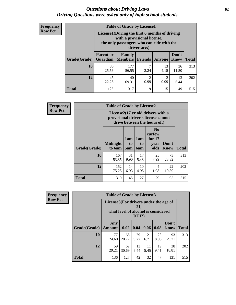#### *Questions about Driving Laws* **62** *Driving Questions were asked only of high school students.*

| <b>Frequency</b> |
|------------------|
| <b>Row Pct</b>   |

| <b>Table of Grade by License1</b> |                                     |                                                                                                                                           |                |            |               |              |  |  |  |  |
|-----------------------------------|-------------------------------------|-------------------------------------------------------------------------------------------------------------------------------------------|----------------|------------|---------------|--------------|--|--|--|--|
|                                   |                                     | License1(During the first 6 months of driving<br>with a provisional license,<br>the only passengers who can ride with the<br>driver are:) |                |            |               |              |  |  |  |  |
| Grade(Grade)                      | <b>Parent or</b><br><b>Guardian</b> | Family<br>  Members                                                                                                                       | <b>Friends</b> | Anyone     | Don't<br>Know | <b>Total</b> |  |  |  |  |
| 10                                | 80<br>25.56                         | 177<br>56.55                                                                                                                              | 7<br>2.24      | 13<br>4.15 | 36<br>11.50   | 313          |  |  |  |  |
| 12                                | 45<br>22.28                         | 2<br>140<br>2<br>13<br>0.99<br>0.99<br>6.44<br>69.31                                                                                      |                |            |               |              |  |  |  |  |
| <b>Total</b>                      | 125                                 | 317                                                                                                                                       | 9              | 15         | 49            | 515          |  |  |  |  |

| <b>Frequency</b> |              | <b>Table of Grade by License2</b> |                                                                                                          |                              |                                                      |                      |              |  |  |
|------------------|--------------|-----------------------------------|----------------------------------------------------------------------------------------------------------|------------------------------|------------------------------------------------------|----------------------|--------------|--|--|
| <b>Row Pct</b>   |              |                                   | License2(17 yr old drivers with a<br>provisional driver's license cannot<br>drive between the hours of:) |                              |                                                      |                      |              |  |  |
|                  | Grade(Grade) | <b>Midnight</b><br>to 6am         | 1am<br>t <sub>0</sub><br>5am                                                                             | 1am<br>t <sub>0</sub><br>6am | N <sub>0</sub><br>curfew<br>for $17$<br>year<br>olds | Don't<br><b>Know</b> | <b>Total</b> |  |  |
|                  | 10           | 167<br>53.35                      | 31<br>9.90                                                                                               | 17<br>5.43                   | 25<br>7.99                                           | 73<br>23.32          | 313          |  |  |
|                  | 12           | 152<br>75.25                      | 14<br>6.93                                                                                               | 10<br>4.95                   | 4<br>1.98                                            | 22<br>10.89          | 202          |  |  |
|                  | <b>Total</b> | 319                               | 45                                                                                                       | 27                           | 29                                                   | 95                   | 515          |  |  |

| Frequency      |              | <b>Table of Grade by License3</b>     |                                     |                 |            |            |               |              |  |  |
|----------------|--------------|---------------------------------------|-------------------------------------|-----------------|------------|------------|---------------|--------------|--|--|
| <b>Row Pct</b> |              | License3(For drivers under the age of | what level of alcohol is considered | 21,<br>$DUI$ ?) |            |            |               |              |  |  |
|                | Grade(Grade) | Any<br><b>Amount</b>                  | 0.02                                | $\vert$ 0.04    | 0.06       | 0.08       | Don't<br>know | <b>Total</b> |  |  |
|                | 10           | 77<br>24.60                           | 65<br>20.77                         | 29<br>9.27      | 21<br>6.71 | 28<br>8.95 | 93<br>29.71   | 313          |  |  |
|                | 12           | 59<br>29.21                           | 62<br>30.69                         | 13<br>6.44      | 11<br>5.45 | 19<br>9.41 | 38<br>18.81   | 202          |  |  |
|                | <b>Total</b> | 136                                   | 127                                 | 42              | 32         | 47         | 131           | 515          |  |  |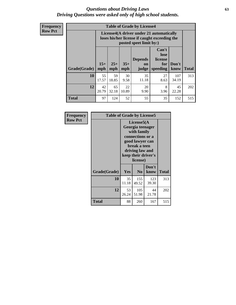#### *Questions about Driving Laws* **63** *Driving Questions were asked only of high school students.*

**Frequency Row Pct**

| <b>Table of Grade by License4</b> |             |                                                                                                                                                                                                                                                                                |            |             |            |              |     |  |  |
|-----------------------------------|-------------|--------------------------------------------------------------------------------------------------------------------------------------------------------------------------------------------------------------------------------------------------------------------------------|------------|-------------|------------|--------------|-----|--|--|
|                                   |             | License4(A driver under 21 automatically<br>loses his/her license if caught exceeding the<br>posted speet limit by:)<br>Can't<br>lose<br><b>Depends</b><br>license<br>$15+$<br>$25+$<br>$35+$<br>Don't<br>for<br>on<br><b>Total</b><br>mph<br>speeding<br>know<br>mph<br>judge |            |             |            |              |     |  |  |
| Grade(Grade)                      | mph         |                                                                                                                                                                                                                                                                                |            |             |            |              |     |  |  |
| 10                                | 55<br>17.57 | 59<br>18.85                                                                                                                                                                                                                                                                    | 30<br>9.58 | 35<br>11.18 | 27<br>8.63 | 107<br>34.19 | 313 |  |  |
| 12                                | 42<br>20.79 | 22<br>65<br>20<br>8<br>45<br>32.18<br>10.89<br>3.96<br>9.90<br>22.28                                                                                                                                                                                                           |            |             |            |              |     |  |  |
| <b>Total</b>                      | 97          | 124                                                                                                                                                                                                                                                                            | 52         | 55          | 35         | 152          | 515 |  |  |

| Frequency      | <b>Table of Grade by License5</b> |             |                                                                                                                                                             |               |       |  |  |
|----------------|-----------------------------------|-------------|-------------------------------------------------------------------------------------------------------------------------------------------------------------|---------------|-------|--|--|
| <b>Row Pct</b> |                                   |             | License5(A)<br>Georgia teenager<br>with family<br>connections or a<br>good lawyer can<br>break a teen<br>driving law and<br>keep their driver's<br>license) |               |       |  |  |
|                | Grade(Grade)                      | <b>Yes</b>  | N <sub>0</sub>                                                                                                                                              | Don't<br>know | Total |  |  |
|                | 10                                | 35<br>11.18 | 155<br>49.52                                                                                                                                                | 123<br>39.30  | 313   |  |  |
|                | 12                                | 53<br>26.24 | 105<br>51.98                                                                                                                                                | 44<br>21.78   | 202   |  |  |
|                | Total                             | 88          | 260                                                                                                                                                         | 167           | 515   |  |  |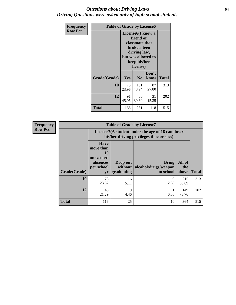### *Questions about Driving Laws* **64** *Driving Questions were asked only of high school students.*

| <b>Frequency</b> |              | <b>Table of Grade by License6</b>                                                                                                               |                |               |              |  |  |
|------------------|--------------|-------------------------------------------------------------------------------------------------------------------------------------------------|----------------|---------------|--------------|--|--|
| <b>Row Pct</b>   |              | License <sub>6</sub> (I know a<br>friend or<br>classmate that<br>broke a teen<br>driving law,<br>but was allowed to<br>keep his/her<br>license) |                |               |              |  |  |
|                  | Grade(Grade) | <b>Yes</b>                                                                                                                                      | N <sub>0</sub> | Don't<br>know | <b>Total</b> |  |  |
|                  | 10           | 75<br>23.96                                                                                                                                     | 151<br>48.24   | 87<br>27.80   | 313          |  |  |
|                  | 12           | 91<br>45.05                                                                                                                                     | 202            |               |              |  |  |
|                  | <b>Total</b> | 166                                                                                                                                             | 231            | 118           | 515          |  |  |

| Frequency      |              |                                                                             | <b>Table of Grade by License7</b>                                                             |                                                   |                        |              |  |
|----------------|--------------|-----------------------------------------------------------------------------|-----------------------------------------------------------------------------------------------|---------------------------------------------------|------------------------|--------------|--|
| <b>Row Pct</b> |              |                                                                             | License7(A student under the age of 18 cam loser<br>his/her driving privileges if he or she:) |                                                   |                        |              |  |
|                | Grade(Grade) | <b>Have</b><br>more than<br>10<br>unexcused<br>absences<br>per school<br>yr | Drop out<br>without  <br>graduating                                                           | <b>Bring</b><br>alcohol/drugs/weapon<br>to school | All of<br>the<br>above | <b>Total</b> |  |
|                | 10           | 73<br>23.32                                                                 | 16<br>5.11                                                                                    | 9<br>2.88                                         | 215<br>68.69           | 313          |  |
|                | 12           | 43<br>21.29                                                                 | 9<br>4.46                                                                                     | 0.50                                              | 149<br>73.76           | 202          |  |
|                | <b>Total</b> | 116                                                                         | 25                                                                                            | 10                                                | 364                    | 515          |  |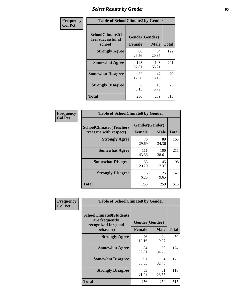# *Select Results by Gender* **65**

| Frequency      | <b>Table of SchoolClimate2 by Gender</b>          |                                 |              |              |
|----------------|---------------------------------------------------|---------------------------------|--------------|--------------|
| <b>Col Pct</b> | SchoolClimate2(I<br>feel successful at<br>school) | Gender(Gender)<br><b>Female</b> | <b>Male</b>  | <b>Total</b> |
|                | <b>Strongly Agree</b>                             | 68<br>26.56                     | 54<br>20.85  | 122          |
|                | <b>Somewhat Agree</b>                             | 148<br>57.81                    | 143<br>55.21 | 291          |
|                | <b>Somewhat Disagree</b>                          | 32<br>12.50                     | 47<br>18.15  | 79           |
|                | <b>Strongly Disagree</b>                          | 8<br>3.13                       | 15<br>5.79   | 23           |
|                | <b>Total</b>                                      | 256                             | 259          | 515          |

| Frequency      | <b>Table of SchoolClimate6 by Gender</b>                 |                          |              |              |  |
|----------------|----------------------------------------------------------|--------------------------|--------------|--------------|--|
| <b>Col Pct</b> | <b>SchoolClimate6(Teachers</b><br>treat me with respect) | Gender(Gender)<br>Female | <b>Male</b>  | <b>Total</b> |  |
|                | <b>Strongly Agree</b>                                    | 76<br>29.69              | 89<br>34.36  | 165          |  |
|                | <b>Somewhat Agree</b>                                    | 111<br>43.36             | 100<br>38.61 | 211          |  |
|                | <b>Somewhat Disagree</b>                                 | 53<br>20.70              | 45<br>17.37  | 98           |  |
|                | <b>Strongly Disagree</b>                                 | 16<br>6.25               | 25<br>9.65   | 41           |  |
|                | <b>Total</b>                                             | 256                      | 259          | 515          |  |

| <b>Frequency</b> | <b>Table of SchoolClimate8 by Gender</b>                                             |                                 |              |     |
|------------------|--------------------------------------------------------------------------------------|---------------------------------|--------------|-----|
| <b>Col Pct</b>   | <b>SchoolClimate8(Students</b><br>are frequently<br>recognized for good<br>behavior) | Gender(Gender)<br><b>Female</b> | <b>Total</b> |     |
|                  |                                                                                      |                                 | <b>Male</b>  |     |
|                  | <b>Strongly Agree</b>                                                                | 26<br>10.16                     | 24<br>9.27   | 50  |
|                  | <b>Somewhat Agree</b>                                                                | 84<br>32.81                     | 90<br>34.75  | 174 |
|                  | <b>Somewhat Disagree</b>                                                             | 91<br>35.55                     | 84<br>32.43  | 175 |
|                  | <b>Strongly Disagree</b>                                                             | 55<br>21.48                     | 61<br>23.55  | 116 |
|                  | Total                                                                                | 256                             | 259          | 515 |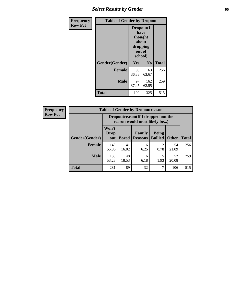# *Select Results by Gender* **66**

| <b>Frequency</b> | <b>Table of Gender by Dropout</b> |                                                                        |                |              |
|------------------|-----------------------------------|------------------------------------------------------------------------|----------------|--------------|
| <b>Row Pct</b>   |                                   | Dropout(I<br>have<br>thought<br>about<br>dropping<br>out of<br>school) |                |              |
|                  | Gender(Gender)                    | Yes                                                                    | N <sub>0</sub> | <b>Total</b> |
|                  | <b>Female</b>                     | 93<br>36.33                                                            | 163<br>63.67   | 256          |
|                  | <b>Male</b>                       | 97<br>37.45                                                            | 162<br>62.55   | 259          |
|                  | <b>Total</b>                      | 190                                                                    | 325            | 515          |

| <b>Frequency</b> | <b>Table of Gender by Dropoutreason</b> |                                                                    |              |                          |                                |              |              |
|------------------|-----------------------------------------|--------------------------------------------------------------------|--------------|--------------------------|--------------------------------|--------------|--------------|
| <b>Row Pct</b>   |                                         | Dropoutreason(If I dropped out the<br>reason would most likely be) |              |                          |                                |              |              |
|                  | <b>Gender</b> (Gender)                  | Won't<br><b>Drop</b><br>out                                        | <b>Bored</b> | Family<br><b>Reasons</b> | <b>Being</b><br><b>Bullied</b> | <b>Other</b> | <b>Total</b> |
|                  | <b>Female</b>                           | 143<br>55.86                                                       | 41<br>16.02  | 16<br>6.25               | $\mathfrak{D}$<br>0.78         | 54<br>21.09  | 256          |
|                  | <b>Male</b>                             | 138<br>53.28                                                       | 48<br>18.53  | 16<br>6.18               | 1.93                           | 52<br>20.08  | 259          |
|                  | <b>Total</b>                            | 281                                                                | 89           | 32                       | 7                              | 106          | 515          |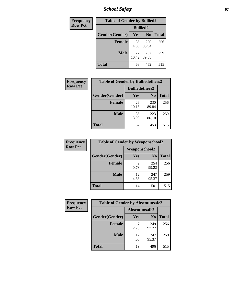*School Safety* **67**

| Frequency      | <b>Table of Gender by Bullied2</b> |                 |                |              |  |
|----------------|------------------------------------|-----------------|----------------|--------------|--|
| <b>Row Pct</b> |                                    | <b>Bullied2</b> |                |              |  |
|                | Gender(Gender)                     | Yes             | N <sub>0</sub> | <b>Total</b> |  |
|                | <b>Female</b>                      | 36<br>14.06     | 220<br>85.94   | 256          |  |
|                | <b>Male</b>                        | 27<br>10.42     | 232<br>89.58   | 259          |  |
|                | <b>Total</b>                       | 63              | 452            | 515          |  |

| Frequency      | <b>Table of Gender by Bulliedothers2</b> |                       |                |              |
|----------------|------------------------------------------|-----------------------|----------------|--------------|
| <b>Row Pct</b> |                                          | <b>Bulliedothers2</b> |                |              |
|                | Gender(Gender)                           | <b>Yes</b>            | N <sub>0</sub> | <b>Total</b> |
|                | <b>Female</b>                            | 26<br>10.16           | 230<br>89.84   | 256          |
|                | <b>Male</b>                              | 36<br>13.90           | 223<br>86.10   | 259          |
|                | <b>Total</b>                             | 62                    | 453            | 515          |

| Frequency      | <b>Table of Gender by Weaponschool2</b> |                      |                |              |
|----------------|-----------------------------------------|----------------------|----------------|--------------|
| <b>Row Pct</b> |                                         | <b>Weaponschool2</b> |                |              |
|                | Gender(Gender)                          | Yes                  | N <sub>0</sub> | <b>Total</b> |
|                | <b>Female</b>                           | 0.78                 | 254<br>99.22   | 256          |
|                | <b>Male</b>                             | 12<br>4.63           | 247<br>95.37   | 259          |
|                | <b>Total</b>                            | 14                   | 501            | 515          |

| Frequency      | <b>Table of Gender by Absentunsafe2</b> |               |                |              |
|----------------|-----------------------------------------|---------------|----------------|--------------|
| <b>Row Pct</b> |                                         | Absentunsafe2 |                |              |
|                | Gender(Gender)                          | Yes           | N <sub>0</sub> | <b>Total</b> |
|                | <b>Female</b>                           | 2.73          | 249<br>97.27   | 256          |
|                | <b>Male</b>                             | 12<br>4.63    | 247<br>95.37   | 259          |
|                | <b>Total</b>                            | 19            | 496            | 515          |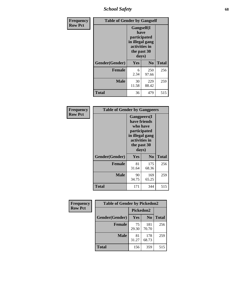*School Safety* **68**

| Frequency      | <b>Table of Gender by Gangself</b> |                                                                                                |              |              |
|----------------|------------------------------------|------------------------------------------------------------------------------------------------|--------------|--------------|
| <b>Row Pct</b> |                                    | Gangself(I<br>have<br>participated<br>in illegal gang<br>activities in<br>the past 30<br>days) |              |              |
|                | Gender(Gender)                     | Yes                                                                                            | $\bf No$     | <b>Total</b> |
|                | <b>Female</b>                      | 6<br>2.34                                                                                      | 250<br>97.66 | 256          |
|                | <b>Male</b>                        | 30<br>11.58                                                                                    | 229<br>88.42 | 259          |
|                | <b>Total</b>                       | 36                                                                                             | 479          | 515          |

| Frequency      | <b>Table of Gender by Gangpeers</b> |                                                                                                                             |                |              |
|----------------|-------------------------------------|-----------------------------------------------------------------------------------------------------------------------------|----------------|--------------|
| <b>Row Pct</b> |                                     | <b>Gangpeers</b> (I<br>have friends<br>who have<br>participated<br>in illegal gang<br>activities in<br>the past 30<br>days) |                |              |
|                | Gender(Gender)                      | <b>Yes</b>                                                                                                                  | N <sub>0</sub> | <b>Total</b> |
|                | <b>Female</b>                       | 81<br>31.64                                                                                                                 | 175<br>68.36   | 256          |
|                | <b>Male</b>                         | 90<br>34.75                                                                                                                 | 169<br>65.25   | 259          |
|                | Total                               | 171                                                                                                                         | 344            | 515          |

| <b>Frequency</b> | <b>Table of Gender by Pickedon2</b> |             |                |              |  |
|------------------|-------------------------------------|-------------|----------------|--------------|--|
| <b>Row Pct</b>   |                                     |             | Pickedon2      |              |  |
|                  | Gender(Gender)                      | Yes         | N <sub>0</sub> | <b>Total</b> |  |
|                  | <b>Female</b>                       | 75<br>29.30 | 181<br>70.70   | 256          |  |
|                  | <b>Male</b>                         | 81<br>31.27 | 178<br>68.73   | 259          |  |
|                  | <b>Total</b>                        | 359<br>156  |                | 515          |  |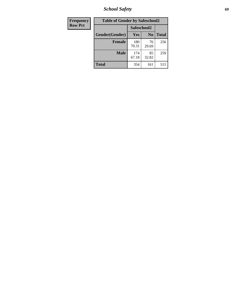*School Safety* **69**

| Frequency      | <b>Table of Gender by Safeschool2</b> |              |                |              |
|----------------|---------------------------------------|--------------|----------------|--------------|
| <b>Row Pct</b> |                                       | Safeschool2  |                |              |
|                | Gender(Gender)                        | <b>Yes</b>   | N <sub>0</sub> | <b>Total</b> |
|                | <b>Female</b>                         | 180<br>70.31 | 76<br>29.69    | 256          |
|                | <b>Male</b>                           | 174<br>67.18 | 85<br>32.82    | 259          |
|                | <b>Total</b>                          | 354          | 161            | 515          |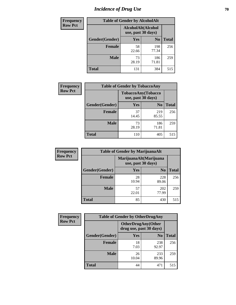# *Incidence of Drug Use* **70**

| <b>Frequency</b> | <b>Table of Gender by AlcoholAlt</b>     |             |                |              |
|------------------|------------------------------------------|-------------|----------------|--------------|
| <b>Row Pct</b>   | AlcoholAlt(Alcohol<br>use, past 30 days) |             |                |              |
|                  | Gender(Gender)                           | Yes         | N <sub>0</sub> | <b>Total</b> |
|                  | <b>Female</b>                            | 58<br>22.66 | 198<br>77.34   | 256          |
|                  | <b>Male</b>                              | 73<br>28.19 | 186<br>71.81   | 259          |
|                  | <b>Total</b>                             | 131         | 384            | 515          |

| <b>Frequency</b> | <b>Table of Gender by TobaccoAny</b> |                                          |                |              |  |
|------------------|--------------------------------------|------------------------------------------|----------------|--------------|--|
| <b>Row Pct</b>   |                                      | TobaccoAny(Tobacco<br>use, past 30 days) |                |              |  |
|                  | Gender(Gender)                       | Yes                                      | N <sub>0</sub> | <b>Total</b> |  |
|                  | <b>Female</b>                        | 37<br>14.45                              | 219<br>85.55   | 256          |  |
|                  | <b>Male</b>                          | 73<br>28.19                              | 186<br>71.81   | 259          |  |
|                  | <b>Total</b>                         | 110                                      | 405            | 515          |  |

| <b>Frequency</b> | <b>Table of Gender by MarijuanaAlt</b> |                    |                        |              |  |
|------------------|----------------------------------------|--------------------|------------------------|--------------|--|
| <b>Row Pct</b>   |                                        | use, past 30 days) | MarijuanaAlt(Marijuana |              |  |
|                  | Gender(Gender)                         | <b>Yes</b>         | N <sub>0</sub>         | <b>Total</b> |  |
|                  | Female                                 | 28<br>10.94        | 228<br>89.06           | 256          |  |
|                  | <b>Male</b>                            | 57<br>22.01        | 202<br>77.99           | 259          |  |
|                  | <b>Total</b>                           | 85                 | 430                    | 515          |  |

| <b>Frequency</b> | <b>Table of Gender by OtherDrugAny</b> |                                                      |                |              |
|------------------|----------------------------------------|------------------------------------------------------|----------------|--------------|
| <b>Row Pct</b>   |                                        | <b>OtherDrugAny(Other</b><br>drug use, past 30 days) |                |              |
|                  | Gender(Gender)                         | <b>Yes</b>                                           | N <sub>0</sub> | <b>Total</b> |
|                  | <b>Female</b>                          | 18<br>7.03                                           | 238<br>92.97   | 256          |
|                  | <b>Male</b>                            | 26<br>10.04                                          | 233<br>89.96   | 259          |
|                  | <b>Total</b>                           | 44                                                   | 471            | 515          |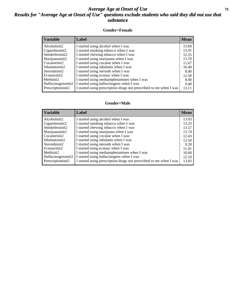### *Average Age at Onset of Use* **71** *Results for "Average Age at Onset of Use" questions exclude students who said they did not use that substance*

#### **Gender=Female**

| Variable           | <b>Label</b>                                                       | <b>Mean</b> |
|--------------------|--------------------------------------------------------------------|-------------|
| Alcoholinit2       | I started using alcohol when I was                                 | 13.69       |
| Cigarettesinit2    | I started smoking tobacco when I was                               | 13.91       |
| Smokelessinit2     | I started chewing tobacco when I was                               | 12.25       |
| Marijuanainit2     | I started using marijuana when I was                               | 13.70       |
| Cocaineinit2       | I started using cocaine when I was                                 | 11.67       |
| Inhalantsinit2     | I started using inhalants when I was                               | 10.40       |
| Steroidsinit2      | I started using steroids when I was                                | 8.00        |
| Ecstasyinit2       | I started using ecstasy when I was                                 | 12.50       |
| Methinit2          | I started using methamphetamines when I was                        | 8.00        |
| Hallucinogensinit2 | I started using hallucinogens when I was                           | 9.40        |
| Prescription in t2 | I started using prescription drugs not prescribed to me when I was | 13.11       |

#### **Gender=Male**

| <b>Variable</b>                 | Label                                                              | <b>Mean</b> |
|---------------------------------|--------------------------------------------------------------------|-------------|
| Alcoholinit2                    | I started using alcohol when I was                                 | 13.03       |
| Cigarettesinit2                 | I started smoking tobacco when I was                               | 13.25       |
| Smokelessinit2                  | I started chewing tobacco when I was                               | 13.57       |
| Marijuanainit2                  | I started using marijuana when I was                               | 13.74       |
| Cocaineinit2                    | I started using cocaine when I was                                 | 12.43       |
| Inhalantsinit2                  | I started using inhalants when I was                               | 12.50       |
| Steroidsinit2                   | I started using steroids when I was                                | 9.20        |
| Ecstasyinit2                    | I started using ecstasy when I was                                 | 11.91       |
| Methinit2                       | I started using methamphetamines when I was                        | 10.00       |
| Hallucinogensinit2              | I started using hallucinogens when I was                           | 12.10       |
| Prescription in it <sub>2</sub> | I started using prescription drugs not prescribed to me when I was | 13.83       |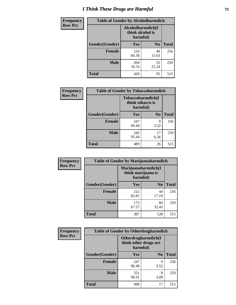# *I Think These Drugs are Harmful* **72**

| Frequency      | <b>Table of Gender by Alcoholharmdich</b> |                              |                   |              |
|----------------|-------------------------------------------|------------------------------|-------------------|--------------|
| <b>Row Pct</b> |                                           | think alcohol is<br>harmful) | Alcoholharmdich(I |              |
|                | <b>Gender</b> (Gender)                    | <b>Yes</b>                   | N <sub>0</sub>    | <b>Total</b> |
|                | <b>Female</b>                             | 216<br>84.38                 | 40<br>15.63       | 256          |
|                | <b>Male</b>                               | 204<br>78.76                 | 55<br>21.24       | 259          |
|                | <b>Total</b>                              | 420                          | 95                | 515          |

| Frequency      | <b>Table of Gender by Tobaccoharmdich</b> |                                                   |                |              |  |
|----------------|-------------------------------------------|---------------------------------------------------|----------------|--------------|--|
| <b>Row Pct</b> |                                           | Tobaccoharmdich(I<br>think tobacco is<br>harmful) |                |              |  |
|                | Gender(Gender)                            | Yes                                               | N <sub>0</sub> | <b>Total</b> |  |
|                | <b>Female</b>                             | 247<br>96.48                                      | 9<br>3.52      | 256          |  |
|                | <b>Male</b>                               | 242<br>93.44                                      | 17<br>6.56     | 259          |  |
|                | Total                                     | 489                                               | 26             | 515          |  |

| Frequency      | <b>Table of Gender by Marijuanaharmdich</b> |                                                       |                |              |  |
|----------------|---------------------------------------------|-------------------------------------------------------|----------------|--------------|--|
| <b>Row Pct</b> |                                             | Marijuanaharmdich(I<br>think marijuana is<br>harmful) |                |              |  |
|                | Gender(Gender)                              | <b>Yes</b>                                            | N <sub>0</sub> | <b>Total</b> |  |
|                | <b>Female</b>                               | 212<br>82.81                                          | 44<br>17.19    | 256          |  |
|                | <b>Male</b>                                 | 175<br>67.57                                          | 84<br>32.43    | 259          |  |
|                | <b>Total</b>                                | 387                                                   | 128            | 515          |  |

| Frequency      | <b>Table of Gender by Otherdrugharmdich</b> |                                                          |                |              |  |
|----------------|---------------------------------------------|----------------------------------------------------------|----------------|--------------|--|
| <b>Row Pct</b> |                                             | Otherdrugharmdich(I<br>think other drugs are<br>harmful) |                |              |  |
|                | Gender(Gender)                              | <b>Yes</b>                                               | N <sub>0</sub> | <b>Total</b> |  |
|                | <b>Female</b>                               | 247<br>96.48                                             | 9<br>3.52      | 256          |  |
|                | <b>Male</b>                                 | 251<br>96.91                                             | 8<br>3.09      | 259          |  |
|                | <b>Total</b>                                | 498                                                      | 17             | 515          |  |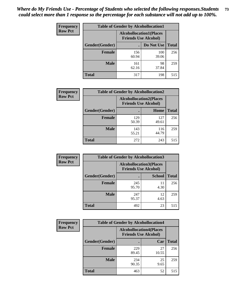| <b>Frequency</b> | <b>Table of Gender by Alcohollocation1</b> |                                                               |              |              |
|------------------|--------------------------------------------|---------------------------------------------------------------|--------------|--------------|
| <b>Row Pct</b>   |                                            | <b>Alcohollocation1(Places</b><br><b>Friends Use Alcohol)</b> |              |              |
|                  | Gender(Gender)                             |                                                               | Do Not Use   | <b>Total</b> |
|                  | <b>Female</b>                              | 156<br>60.94                                                  | 100<br>39.06 | 256          |
|                  | <b>Male</b>                                | 161<br>62.16                                                  | 98<br>37.84  | 259          |
|                  | <b>Total</b>                               | 317                                                           | 198          | 515          |

| <b>Frequency</b> | <b>Table of Gender by Alcohollocation2</b> |                                                               |              |              |
|------------------|--------------------------------------------|---------------------------------------------------------------|--------------|--------------|
| <b>Row Pct</b>   |                                            | <b>Alcohollocation2(Places</b><br><b>Friends Use Alcohol)</b> |              |              |
|                  | Gender(Gender)                             |                                                               | Home         | <b>Total</b> |
|                  | <b>Female</b>                              | 129<br>50.39                                                  | 127<br>49.61 | 256          |
|                  | <b>Male</b>                                | 143<br>55.21                                                  | 116<br>44.79 | 259          |
|                  | <b>Total</b>                               | 272                                                           | 243          | 515          |

| Frequency      | <b>Table of Gender by Alcohollocation3</b> |                                                               |               |              |
|----------------|--------------------------------------------|---------------------------------------------------------------|---------------|--------------|
| <b>Row Pct</b> |                                            | <b>Alcohollocation3(Places</b><br><b>Friends Use Alcohol)</b> |               |              |
|                | Gender(Gender)                             |                                                               | <b>School</b> | <b>Total</b> |
|                | <b>Female</b>                              | 245<br>95.70                                                  | 11<br>4.30    | 256          |
|                | <b>Male</b>                                | 247<br>95.37                                                  | 12<br>4.63    | 259          |
|                | <b>Total</b>                               | 492                                                           | 23            | 515          |

| Frequency      | <b>Table of Gender by Alcohollocation4</b> |                                                               |             |              |
|----------------|--------------------------------------------|---------------------------------------------------------------|-------------|--------------|
| <b>Row Pct</b> |                                            | <b>Alcohollocation4(Places</b><br><b>Friends Use Alcohol)</b> |             |              |
|                | Gender(Gender)                             |                                                               | Car         | <b>Total</b> |
|                | <b>Female</b>                              | 229<br>89.45                                                  | 27<br>10.55 | 256          |
|                | <b>Male</b>                                | 234<br>90.35                                                  | 25<br>9.65  | 259          |
|                | <b>Total</b>                               | 463                                                           | 52          | 515          |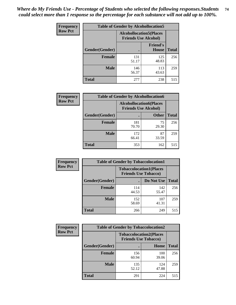| <b>Frequency</b> | <b>Table of Gender by Alcohollocation5</b> |                                                                |                                 |              |
|------------------|--------------------------------------------|----------------------------------------------------------------|---------------------------------|--------------|
| <b>Row Pct</b>   |                                            | <b>Alcohollocation5</b> (Places<br><b>Friends Use Alcohol)</b> |                                 |              |
|                  | Gender(Gender)                             |                                                                | <b>Friend's</b><br><b>House</b> | <b>Total</b> |
|                  | <b>Female</b>                              | 131<br>51.17                                                   | 125<br>48.83                    | 256          |
|                  | <b>Male</b>                                | 146<br>56.37                                                   | 113<br>43.63                    | 259          |
|                  | <b>Total</b>                               | 277                                                            | 238                             | 515          |

| <b>Frequency</b> |                | <b>Table of Gender by Alcohollocation6</b>                    |              |              |
|------------------|----------------|---------------------------------------------------------------|--------------|--------------|
| <b>Row Pct</b>   |                | <b>Alcohollocation6(Places</b><br><b>Friends Use Alcohol)</b> |              |              |
|                  | Gender(Gender) |                                                               | <b>Other</b> | <b>Total</b> |
|                  | <b>Female</b>  | 181<br>70.70                                                  | 75<br>29.30  | 256          |
|                  | <b>Male</b>    | 172<br>66.41                                                  | 87<br>33.59  | 259          |
|                  | Total          | 353                                                           | 162          | 515          |

| Frequency      | <b>Table of Gender by Tobaccolocation1</b> |                                                               |              |              |  |
|----------------|--------------------------------------------|---------------------------------------------------------------|--------------|--------------|--|
| <b>Row Pct</b> |                                            | <b>Tobaccolocation1(Places</b><br><b>Friends Use Tobacco)</b> |              |              |  |
|                | <b>Gender</b> (Gender)                     |                                                               | Do Not Use   | <b>Total</b> |  |
|                | Female                                     | 114<br>44.53                                                  | 142<br>55.47 | 256          |  |
|                | <b>Male</b>                                | 152<br>58.69                                                  | 107<br>41.31 | 259          |  |
|                | <b>Total</b>                               | 266                                                           | 249          | 515          |  |

| <b>Frequency</b> | <b>Table of Gender by Tobaccolocation2</b> |                                                               |              |              |
|------------------|--------------------------------------------|---------------------------------------------------------------|--------------|--------------|
| <b>Row Pct</b>   |                                            | <b>Tobaccolocation2(Places</b><br><b>Friends Use Tobacco)</b> |              |              |
|                  | Gender(Gender)                             |                                                               | Home         | <b>Total</b> |
|                  | <b>Female</b>                              | 156<br>60.94                                                  | 100<br>39.06 | 256          |
|                  | <b>Male</b>                                | 135<br>52.12                                                  | 124<br>47.88 | 259          |
|                  | <b>Total</b>                               | 291                                                           | 224          | 515          |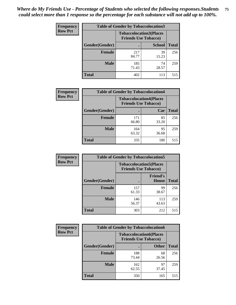| <b>Frequency</b> | <b>Table of Gender by Tobaccolocation3</b> |              |                                                               |              |
|------------------|--------------------------------------------|--------------|---------------------------------------------------------------|--------------|
| <b>Row Pct</b>   |                                            |              | <b>Tobaccolocation3(Places</b><br><b>Friends Use Tobacco)</b> |              |
|                  | Gender(Gender)                             |              | <b>School</b>                                                 | <b>Total</b> |
|                  | Female                                     | 217<br>84.77 | 39<br>15.23                                                   | 256          |
|                  | <b>Male</b>                                | 185<br>71.43 | 74<br>28.57                                                   | 259          |
|                  | <b>Total</b>                               | 402          | 113                                                           | 515          |

| <b>Frequency</b> | <b>Table of Gender by Tobaccolocation4</b> |              |                                                               |              |
|------------------|--------------------------------------------|--------------|---------------------------------------------------------------|--------------|
| <b>Row Pct</b>   |                                            |              | <b>Tobaccolocation4(Places</b><br><b>Friends Use Tobacco)</b> |              |
|                  | Gender(Gender)                             |              | Car                                                           | <b>Total</b> |
|                  | <b>Female</b>                              | 171<br>66.80 | 85<br>33.20                                                   | 256          |
|                  | <b>Male</b>                                | 164<br>63.32 | 95<br>36.68                                                   | 259          |
|                  | <b>Total</b>                               | 335          | 180                                                           | 515          |

| <b>Frequency</b> | <b>Table of Gender by Tobaccolocation5</b> |                                                               |                                 |              |
|------------------|--------------------------------------------|---------------------------------------------------------------|---------------------------------|--------------|
| <b>Row Pct</b>   |                                            | <b>Tobaccolocation5(Places</b><br><b>Friends Use Tobacco)</b> |                                 |              |
|                  | Gender(Gender)                             |                                                               | <b>Friend's</b><br><b>House</b> | <b>Total</b> |
|                  | <b>Female</b>                              | 157<br>61.33                                                  | 99<br>38.67                     | 256          |
|                  | <b>Male</b>                                | 146<br>56.37                                                  | 113<br>43.63                    | 259          |
|                  | <b>Total</b>                               | 303                                                           | 212                             | 515          |

| <b>Frequency</b> | <b>Table of Gender by Tobaccolocation6</b> |                                                               |              |              |
|------------------|--------------------------------------------|---------------------------------------------------------------|--------------|--------------|
| <b>Row Pct</b>   |                                            | <b>Tobaccolocation6(Places</b><br><b>Friends Use Tobacco)</b> |              |              |
|                  | Gender(Gender)                             |                                                               | <b>Other</b> | <b>Total</b> |
|                  | Female                                     | 188<br>73.44                                                  | 68<br>26.56  | 256          |
|                  | <b>Male</b>                                | 162<br>62.55                                                  | 97<br>37.45  | 259          |
|                  | <b>Total</b>                               | 350                                                           | 165          | 515          |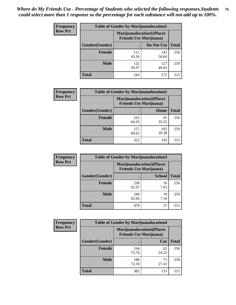| <b>Frequency</b> | <b>Table of Gender by Marijuanalocation1</b> |                                                                    |              |              |
|------------------|----------------------------------------------|--------------------------------------------------------------------|--------------|--------------|
| <b>Row Pct</b>   |                                              | <b>Marijuanalocation1(Places</b><br><b>Friends Use Marijuana</b> ) |              |              |
|                  | Gender(Gender)                               |                                                                    | Do Not Use   | <b>Total</b> |
|                  | <b>Female</b>                                | 111<br>43.36                                                       | 145<br>56.64 | 256          |
|                  | <b>Male</b>                                  | 132<br>50.97                                                       | 127<br>49.03 | 259          |
|                  | <b>Total</b>                                 | 243                                                                | 272          | 515          |

| <b>Frequency</b> | <b>Table of Gender by Marijuanalocation2</b> |                                                                    |              |              |
|------------------|----------------------------------------------|--------------------------------------------------------------------|--------------|--------------|
| <b>Row Pct</b>   |                                              | <b>Marijuanalocation2(Places</b><br><b>Friends Use Marijuana</b> ) |              |              |
|                  | Gender(Gender)                               |                                                                    | Home         | <b>Total</b> |
|                  | Female                                       | 165<br>64.45                                                       | 91<br>35.55  | 256          |
|                  | <b>Male</b>                                  | 157<br>60.62                                                       | 102<br>39.38 | 259          |
|                  | <b>Total</b>                                 | 322                                                                | 193          | 515          |

| Frequency      | <b>Table of Gender by Marijuanalocation3</b> |              |                                                                    |              |
|----------------|----------------------------------------------|--------------|--------------------------------------------------------------------|--------------|
| <b>Row Pct</b> |                                              |              | <b>Marijuanalocation3(Places</b><br><b>Friends Use Marijuana</b> ) |              |
|                | Gender(Gender)                               |              | <b>School</b>                                                      | <b>Total</b> |
|                | Female                                       | 238<br>92.97 | 18<br>7.03                                                         | 256          |
|                | <b>Male</b>                                  | 240<br>92.66 | 19<br>7.34                                                         | 259          |
|                | <b>Total</b>                                 | 478          | 37                                                                 | 515          |

| Frequency      | <b>Table of Gender by Marijuanalocation4</b> |                                |                                  |              |
|----------------|----------------------------------------------|--------------------------------|----------------------------------|--------------|
| <b>Row Pct</b> |                                              | <b>Friends Use Marijuana</b> ) | <b>Marijuanalocation4(Places</b> |              |
|                | <b>Gender</b> (Gender)                       |                                | Car                              | <b>Total</b> |
|                | <b>Female</b>                                | 194<br>75.78                   | 62<br>24.22                      | 256          |
|                | <b>Male</b>                                  | 188<br>72.59                   | 71<br>27.41                      | 259          |
|                | <b>Total</b>                                 | 382                            | 133                              | 515          |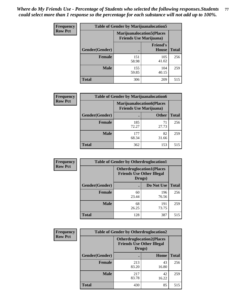| <b>Frequency</b> | <b>Table of Gender by Marijuanalocation5</b> |                                                                    |                          |              |
|------------------|----------------------------------------------|--------------------------------------------------------------------|--------------------------|--------------|
| <b>Row Pct</b>   |                                              | <b>Marijuanalocation5(Places</b><br><b>Friends Use Marijuana</b> ) |                          |              |
|                  | Gender(Gender)                               |                                                                    | <b>Friend's</b><br>House | <b>Total</b> |
|                  | <b>Female</b>                                | 151<br>58.98                                                       | 105<br>41.02             | 256          |
|                  | <b>Male</b>                                  | 155<br>59.85                                                       | 104<br>40.15             | 259          |
|                  | <b>Total</b>                                 | 306                                                                | 209                      | 515          |

| <b>Frequency</b> | <b>Table of Gender by Marijuanalocation6</b> |                                |                                   |              |
|------------------|----------------------------------------------|--------------------------------|-----------------------------------|--------------|
| <b>Row Pct</b>   |                                              | <b>Friends Use Marijuana</b> ) | <b>Marijuanalocation6(Places)</b> |              |
|                  | Gender(Gender)                               |                                | <b>Other</b>                      | <b>Total</b> |
|                  | <b>Female</b>                                | 185<br>72.27                   | 71<br>27.73                       | 256          |
|                  | <b>Male</b>                                  | 177<br>68.34                   | 82<br>31.66                       | 259          |
|                  | <b>Total</b>                                 | 362                            | 153                               | 515          |

| <b>Frequency</b> | <b>Table of Gender by Otherdruglocation1</b> |                                                                                |              |              |
|------------------|----------------------------------------------|--------------------------------------------------------------------------------|--------------|--------------|
| <b>Row Pct</b>   |                                              | <b>Otherdruglocation1(Places</b><br><b>Friends Use Other Illegal</b><br>Drugs) |              |              |
|                  | Gender(Gender)                               |                                                                                | Do Not Use   | <b>Total</b> |
|                  | <b>Female</b>                                | 60<br>23.44                                                                    | 196<br>76.56 | 256          |
|                  | <b>Male</b>                                  | 68<br>26.25                                                                    | 191<br>73.75 | 259          |
|                  | <b>Total</b>                                 | 128                                                                            | 387          | 515          |

| <b>Frequency</b> | <b>Table of Gender by Otherdruglocation2</b> |                                            |                                  |              |
|------------------|----------------------------------------------|--------------------------------------------|----------------------------------|--------------|
| <b>Row Pct</b>   |                                              | <b>Friends Use Other Illegal</b><br>Drugs) | <b>Otherdruglocation2(Places</b> |              |
|                  | Gender(Gender)                               |                                            | Home                             | <b>Total</b> |
|                  | Female                                       | 213<br>83.20                               | 43<br>16.80                      | 256          |
|                  | <b>Male</b>                                  | 217<br>83.78                               | 42<br>16.22                      | 259          |
|                  | <b>Total</b>                                 | 430                                        | 85                               | 515          |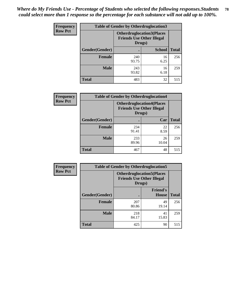| <b>Frequency</b> | <b>Table of Gender by Otherdruglocation3</b> |                                                                                |               |              |
|------------------|----------------------------------------------|--------------------------------------------------------------------------------|---------------|--------------|
| <b>Row Pct</b>   |                                              | <b>Otherdruglocation3(Places</b><br><b>Friends Use Other Illegal</b><br>Drugs) |               |              |
|                  | Gender(Gender)                               |                                                                                | <b>School</b> | <b>Total</b> |
|                  | <b>Female</b>                                | 240<br>93.75                                                                   | 16<br>6.25    | 256          |
|                  | <b>Male</b>                                  | 243<br>93.82                                                                   | 16<br>6.18    | 259          |
|                  | <b>Total</b>                                 | 483                                                                            | 32            | 515          |

| Frequency      | <b>Table of Gender by Otherdruglocation4</b> |                                                                                |             |              |
|----------------|----------------------------------------------|--------------------------------------------------------------------------------|-------------|--------------|
| <b>Row Pct</b> |                                              | <b>Otherdruglocation4(Places</b><br><b>Friends Use Other Illegal</b><br>Drugs) |             |              |
|                | Gender(Gender)                               |                                                                                | Car         | <b>Total</b> |
|                | <b>Female</b>                                | 234<br>91.41                                                                   | 22<br>8.59  | 256          |
|                | <b>Male</b>                                  | 233<br>89.96                                                                   | 26<br>10.04 | 259          |
|                | <b>Total</b>                                 | 467                                                                            | 48          | 515          |

| Frequency      | <b>Table of Gender by Otherdruglocation5</b> |                                                                                |                                 |              |
|----------------|----------------------------------------------|--------------------------------------------------------------------------------|---------------------------------|--------------|
| <b>Row Pct</b> |                                              | <b>Otherdruglocation5(Places</b><br><b>Friends Use Other Illegal</b><br>Drugs) |                                 |              |
|                | Gender(Gender)                               |                                                                                | <b>Friend's</b><br><b>House</b> | <b>Total</b> |
|                | <b>Female</b>                                | 207<br>80.86                                                                   | 49<br>19.14                     | 256          |
|                | <b>Male</b>                                  | 218<br>84.17                                                                   | 41<br>15.83                     | 259          |
|                | <b>Total</b>                                 | 425                                                                            | 90                              | 515          |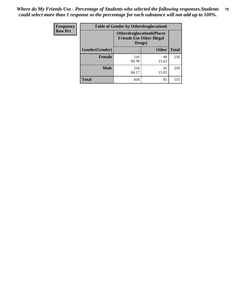| <b>Frequency</b> | <b>Table of Gender by Otherdruglocation6</b> |                                            |                                  |              |
|------------------|----------------------------------------------|--------------------------------------------|----------------------------------|--------------|
| <b>Row Pct</b>   |                                              | <b>Friends Use Other Illegal</b><br>Drugs) | <b>Otherdruglocation6(Places</b> |              |
|                  | Gender(Gender)                               |                                            | <b>Other</b>                     | <b>Total</b> |
|                  | Female                                       | 216<br>84.38                               | 40<br>15.63                      | 256          |
|                  | <b>Male</b>                                  | 218<br>84.17                               | 41<br>15.83                      | 259          |
|                  | <b>Total</b>                                 | 434                                        | 81                               | 515          |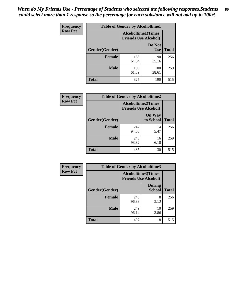| <b>Frequency</b> | <b>Table of Gender by Alcoholtime1</b> |                                                          |                      |              |
|------------------|----------------------------------------|----------------------------------------------------------|----------------------|--------------|
| <b>Row Pct</b>   |                                        | <b>Alcoholtime1(Times</b><br><b>Friends Use Alcohol)</b> |                      |              |
|                  | Gender(Gender)                         | $\bullet$                                                | Do Not<br><b>Use</b> | <b>Total</b> |
|                  | <b>Female</b>                          | 166<br>64.84                                             | 90<br>35.16          | 256          |
|                  | <b>Male</b>                            | 159<br>61.39                                             | 100<br>38.61         | 259          |
|                  | <b>Total</b>                           | 325                                                      | 190                  | 515          |

| Frequency      |                | <b>Table of Gender by Alcoholtime2</b>                   |                            |              |  |
|----------------|----------------|----------------------------------------------------------|----------------------------|--------------|--|
| <b>Row Pct</b> |                | <b>Alcoholtime2(Times</b><br><b>Friends Use Alcohol)</b> |                            |              |  |
|                | Gender(Gender) |                                                          | <b>On Way</b><br>to School | <b>Total</b> |  |
|                | <b>Female</b>  | 242<br>94.53                                             | 14<br>5.47                 | 256          |  |
|                | <b>Male</b>    | 243<br>93.82                                             | 16<br>6.18                 | 259          |  |
|                | Total          | 485                                                      | 30                         | 515          |  |

| <b>Frequency</b> | <b>Table of Gender by Alcoholtime3</b> |                                                          |                                |              |
|------------------|----------------------------------------|----------------------------------------------------------|--------------------------------|--------------|
| <b>Row Pct</b>   |                                        | <b>Alcoholtime3(Times</b><br><b>Friends Use Alcohol)</b> |                                |              |
|                  | Gender(Gender)                         |                                                          | <b>During</b><br><b>School</b> | <b>Total</b> |
|                  | Female                                 | 248<br>96.88                                             | 8<br>3.13                      | 256          |
|                  | <b>Male</b>                            | 249<br>96.14                                             | 10<br>3.86                     | 259          |
|                  | <b>Total</b>                           | 497                                                      | 18                             | 515          |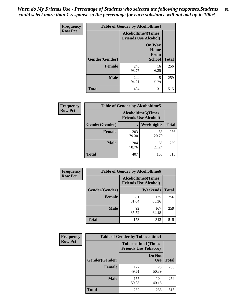*When do My Friends Use - Percentage of Students who selected the following responses.Students could select more than 1 response so the percentage for each substance will not add up to 100%.* **81**

| <b>Frequency</b> | <b>Table of Gender by Alcoholtime4</b> |                                                          |                                                       |              |
|------------------|----------------------------------------|----------------------------------------------------------|-------------------------------------------------------|--------------|
| <b>Row Pct</b>   |                                        | <b>Alcoholtime4(Times</b><br><b>Friends Use Alcohol)</b> |                                                       |              |
|                  | Gender(Gender)                         |                                                          | <b>On Way</b><br>Home<br><b>From</b><br><b>School</b> | <b>Total</b> |
|                  | <b>Female</b>                          | 240<br>93.75                                             | 16<br>6.25                                            | 256          |
|                  | <b>Male</b>                            | 244<br>94.21                                             | 15<br>5.79                                            | 259          |
|                  | <b>Total</b>                           | 484                                                      | 31                                                    | 515          |

| <b>Frequency</b> | <b>Table of Gender by Alcoholtime5</b> |                                                           |             |              |
|------------------|----------------------------------------|-----------------------------------------------------------|-------------|--------------|
| <b>Row Pct</b>   |                                        | <b>Alcoholtime5</b> (Times<br><b>Friends Use Alcohol)</b> |             |              |
|                  | Gender(Gender)                         |                                                           | Weeknights  | <b>Total</b> |
|                  | <b>Female</b>                          | 203<br>79.30                                              | 53<br>20.70 | 256          |
|                  | <b>Male</b>                            | 204<br>78.76                                              | 55<br>21.24 | 259          |
|                  | <b>Total</b>                           | 407                                                       | 108         | 515          |

| <b>Frequency</b> | <b>Table of Gender by Alcoholtime6</b> |                                                           |                 |              |  |
|------------------|----------------------------------------|-----------------------------------------------------------|-----------------|--------------|--|
| <b>Row Pct</b>   |                                        | <b>Alcoholtime6</b> (Times<br><b>Friends Use Alcohol)</b> |                 |              |  |
|                  | Gender(Gender)                         |                                                           | <b>Weekends</b> | <b>Total</b> |  |
|                  | Female                                 | 81<br>31.64                                               | 175<br>68.36    | 256          |  |
|                  | <b>Male</b>                            | 92<br>35.52                                               | 167<br>64.48    | 259          |  |
|                  | Total                                  | 173                                                       | 342             | 515          |  |

| Frequency      | <b>Table of Gender by Tobaccotime1</b> |                                                          |                      |              |
|----------------|----------------------------------------|----------------------------------------------------------|----------------------|--------------|
| <b>Row Pct</b> |                                        | <b>Tobaccotime1(Times</b><br><b>Friends Use Tobacco)</b> |                      |              |
|                | Gender(Gender)                         |                                                          | Do Not<br><b>Use</b> | <b>Total</b> |
|                | <b>Female</b>                          | 127<br>49.61                                             | 129<br>50.39         | 256          |
|                | <b>Male</b>                            | 155<br>59.85                                             | 104<br>40.15         | 259          |
|                | <b>Total</b>                           | 282                                                      | 233                  | 515          |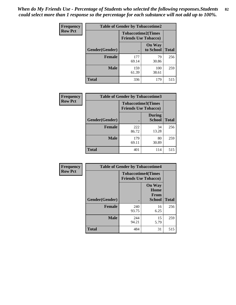| <b>Frequency</b> | <b>Table of Gender by Tobaccotime2</b> |                             |                            |              |
|------------------|----------------------------------------|-----------------------------|----------------------------|--------------|
| <b>Row Pct</b>   |                                        | <b>Friends Use Tobacco)</b> | <b>Tobaccotime2(Times</b>  |              |
|                  | <b>Gender</b> (Gender)                 |                             | <b>On Way</b><br>to School | <b>Total</b> |
|                  | <b>Female</b>                          | 177<br>69.14                | 79<br>30.86                | 256          |
|                  | <b>Male</b>                            | 159<br>61.39                | 100<br>38.61               | 259          |
|                  | <b>Total</b>                           | 336                         | 179                        | 515          |

| Frequency      | <b>Table of Gender by Tobaccotime3</b> |                                                          |                                |              |
|----------------|----------------------------------------|----------------------------------------------------------|--------------------------------|--------------|
| <b>Row Pct</b> |                                        | <b>Tobaccotime3(Times</b><br><b>Friends Use Tobacco)</b> |                                |              |
|                | Gender(Gender)                         |                                                          | <b>During</b><br><b>School</b> | <b>Total</b> |
|                | Female                                 | 222<br>86.72                                             | 34<br>13.28                    | 256          |
|                | <b>Male</b>                            | 179<br>69.11                                             | 80<br>30.89                    | 259          |
|                | <b>Total</b>                           | 401                                                      | 114                            | 515          |

| <b>Frequency</b> | <b>Table of Gender by Tobaccotime4</b> |                                                          |                                                |              |
|------------------|----------------------------------------|----------------------------------------------------------|------------------------------------------------|--------------|
| <b>Row Pct</b>   |                                        | <b>Tobaccotime4(Times</b><br><b>Friends Use Tobacco)</b> |                                                |              |
|                  | Gender(Gender)                         |                                                          | <b>On Way</b><br>Home<br>From<br><b>School</b> | <b>Total</b> |
|                  | <b>Female</b>                          | 240<br>93.75                                             | 16<br>6.25                                     | 256          |
|                  | <b>Male</b>                            | 244<br>94.21                                             | 15<br>5.79                                     | 259          |
|                  | <b>Total</b>                           | 484                                                      | 31                                             | 515          |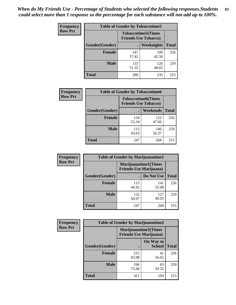| <b>Frequency</b> | <b>Table of Gender by Tobaccotime5</b> |              |                                                          |              |  |
|------------------|----------------------------------------|--------------|----------------------------------------------------------|--------------|--|
| <b>Row Pct</b>   |                                        |              | <b>Tobaccotime5(Times</b><br><b>Friends Use Tobacco)</b> |              |  |
|                  | <b>Gender</b> (Gender)                 |              | <b>Weeknights</b>                                        | <b>Total</b> |  |
|                  | Female                                 | 147<br>57.42 | 109<br>42.58                                             | 256          |  |
|                  | <b>Male</b>                            | 133<br>51.35 | 126<br>48.65                                             | 259          |  |
|                  | <b>Total</b>                           | 280          | 235                                                      | 515          |  |

| Frequency      |                | <b>Table of Gender by Tobaccotime6</b>                   |              |              |  |
|----------------|----------------|----------------------------------------------------------|--------------|--------------|--|
| <b>Row Pct</b> |                | <b>Tobaccotime6(Times</b><br><b>Friends Use Tobacco)</b> |              |              |  |
|                | Gender(Gender) |                                                          | Weekends     | <b>Total</b> |  |
|                | Female         | 134<br>52.34                                             | 122<br>47.66 | 256          |  |
|                | <b>Male</b>    | 113<br>43.63                                             | 146<br>56.37 | 259          |  |
|                | <b>Total</b>   | 247                                                      | 268          | 515          |  |

| Frequency      | <b>Table of Gender by Marijuanatime1</b> |                                |                      |              |
|----------------|------------------------------------------|--------------------------------|----------------------|--------------|
| <b>Row Pct</b> |                                          | <b>Friends Use Marijuana</b> ) | Marijuanatime1(Times |              |
|                | Gender(Gender)                           |                                | Do Not Use           | <b>Total</b> |
|                | <b>Female</b>                            | 115<br>44.92                   | 141<br>55.08         | 256          |
|                | <b>Male</b>                              | 132<br>50.97                   | 127<br>49.03         | 259          |
|                | <b>Total</b>                             | 247                            | 268                  | 515          |

| <b>Frequency</b> | <b>Table of Gender by Marijuanatime2</b> |                                                               |                            |              |
|------------------|------------------------------------------|---------------------------------------------------------------|----------------------------|--------------|
| <b>Row Pct</b>   |                                          | <b>Marijuanatime2(Times</b><br><b>Friends Use Marijuana</b> ) |                            |              |
|                  | Gender(Gender)                           |                                                               | On Way to<br><b>School</b> | <b>Total</b> |
|                  | Female                                   | 215<br>83.98                                                  | 41<br>16.02                | 256          |
|                  | <b>Male</b>                              | 196<br>75.68                                                  | 63<br>24.32                | 259          |
|                  | <b>Total</b>                             | 411                                                           | 104                        | 515          |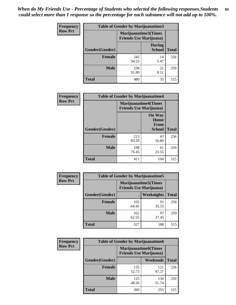*When do My Friends Use - Percentage of Students who selected the following responses.Students could select more than 1 response so the percentage for each substance will not add up to 100%.* **84**

| <b>Frequency</b> | Table of Gender by Marijuanatime3 |                                                        |                                |              |
|------------------|-----------------------------------|--------------------------------------------------------|--------------------------------|--------------|
| <b>Row Pct</b>   |                                   | Marijuanatime3(Times<br><b>Friends Use Marijuana</b> ) |                                |              |
|                  | Gender(Gender)                    |                                                        | <b>During</b><br><b>School</b> | <b>Total</b> |
|                  | <b>Female</b>                     | 242<br>94.53                                           | 14<br>5.47                     | 256          |
|                  | <b>Male</b>                       | 238<br>91.89                                           | 21<br>8.11                     | 259          |
|                  | <b>Total</b>                      | 480                                                    | 35                             | 515          |

| Frequency      | <b>Table of Gender by Marijuanatime4</b> |                                |                                                       |              |
|----------------|------------------------------------------|--------------------------------|-------------------------------------------------------|--------------|
| <b>Row Pct</b> |                                          | <b>Friends Use Marijuana</b> ) | <b>Marijuanatime4(Times</b>                           |              |
|                | <b>Gender</b> (Gender)                   |                                | <b>On Way</b><br>Home<br><b>From</b><br><b>School</b> | <b>Total</b> |
|                | <b>Female</b>                            | 213<br>83.20                   | 43<br>16.80                                           | 256          |
|                | <b>Male</b>                              | 198<br>76.45                   | 61<br>23.55                                           | 259          |
|                | <b>Total</b>                             | 411                            | 104                                                   | 515          |

| Frequency      |                | <b>Table of Gender by Marijuanatime5</b>                       |             |              |
|----------------|----------------|----------------------------------------------------------------|-------------|--------------|
| <b>Row Pct</b> |                | <b>Marijuanatime5</b> (Times<br><b>Friends Use Marijuana</b> ) |             |              |
|                | Gender(Gender) | ٠                                                              | Weeknights  | <b>Total</b> |
|                | <b>Female</b>  | 165<br>64.45                                                   | 91<br>35.55 | 256          |
|                | <b>Male</b>    | 162<br>62.55                                                   | 97<br>37.45 | 259          |
|                | <b>Total</b>   | 327                                                            | 188         | 515          |

| Frequency      | <b>Table of Gender by Marijuanatime6</b> |                                                               |                 |              |
|----------------|------------------------------------------|---------------------------------------------------------------|-----------------|--------------|
| <b>Row Pct</b> |                                          | <b>Marijuanatime6(Times</b><br><b>Friends Use Marijuana</b> ) |                 |              |
|                | Gender(Gender)                           |                                                               | <b>Weekends</b> | <b>Total</b> |
|                | <b>Female</b>                            | 135<br>52.73                                                  | 121<br>47.27    | 256          |
|                | <b>Male</b>                              | 125<br>48.26                                                  | 134<br>51.74    | 259          |
|                | <b>Total</b>                             | 260                                                           | 255             | 515          |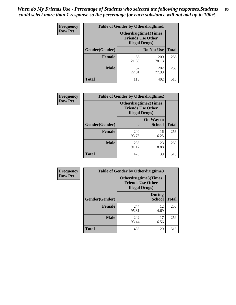*When do My Friends Use - Percentage of Students who selected the following responses.Students could select more than 1 response so the percentage for each substance will not add up to 100%.* **85**

| <b>Frequency</b> | <b>Table of Gender by Otherdrugtime1</b> |                                                                                    |              |              |
|------------------|------------------------------------------|------------------------------------------------------------------------------------|--------------|--------------|
| <b>Row Pct</b>   |                                          | <b>Otherdrugtime1</b> (Times<br><b>Friends Use Other</b><br><b>Illegal Drugs</b> ) |              |              |
|                  | Gender(Gender)                           |                                                                                    | Do Not Use   | <b>Total</b> |
|                  | <b>Female</b>                            | 56<br>21.88                                                                        | 200<br>78.13 | 256          |
|                  | <b>Male</b>                              | 57<br>22.01                                                                        | 202<br>77.99 | 259          |
|                  | <b>Total</b>                             | 113                                                                                | 402          | 515          |

| Frequency      | <b>Table of Gender by Otherdrugtime2</b> |                                                                                   |                            |              |
|----------------|------------------------------------------|-----------------------------------------------------------------------------------|----------------------------|--------------|
| <b>Row Pct</b> |                                          | <b>Otherdrugtime2(Times</b><br><b>Friends Use Other</b><br><b>Illegal Drugs</b> ) |                            |              |
|                | Gender(Gender)                           |                                                                                   | On Way to<br><b>School</b> | <b>Total</b> |
|                | <b>Female</b>                            | 240<br>93.75                                                                      | 16<br>6.25                 | 256          |
|                | <b>Male</b>                              | 236<br>91.12                                                                      | 23<br>8.88                 | 259          |
|                | <b>Total</b>                             | 476                                                                               | 39                         | 515          |

I

| Frequency      | <b>Table of Gender by Otherdrugtime3</b> |                        |                                                  |              |
|----------------|------------------------------------------|------------------------|--------------------------------------------------|--------------|
| <b>Row Pct</b> |                                          | <b>Illegal Drugs</b> ) | Otherdrugtime3(Times<br><b>Friends Use Other</b> |              |
|                | Gender(Gender)                           |                        | <b>During</b><br><b>School</b>                   | <b>Total</b> |
|                | <b>Female</b>                            | 244<br>95.31           | 12<br>4.69                                       | 256          |
|                | <b>Male</b>                              | 242<br>93.44           | 17<br>6.56                                       | 259          |
|                | <b>Total</b>                             | 486                    | 29                                               | 515          |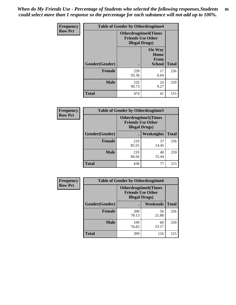*When do My Friends Use - Percentage of Students who selected the following responses.Students could select more than 1 response so the percentage for each substance will not add up to 100%.* **86**

| <b>Frequency</b> | <b>Table of Gender by Otherdrugtime4</b> |                                                    |                                                       |              |
|------------------|------------------------------------------|----------------------------------------------------|-------------------------------------------------------|--------------|
| <b>Row Pct</b>   |                                          | <b>Friends Use Other</b><br><b>Illegal Drugs</b> ) | <b>Otherdrugtime4(Times</b>                           |              |
|                  | Gender(Gender)                           |                                                    | <b>On Way</b><br>Home<br><b>From</b><br><b>School</b> | <b>Total</b> |
|                  | <b>Female</b>                            | 239<br>93.36                                       | 17<br>6.64                                            | 256          |
|                  | <b>Male</b>                              | 235<br>90.73                                       | 24<br>9.27                                            | 259          |
|                  | <b>Total</b>                             | 474                                                | 41                                                    | 515          |

| Frequency      | <b>Table of Gender by Otherdrugtime5</b> |                                                                                    |             |              |
|----------------|------------------------------------------|------------------------------------------------------------------------------------|-------------|--------------|
| <b>Row Pct</b> |                                          | <b>Otherdrugtime5</b> (Times<br><b>Friends Use Other</b><br><b>Illegal Drugs</b> ) |             |              |
|                | Gender(Gender)                           |                                                                                    | Weeknights  | <b>Total</b> |
|                | <b>Female</b>                            | 219<br>85.55                                                                       | 37<br>14.45 | 256          |
|                | <b>Male</b>                              | 219<br>84.56                                                                       | 40<br>15.44 | 259          |
|                | <b>Total</b>                             | 438                                                                                | 77          | 515          |

| <b>Frequency</b> | <b>Table of Gender by Otherdrugtime6</b> |                                                                                   |             |              |
|------------------|------------------------------------------|-----------------------------------------------------------------------------------|-------------|--------------|
| <b>Row Pct</b>   |                                          | <b>Otherdrugtime6(Times</b><br><b>Friends Use Other</b><br><b>Illegal Drugs</b> ) |             |              |
|                  | Gender(Gender)                           |                                                                                   | Weekends    | <b>Total</b> |
|                  | <b>Female</b>                            | <b>200</b><br>78.13                                                               | 56<br>21.88 | 256          |
|                  | <b>Male</b>                              | 199<br>76.83                                                                      | 60<br>23.17 | 259          |
|                  | <b>Total</b>                             | 399                                                                               | 116         | 515          |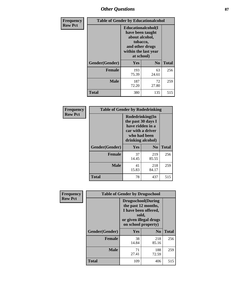# *Other Questions* **87**

| <b>Frequency</b> | <b>Table of Gender by Educationalcohol</b> |                                                                                                                                       |                |              |  |
|------------------|--------------------------------------------|---------------------------------------------------------------------------------------------------------------------------------------|----------------|--------------|--|
| <b>Row Pct</b>   |                                            | <b>Educationalcohol</b> (I<br>have been taught<br>about alcohol,<br>tobacco,<br>and other drugs<br>within the last year<br>at school) |                |              |  |
|                  | Gender(Gender)                             | <b>Yes</b>                                                                                                                            | N <sub>0</sub> | <b>Total</b> |  |
|                  | <b>Female</b>                              | 193<br>75.39                                                                                                                          | 63<br>24.61    | 256          |  |
|                  | <b>Male</b>                                | 187<br>72.20                                                                                                                          | 72<br>27.80    | 259          |  |
|                  | <b>Total</b>                               | 380                                                                                                                                   | 135            | 515          |  |

| Frequency      | <b>Table of Gender by Rodedrinking</b> |                                                                                                                     |                |              |  |
|----------------|----------------------------------------|---------------------------------------------------------------------------------------------------------------------|----------------|--------------|--|
| <b>Row Pct</b> |                                        | Rodedrinking(In<br>the past 30 days I<br>have ridden in a<br>car with a driver<br>who had been<br>drinking alcohol) |                |              |  |
|                | Gender(Gender)                         | Yes                                                                                                                 | N <sub>0</sub> | <b>Total</b> |  |
|                | <b>Female</b>                          | 37<br>14.45                                                                                                         | 219<br>85.55   | 256          |  |
|                | <b>Male</b>                            | 41<br>15.83                                                                                                         | 218<br>84.17   | 259          |  |
|                | <b>Total</b>                           | 78                                                                                                                  | 437            | 515          |  |

| Frequency      | <b>Table of Gender by Drugsschool</b> |                                                                                                                                     |                |              |  |
|----------------|---------------------------------------|-------------------------------------------------------------------------------------------------------------------------------------|----------------|--------------|--|
| <b>Row Pct</b> |                                       | <b>Drugsschool</b> (During<br>the past 12 months,<br>I have been offered,<br>sold,<br>or given illegal drugs<br>on school property) |                |              |  |
|                | Gender(Gender)                        | <b>Yes</b>                                                                                                                          | N <sub>0</sub> | <b>Total</b> |  |
|                | <b>Female</b>                         | 38<br>14.84                                                                                                                         | 218<br>85.16   | 256          |  |
|                | <b>Male</b>                           | 71<br>27.41                                                                                                                         | 188<br>72.59   | 259          |  |
|                | <b>Total</b>                          | 109                                                                                                                                 | 406            | 515          |  |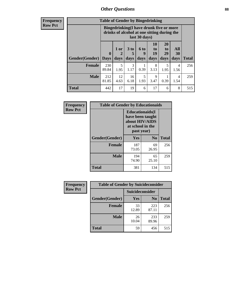# *Other Questions* **88**

**Frequency Row Pct**

| <b>Table of Gender by Bingedrinking</b> |                         |                                                                                                         |                   |                          |                        |                               |                   |              |
|-----------------------------------------|-------------------------|---------------------------------------------------------------------------------------------------------|-------------------|--------------------------|------------------------|-------------------------------|-------------------|--------------|
|                                         |                         | Bingedrinking(I have drunk five or more<br>drinks of alcohol at one sitting during the<br>last 30 days) |                   |                          |                        |                               |                   |              |
| <b>Gender</b> (Gender)                  | $\bf{0}$<br><b>Days</b> | 1 or<br>days                                                                                            | 3 to<br>5<br>days | <b>6 to</b><br>9<br>days | 10<br>to<br>19<br>days | <b>20</b><br>to<br>29<br>days | All<br>30<br>days | <b>Total</b> |
|                                         |                         |                                                                                                         |                   |                          |                        |                               |                   |              |
| <b>Female</b>                           | 230<br>89.84            | 5<br>1.95                                                                                               | 3<br>1.17         | 0.39                     | 8<br>3.13              | 5<br>1.95                     | 4<br>1.56         | 256          |
| <b>Male</b>                             | 212<br>81.85            | 12<br>4.63                                                                                              | 16<br>6.18        | 5<br>1.93                | 9<br>3.47              | 0.39                          | 4<br>1.54         | 259          |

| Frequency      | <b>Table of Gender by Educationaids</b> |                                                                                                 |                |              |  |
|----------------|-----------------------------------------|-------------------------------------------------------------------------------------------------|----------------|--------------|--|
| <b>Row Pct</b> |                                         | <b>Educationaids</b> (I<br>have been taught<br>about HIV/AIDS<br>at school in the<br>past year) |                |              |  |
|                | Gender(Gender)                          | Yes                                                                                             | N <sub>0</sub> | <b>Total</b> |  |
|                | <b>Female</b>                           | 187<br>73.05                                                                                    | 69<br>26.95    | 256          |  |
|                | <b>Male</b>                             | 194<br>74.90                                                                                    | 65<br>25.10    | 259          |  |
|                | <b>Total</b>                            | 381                                                                                             | 134            | 515          |  |

| <b>Frequency</b> | <b>Table of Gender by Suicideconsider</b> |                 |                |              |
|------------------|-------------------------------------------|-----------------|----------------|--------------|
| <b>Row Pct</b>   |                                           | Suicideconsider |                |              |
|                  | Gender(Gender)                            | <b>Yes</b>      | N <sub>0</sub> | <b>Total</b> |
|                  | <b>Female</b>                             | 33<br>12.89     | 223<br>87.11   | 256          |
|                  | <b>Male</b>                               | 26<br>10.04     | 233<br>89.96   | 259          |
|                  | Total                                     | 59              | 456            | 515          |